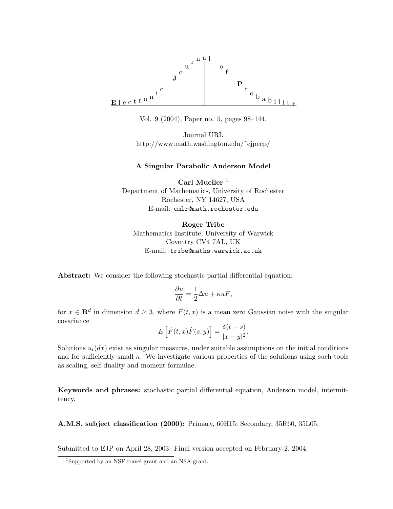

Vol. 9 (2004), Paper no. 5, pages 98–144.

Journal URL http://www.math.washington.edu/˜ejpecp/

### A Singular Parabolic Anderson Model

Carl Mueller<sup>1</sup> Department of Mathematics, University of Rochester Rochester, NY 14627, USA E-mail: cmlr@math.rochester.edu

Roger Tribe Mathematics Institute, University of Warwick Coventry CV4 7AL, UK E-mail: tribe@maths.warwick.ac.uk

Abstract: We consider the following stochastic partial differential equation:

$$
\frac{\partial u}{\partial t} = \frac{1}{2}\Delta u + \kappa u \dot{F},
$$

for  $x \in \mathbf{R}^d$  in dimension  $d \geq 3$ , where  $\dot{F}(t, x)$  is a mean zero Gaussian noise with the singular covariance

$$
E\left[\dot{F}(t,x)\dot{F}(s,y)\right] = \frac{\delta(t-s)}{|x-y|^2}.
$$

Solutions  $u_t(dx)$  exist as singular measures, under suitable assumptions on the initial conditions and for sufficiently small  $\kappa$ . We investigate various properties of the solutions using such tools as scaling, self-duality and moment formulae.

Keywords and phrases: stochastic partial differential equation, Anderson model, intermittency.

A.M.S. subject classification (2000): Primary, 60H15; Secondary, 35R60, 35L05.

Submitted to EJP on April 28, 2003. Final version accepted on February 2, 2004.

<sup>1</sup>Supported by an NSF travel grant and an NSA grant.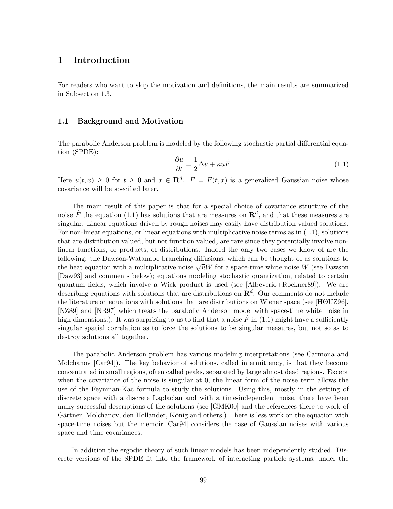## 1 Introduction

For readers who want to skip the motivation and definitions, the main results are summarized in Subsection 1.3.

#### 1.1 Background and Motivation

The parabolic Anderson problem is modeled by the following stochastic partial differential equation (SPDE):

$$
\frac{\partial u}{\partial t} = \frac{1}{2}\Delta u + \kappa u \dot{F}.\tag{1.1}
$$

Here  $u(t,x) \geq 0$  for  $t \geq 0$  and  $x \in \mathbb{R}^d$ .  $\dot{F} = \dot{F}(t,x)$  is a generalized Gaussian noise whose covariance will be specified later.

The main result of this paper is that for a special choice of covariance structure of the noise  $\dot{F}$  the equation (1.1) has solutions that are measures on  $\mathbb{R}^d$ , and that these measures are singular. Linear equations driven by rough noises may easily have distribution valued solutions. For non-linear equations, or linear equations with multiplicative noise terms as in (1.1), solutions that are distribution valued, but not function valued, are rare since they potentially involve nonlinear functions, or products, of distributions. Indeed the only two cases we know of are the following: the Dawson-Watanabe branching diffusions, which can be thought of as solutions to the heat equation with a multiplicative noise  $\sqrt{u}W$  for a space-time white noise W (see Dawson [Daw93] and comments below); equations modeling stochastic quantization, related to certain quantum fields, which involve a Wick product is used (see [Albeverio+Rockner89]). We are describing equations with solutions that are distributions on  $\mathbb{R}^d$ . Our comments do not include the literature on equations with solutions that are distributions on Wiener space (see [HØUZ96], [NZ89] and [NR97] which treats the parabolic Anderson model with space-time white noise in high dimensions.). It was surprising to us to find that a noise  $\dot{F}$  in (1.1) might have a sufficiently singular spatial correlation as to force the solutions to be singular measures, but not so as to destroy solutions all together.

The parabolic Anderson problem has various modeling interpretations (see Carmona and Molchanov [Car94]). The key behavior of solutions, called intermittency, is that they become concentrated in small regions, often called peaks, separated by large almost dead regions. Except when the covariance of the noise is singular at 0, the linear form of the noise term allows the use of the Feynman-Kac formula to study the solutions. Using this, mostly in the setting of discrete space with a discrete Laplacian and with a time-independent noise, there have been many successful descriptions of the solutions (see [GMK00] and the references there to work of Gärtner, Molchanov, den Hollander, König and others.) There is less work on the equation with space-time noises but the memoir [Car94] considers the case of Gaussian noises with various space and time covariances.

In addition the ergodic theory of such linear models has been independently studied. Discrete versions of the SPDE fit into the framework of interacting particle systems, under the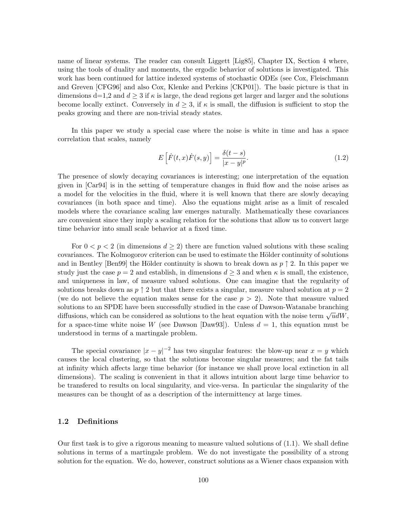name of linear systems. The reader can consult Liggett [Lig85], Chapter IX, Section 4 where, using the tools of duality and moments, the ergodic behavior of solutions is investigated. This work has been continued for lattice indexed systems of stochastic ODEs (see Cox, Fleischmann and Greven [CFG96] and also Cox, Klenke and Perkins [CKP01]). The basic picture is that in dimensions d=1,2 and  $d \geq 3$  if  $\kappa$  is large, the dead regions get larger and larger and the solutions become locally extinct. Conversely in  $d \geq 3$ , if  $\kappa$  is small, the diffusion is sufficient to stop the peaks growing and there are non-trivial steady states.

In this paper we study a special case where the noise is white in time and has a space correlation that scales, namely

$$
E\left[\dot{F}(t,x)\dot{F}(s,y)\right] = \frac{\delta(t-s)}{|x-y|^p}.\tag{1.2}
$$

The presence of slowly decaying covariances is interesting; one interpretation of the equation given in [Car94] is in the setting of temperature changes in fluid flow and the noise arises as a model for the velocities in the fluid, where it is well known that there are slowly decaying covariances (in both space and time). Also the equations might arise as a limit of rescaled models where the covariance scaling law emerges naturally. Mathematically these covariances are convenient since they imply a scaling relation for the solutions that allow us to convert large time behavior into small scale behavior at a fixed time.

For  $0 < p < 2$  (in dimensions  $d \ge 2$ ) there are function valued solutions with these scaling covariances. The Kolmogorov criterion can be used to estimate the Hölder continuity of solutions and in Bentley [Ben99] the Hölder continuity is shown to break down as  $p \uparrow 2$ . In this paper we study just the case  $p = 2$  and establish, in dimensions  $d \geq 3$  and when  $\kappa$  is small, the existence, and uniqueness in law, of measure valued solutions. One can imagine that the regularity of solutions breaks down as  $p \uparrow 2$  but that there exists a singular, measure valued solution at  $p = 2$ (we do not believe the equation makes sense for the case  $p > 2$ ). Note that measure valued solutions to an SPDE have been successfully studied in the case of Dawson-Watanabe branching diffusions, which can be considered as solutions to the heat equation with the noise term  $\sqrt{u}dW$ , for a space-time white noise W (see Dawson [Daw93]). Unless  $d = 1$ , this equation must be understood in terms of a martingale problem.

The special covariance  $|x-y|^{-2}$  has two singular features: the blow-up near  $x = y$  which causes the local clustering, so that the solutions become singular measures; and the fat tails at infinity which affects large time behavior (for instance we shall prove local extinction in all dimensions). The scaling is convenient in that it allows intuition about large time behavior to be transfered to results on local singularity, and vice-versa. In particular the singularity of the measures can be thought of as a description of the intermittency at large times.

### 1.2 Definitions

Our first task is to give a rigorous meaning to measure valued solutions of (1.1). We shall define solutions in terms of a martingale problem. We do not investigate the possibility of a strong solution for the equation. We do, however, construct solutions as a Wiener chaos expansion with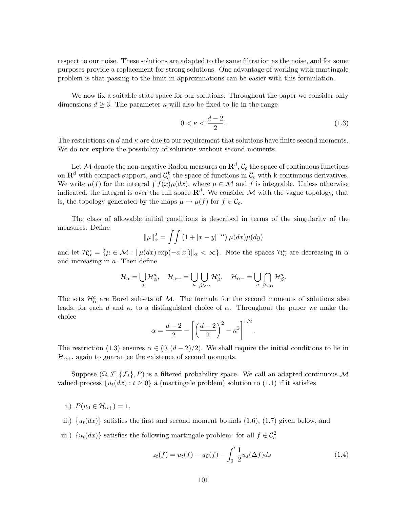respect to our noise. These solutions are adapted to the same filtration as the noise, and for some purposes provide a replacement for strong solutions. One advantage of working with martingale problem is that passing to the limit in approximations can be easier with this formulation.

We now fix a suitable state space for our solutions. Throughout the paper we consider only dimensions  $d \geq 3$ . The parameter  $\kappa$  will also be fixed to lie in the range

$$
0 < \kappa < \frac{d-2}{2}.\tag{1.3}
$$

The restrictions on d and  $\kappa$  are due to our requirement that solutions have finite second moments. We do not explore the possibility of solutions without second moments.

Let M denote the non-negative Radon measures on  $\mathbf{R}^d$ ,  $\mathcal{C}_c$  the space of continuous functions on  $\mathbf{R}^d$  with compact support, and  $\mathcal{C}_c^k$  the space of functions in  $\mathcal{C}_c$  with k continuous derivatives. We write  $\mu(f)$  for the integral  $\int f(x)\mu(dx)$ , where  $\mu \in \mathcal{M}$  and f is integrable. Unless otherwise indicated, the integral is over the full space  $\mathbb{R}^d$ . We consider M with the vague topology, that is, the topology generated by the maps  $\mu \to \mu(f)$  for  $f \in \mathcal{C}_c$ .

The class of allowable initial conditions is described in terms of the singularity of the measures. Define

$$
\|\mu\|_{\alpha}^2 = \int \int \left(1 + |x - y|^{-\alpha}\right) \mu(dx)\mu(dy)
$$

and let  $\mathcal{H}_{\alpha}^{a} = \{\mu \in \mathcal{M} : ||\mu(dx) \exp(-a|x|)||_{\alpha} < \infty\}$ . Note the spaces  $\mathcal{H}_{\alpha}^{a}$  are decreasing in  $\alpha$ and increasing in a. Then define

$$
\mathcal{H}_{\alpha} = \bigcup_{a} \mathcal{H}_{\alpha}^{a}, \quad \mathcal{H}_{\alpha+} = \bigcup_{a} \bigcup_{\beta > \alpha} \mathcal{H}_{\beta}^{a}, \quad \mathcal{H}_{\alpha-} = \bigcup_{a} \bigcap_{\beta < \alpha} \mathcal{H}_{\beta}^{a}.
$$

The sets  $\mathcal{H}_{\alpha}^{a}$  are Borel subsets of M. The formula for the second moments of solutions also leads, for each d and  $\kappa$ , to a distinguished choice of  $\alpha$ . Throughout the paper we make the choice

$$
\alpha = \frac{d-2}{2} - \left[ \left( \frac{d-2}{2} \right)^2 - \kappa^2 \right]^{1/2}.
$$

The restriction (1.3) ensures  $\alpha \in (0, (d-2)/2)$ . We shall require the initial conditions to lie in  $\mathcal{H}_{\alpha+}$ , again to guarantee the existence of second moments.

Suppose  $(\Omega, \mathcal{F}, \{\mathcal{F}_t\}, P)$  is a filtered probability space. We call an adapted continuous M valued process  $\{u_t(dx): t \geq 0\}$  a (martingale problem) solution to (1.1) if it satisfies

- i.)  $P(u_0 \in H_{\alpha+}) = 1$ ,
- ii.)  $\{u_t(dx)\}\$  satisfies the first and second moment bounds (1.6), (1.7) given below, and
- iii.)  $\{u_t(dx)\}\$  satisfies the following martingale problem: for all  $f \in \mathcal{C}_c^2$

$$
z_t(f) = u_t(f) - u_0(f) - \int_0^t \frac{1}{2} u_s(\Delta f) ds \tag{1.4}
$$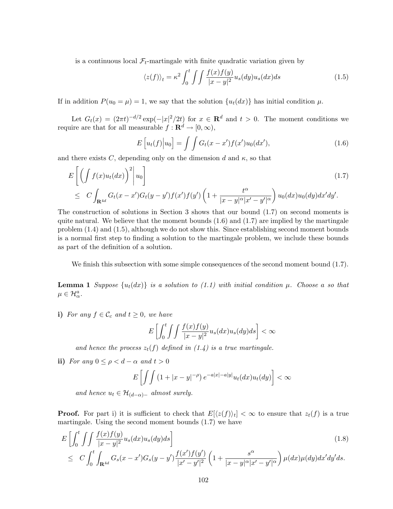is a continuous local  $\mathcal{F}_t$ -martingale with finite quadratic variation given by

$$
\langle z(f) \rangle_t = \kappa^2 \int_0^t \int \int \frac{f(x)f(y)}{|x - y|^2} u_s(dy) u_s(dx) ds \tag{1.5}
$$

If in addition  $P(u_0 = \mu) = 1$ , we say that the solution  $\{u_t(dx)\}\$  has initial condition  $\mu$ .

Let  $G_t(x) = (2\pi t)^{-d/2} \exp(-|x|^2/2t)$  for  $x \in \mathbb{R}^d$  and  $t > 0$ . The moment conditions we require are that for all measurable  $f: \mathbf{R}^d \to [0, \infty)$ ,

$$
E\left[u_t(f)\middle|u_0\right] = \int\int G_t(x-x')f(x')u_0(dx'),\tag{1.6}
$$

and there exists C, depending only on the dimension d and  $\kappa$ , so that

$$
E\left[\left(\int f(x)u_t(dx)\right)^2\middle|u_0\right]
$$
\n
$$
\leq C\int_{\mathbf{R}^{4d}} G_t(x-x')G_t(y-y')f(x')f(y')\left(1+\frac{t^{\alpha}}{|x-y|^{\alpha}|x'-y'|^{\alpha}}\right)u_0(dx)u_0(dy)dx'dy'.
$$
\n(1.7)

The construction of solutions in Section 3 shows that our bound (1.7) on second moments is quite natural. We believe that the moment bounds  $(1.6)$  and  $(1.7)$  are implied by the martingale problem (1.4) and (1.5), although we do not show this. Since establishing second moment bounds is a normal first step to finding a solution to the martingale problem, we include these bounds as part of the definition of a solution.

We finish this subsection with some simple consequences of the second moment bound  $(1.7)$ .

**Lemma 1** Suppose  $\{u_t(dx)\}\$ is a solution to (1.1) with initial condition  $\mu$ . Choose a so that  $\mu \in \mathcal{H}_{\alpha}^a$ .

i) For any  $f \in \mathcal{C}_c$  and  $t \geq 0$ , we have

$$
E\left[\int_0^t \int \int \frac{f(x)f(y)}{|x-y|^2} u_s(dx) u_s(dy) ds\right] < \infty
$$

and hence the process  $z_t(f)$  defined in (1.4) is a true martingale.

ii) For any  $0 \le \rho < d - \alpha$  and  $t > 0$ 

$$
E\left[\int\int\left(1+|x-y|^{-\rho}\right)e^{-a|x|-a|y|}u_t(dx)u_t(dy)\right]<\infty
$$

and hence  $u_t \in \mathcal{H}_{(d-\alpha)-}$  almost surely.

**Proof.** For part i) it is sufficient to check that  $E[(z(f))_t] < \infty$  to ensure that  $z_t(f)$  is a true martingale. Using the second moment bounds (1.7) we have

$$
E\left[\int_0^t \int \int \frac{f(x)f(y)}{|x-y|^2} u_s(dx) u_s(dy) ds\right]
$$
\n(1.8)

$$
\leq C \int_0^t \int_{\mathbf{R}^{4d}} G_s(x-x') G_s(y-y') \frac{f(x')f(y')}{|x'-y'|^2} \left(1+\frac{s^{\alpha}}{|x-y|^{\alpha}|x'-y'|^{\alpha}}\right) \mu(dx) \mu(dy) dx'dy'ds.
$$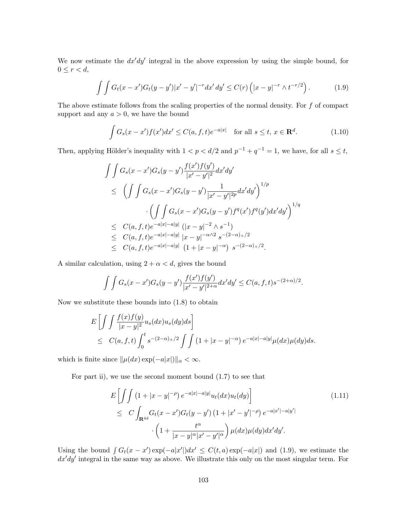We now estimate the  $dx'dy'$  integral in the above expression by using the simple bound, for  $0 \leq r < d$ ,

$$
\int \int G_t(x - x') G_t(y - y') |x' - y'|^{-r} dx' dy' \leq C(r) \left( |x - y|^{-r} \wedge t^{-r/2} \right). \tag{1.9}
$$

The above estimate follows from the scaling properties of the normal density. For  $f$  of compact support and any  $a > 0$ , we have the bound

$$
\int G_s(x - x')f(x')dx' \le C(a, f, t)e^{-a|x|} \quad \text{for all } s \le t, x \in \mathbf{R}^d. \tag{1.10}
$$

Then, applying Hölder's inequality with  $1 < p < d/2$  and  $p^{-1} + q^{-1} = 1$ , we have, for all  $s \le t$ ,

$$
\iint G_s(x - x')G_s(y - y') \frac{f(x')f(y')}{|x' - y'|^2} dx'dy'
$$
\n
$$
\leq \left( \iint G_s(x - x')G_s(y - y') \frac{1}{|x' - y'|^{2p}} dx'dy' \right)^{1/p}
$$
\n
$$
\cdot \left( \iint G_s(x - x')G_s(y - y')f^q(x')f^q(y')dx'dy' \right)^{1/q}
$$
\n
$$
\leq C(a, f, t)e^{-a|x| - a|y|} (|x - y|^{-2} \wedge s^{-1})
$$
\n
$$
\leq C(a, f, t)e^{-a|x| - a|y|} |x - y|^{-\alpha/2} s^{-(2-\alpha)+/2}
$$
\n
$$
\leq C(a, f, t)e^{-a|x| - a|y|} (1 + |x - y|^{-\alpha}) s^{-(2-\alpha)+/2}.
$$

A similar calculation, using  $2 + \alpha < d$ , gives the bound

$$
\int \int G_s(x-x')G_s(y-y')\frac{f(x')f(y')}{|x'-y'|^{2+\alpha}}dx'dy' \leq C(a,f,t)s^{-(2+\alpha)/2}.
$$

Now we substitute these bounds into (1.8) to obtain

$$
E\left[\int \int \frac{f(x)f(y)}{|x-y|^2} u_s(dx) u_s(dy) ds\right]
$$
  
\n
$$
\leq C(a, f, t) \int_0^t s^{-(2-\alpha)_+/2} \int \int (1+|x-y|^{-\alpha}) e^{-a|x|-a|y|} \mu(dx) \mu(dy) ds.
$$

which is finite since  $\|\mu(dx) \exp(-a|x|)\|_{\alpha} < \infty$ .

For part ii), we use the second moment bound (1.7) to see that

$$
E\left[\int\int (1+|x-y|^{-\rho}) e^{-a|x|-a|y|} u_t(dx) u_t(dy)\right]
$$
  
\n
$$
\leq C \int_{\mathbf{R}^{4d}} G_t(x-x') G_t(y-y') \left(1+|x'-y'|^{-\rho}\right) e^{-a|x'|-a|y'|}
$$
  
\n
$$
\cdot \left(1+\frac{t^{\alpha}}{|x-y|^{\alpha}|x'-y'|^{\alpha}}\right) \mu(dx) \mu(dy) dx'dy'.
$$
\n(1.11)

Using the bound  $\int G_t(x - x') \exp(-a|x'|) dx' \leq C(t, a) \exp(-a|x|)$  and (1.9), we estimate the  $dx'dy'$  integral in the same way as above. We illustrate this only on the most singular term. For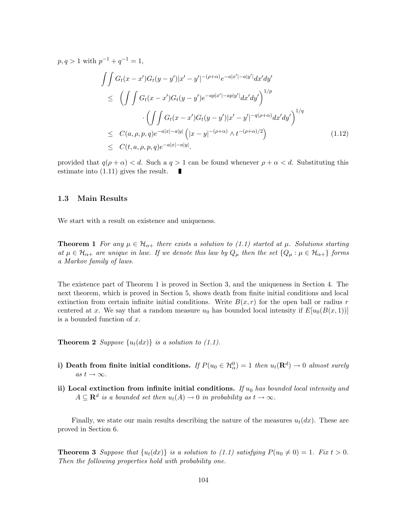$$
p, q > 1 \text{ with } p^{-1} + q^{-1} = 1,
$$
\n
$$
\iint G_t(x - x')G_t(y - y')|x' - y'|^{-(\rho + \alpha)}e^{-a|x'| - a|y'|}dx'dy'
$$
\n
$$
\leq \left(\iint G_t(x - x')G_t(y - y')e^{-ap|x'| - ap|y'|}dx'dy'\right)^{1/p}
$$
\n
$$
\cdot \left(\iint G_t(x - x')G_t(y - y')|x' - y'|^{-q(\rho + \alpha)}dx'dy'\right)^{1/q}
$$
\n
$$
\leq C(a, \rho, p, q)e^{-a|x| - a|y|} \left(|x - y|^{-(\rho + \alpha)} \wedge t^{-(\rho + \alpha)/2}\right)
$$
\n
$$
\leq C(t, a, \rho, p, q)e^{-a|x| - a|y|}.
$$
\n(1.12)

provided that  $q(\rho + \alpha) < d$ . Such a  $q > 1$  can be found whenever  $\rho + \alpha < d$ . Substituting this estimate into (1.11) gives the result.

#### 1.3 Main Results

We start with a result on existence and uniqueness.

**Theorem 1** For any  $\mu \in \mathcal{H}_{\alpha+}$  there exists a solution to (1.1) started at  $\mu$ . Solutions starting at  $\mu \in \mathcal{H}_{\alpha+}$  are unique in law. If we denote this law by  $Q_{\mu}$  then the set  $\{Q_{\mu} : \mu \in \mathcal{H}_{\alpha+}\}\$  forms a Markov family of laws.

The existence part of Theorem 1 is proved in Section 3, and the uniqueness in Section 4. The next theorem, which is proved in Section 5, shows death from finite initial conditions and local extinction from certain infinite initial conditions. Write  $B(x, r)$  for the open ball or radius r centered at x. We say that a random measure  $u_0$  has bounded local intensity if  $E[u_0(B(x, 1))]$ is a bounded function of x.

**Theorem 2** Suppose  $\{u_t(dx)\}\$ is a solution to (1.1).

- i) Death from finite initial conditions. If  $P(u_0 \in H_\alpha^0) = 1$  then  $u_t(\mathbf{R}^d) \to 0$  almost surely as  $t \to \infty$ .
- ii) Local extinction from infinite initial conditions. If  $u_0$  has bounded local intensity and  $A \subseteq \mathbf{R}^d$  is a bounded set then  $u_t(A) \to 0$  in probability as  $t \to \infty$ .

Finally, we state our main results describing the nature of the measures  $u_t(dx)$ . These are proved in Section 6.

**Theorem 3** Suppose that  $\{u_t(dx)\}\$ is a solution to (1.1) satisfying  $P(u_0 \neq 0) = 1$ . Fix  $t > 0$ . Then the following properties hold with probability one.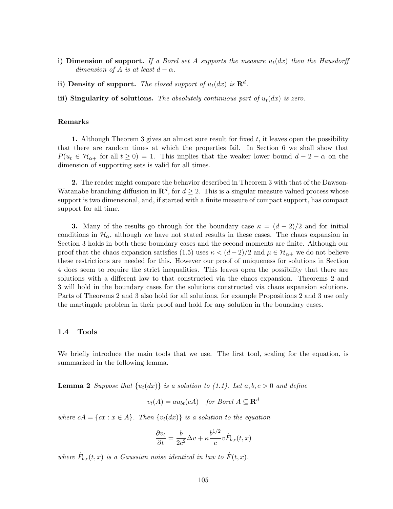- i) Dimension of support. If a Borel set A supports the measure  $u_t(dx)$  then the Hausdorff dimension of A is at least  $d - \alpha$ .
- ii) Density of support. The closed support of  $u_t(dx)$  is  $\mathbf{R}^d$ .
- iii) Singularity of solutions. The absolutely continuous part of  $u_t(dx)$  is zero.

#### Remarks

1. Although Theorem 3 gives an almost sure result for fixed  $t$ , it leaves open the possibility that there are random times at which the properties fail. In Section 6 we shall show that  $P(u_t \in \mathcal{H}_{\alpha+}$  for all  $t \geq 0) = 1$ . This implies that the weaker lower bound  $d-2-\alpha$  on the dimension of supporting sets is valid for all times.

2. The reader might compare the behavior described in Theorem 3 with that of the Dawson-Watanabe branching diffusion in  $\mathbb{R}^d$ , for  $d \geq 2$ . This is a singular measure valued process whose support is two dimensional, and, if started with a finite measure of compact support, has compact support for all time.

**3.** Many of the results go through for the boundary case  $\kappa = (d-2)/2$  and for initial conditions in  $\mathcal{H}_{\alpha}$ , although we have not stated results in these cases. The chaos expansion in Section 3 holds in both these boundary cases and the second moments are finite. Although our proof that the chaos expansion satisfies (1.5) uses  $\kappa < (d-2)/2$  and  $\mu \in \mathcal{H}_{\alpha+}$  we do not believe these restrictions are needed for this. However our proof of uniqueness for solutions in Section 4 does seem to require the strict inequalities. This leaves open the possibility that there are solutions with a different law to that constructed via the chaos expansion. Theorems 2 and 3 will hold in the boundary cases for the solutions constructed via chaos expansion solutions. Parts of Theorems 2 and 3 also hold for all solutions, for example Propositions 2 and 3 use only the martingale problem in their proof and hold for any solution in the boundary cases.

### 1.4 Tools

We briefly introduce the main tools that we use. The first tool, scaling for the equation, is summarized in the following lemma.

**Lemma 2** Suppose that  $\{u_t(dx)\}\$ is a solution to (1.1). Let a, b, c > 0 and define

$$
v_t(A) = au_{bt}(cA) \quad \text{for Borel } A \subseteq \mathbf{R}^d
$$

where  $cA = \{cx : x \in A\}$ . Then  $\{v_t(dx)\}\$ is a solution to the equation

$$
\frac{\partial v_t}{\partial t} = \frac{b}{2c^2} \Delta v + \kappa \frac{b^{1/2}}{c} v \dot{F}_{b,c}(t, x)
$$

where  $\dot{F}_{b,c}(t,x)$  is a Gaussian noise identical in law to  $\dot{F}(t,x)$ .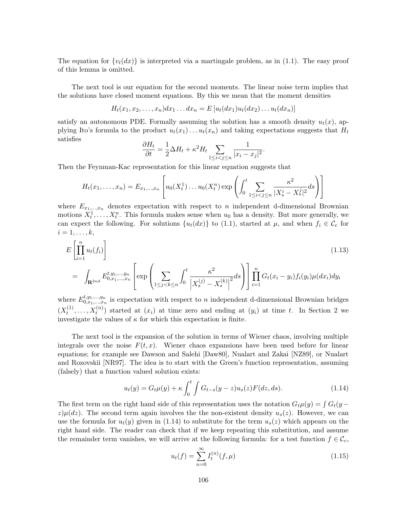The equation for  $\{v_t(dx)\}\$ is interpreted via a martingale problem, as in (1.1). The easy proof of this lemma is omitted.

The next tool is our equation for the second moments. The linear noise term implies that the solutions have closed moment equations. By this we mean that the moment densities

$$
H_t(x_1,x_2,\ldots,x_n)dx_1\ldots dx_n=E[u_t(dx_1)u_t(dx_2)\ldots u_t(dx_n)]
$$

satisfy an autonomous PDE. Formally assuming the solution has a smooth density  $u_t(x)$ , applying Ito's formula to the product  $u_t(x_1) \ldots u_t(x_n)$  and taking expectations suggests that  $H_t$ satisfies

$$
\frac{\partial H_t}{\partial t} = \frac{1}{2} \Delta H_t + \kappa^2 H_t \sum_{1 \le i < j \le n} \frac{1}{|x_i - x_j|^2}.
$$

Then the Feynman-Kac representation for this linear equation suggests that

$$
H_t(x_1,...,x_n) = E_{x_1,...,x_n} \left[ u_0(X_t^1) \dots u_0(X_t^n) \exp \left( \int_0^t \sum_{1 \le i < j \le n} \frac{\kappa^2}{|X_s^i - X_s^j|^2} ds \right) \right]
$$

where  $E_{x_1,...,x_n}$  denotes expectation with respect to n independent d-dimensional Brownian motions  $X_t^1, \ldots, X_t^n$ . This formula makes sense when  $u_0$  has a density. But more generally, we can expect the following. For solutions  $\{u_t(dx)\}\;$  to (1.1), started at  $\mu$ , and when  $f_i \in \mathcal{C}_c$  for  $i=1,\ldots,k,$ 

$$
E\left[\prod_{i=1}^{n} u_t(f_i)\right]
$$
\n
$$
= \int_{\mathbf{R}^{2nd}} E_{0,x_1,...,x_n}^{t,y_1,...,y_n} \left[\exp\left(\sum_{1 \leq j < k \leq n} \int_0^t \frac{\kappa^2}{\left|X_s^{(j)} - X_s^{(k)}\right|^2} ds\right)\right] \prod_{i=1}^{n} G_t(x_i - y_i) f_i(y_i) \mu(dx_i) dy_i
$$
\n(1.13)

where  $E_{0.x_1,...,x_n}^{t,y_1,...,y_n}$  $\binom{l, y_1, \ldots, y_n}{0, x_1, \ldots, x_n}$  is expectation with respect to n independent d-dimensional Brownian bridges  $(X_t^{(1)}$  $x_t^{(1)}, \ldots, X_t^{(n)}$  $t^{(n)}$  started at  $(x_i)$  at time zero and ending at  $(y_i)$  at time t. In Section 2 we investigate the values of  $\kappa$  for which this expectation is finite.

The next tool is the expansion of the solution in terms of Wiener chaos, involving multiple integrals over the noise  $F(t, x)$ . Wiener chaos expansions have been used before for linear equations; for example see Dawson and Salehi [Daw80], Nualart and Zakai [NZ89], or Nualart and Rozovskii [NR97]. The idea is to start with the Green's function representation, assuming (falsely) that a function valued solution exists:

$$
u_t(y) = G_t \mu(y) + \kappa \int_0^t \int G_{t-s}(y-z) u_s(z) F(dz, ds). \tag{1.14}
$$

The first term on the right hand side of this representation uses the notation  $G_t\mu(y) = \int G_t(y - y)$  $z(\mu(dx))$ . The second term again involves the the non-existent density  $u_s(z)$ . However, we can use the formula for  $u_t(y)$  given in (1.14) to substitute for the term  $u_s(z)$  which appears on the right hand side. The reader can check that if we keep repeating this substitution, and assume the remainder term vanishes, we will arrive at the following formula: for a test function  $f \in \mathcal{C}_c$ ,

$$
u_t(f) = \sum_{n=0}^{\infty} I_t^{(n)}(f, \mu)
$$
\n(1.15)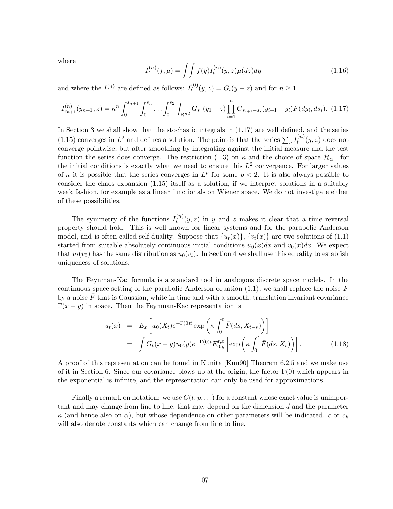where

$$
I_t^{(n)}(f,\mu) = \int \int f(y)I_t^{(n)}(y,z)\mu(dz)dy \qquad (1.16)
$$

and where the  $I^{(n)}$  are defined as follows:  $I_t^{(0)}$  $t_t^{(0)}(y, z) = G_t(y - z)$  and for  $n \ge 1$ 

$$
I_{s_{n+1}}^{(n)}(y_{n+1},z) = \kappa^n \int_0^{s_{n+1}} \int_0^{s_n} \cdots \int_0^{s_2} \int_{\mathbf{R}^{nd}} G_{s_1}(y_1-z) \prod_{i=1}^n G_{s_{i+1}-s_i}(y_{i+1}-y_i) F(dy_i, ds_i). \tag{1.17}
$$

In Section 3 we shall show that the stochastic integrals in (1.17) are well defined, and the series (1.15) converges in  $L^2$  and defines a solution. The point is that the series  $\sum_n I_t^{(n)}$  $t^{(n)}(y, z)$  does not converge pointwise, but after smoothing by integrating against the initial measure and the test function the series does converge. The restriction (1.3) on  $\kappa$  and the choice of space  $\mathcal{H}_{\alpha+}$  for the initial conditions is exactly what we need to ensure this  $L^2$  convergence. For larger values of  $\kappa$  it is possible that the series converges in  $L^p$  for some  $p < 2$ . It is also always possible to consider the chaos expansion (1.15) itself as a solution, if we interpret solutions in a suitably weak fashion, for example as a linear functionals on Wiener space. We do not investigate either of these possibilities.

The symmetry of the functions  $I_t^{(n)}$  $t^{(n)}(y, z)$  in y and z makes it clear that a time reversal property should hold. This is well known for linear systems and for the parabolic Anderson model, and is often called self duality. Suppose that  $\{u_t(x)\}, \{v_t(x)\}\$ are two solutions of (1.1) started from suitable absolutely continuous initial conditions  $u_0(x)dx$  and  $v_0(x)dx$ . We expect that  $u_t(v_0)$  has the same distribution as  $u_0(v_t)$ . In Section 4 we shall use this equality to establish uniqueness of solutions.

The Feynman-Kac formula is a standard tool in analogous discrete space models. In the continuous space setting of the parabolic Anderson equation  $(1.1)$ , we shall replace the noise F by a noise  $F$  that is Gaussian, white in time and with a smooth, translation invariant covariance  $\Gamma(x - y)$  in space. Then the Feynman-Kac representation is

$$
u_t(x) = E_x \left[ u_0(X_t) e^{-\Gamma(0)t} \exp\left(\kappa \int_0^t \bar{F}(ds, X_{t-s})\right) \right]
$$
  
= 
$$
\int G_t(x-y) u_0(y) e^{-\Gamma(0)t} E_{0,y}^{t,x} \left[ \exp\left(\kappa \int_0^t \bar{F}(ds, X_s)\right) \right].
$$
 (1.18)

A proof of this representation can be found in Kunita [Kun90] Theorem 6.2.5 and we make use of it in Section 6. Since our covariance blows up at the origin, the factor  $\Gamma(0)$  which appears in the exponential is infinite, and the representation can only be used for approximations.

Finally a remark on notation: we use  $C(t, p, \ldots)$  for a constant whose exact value is unimportant and may change from line to line, that may depend on the dimension d and the parameter  $\kappa$  (and hence also on  $\alpha$ ), but whose dependence on other parameters will be indicated. c or  $c_k$ will also denote constants which can change from line to line.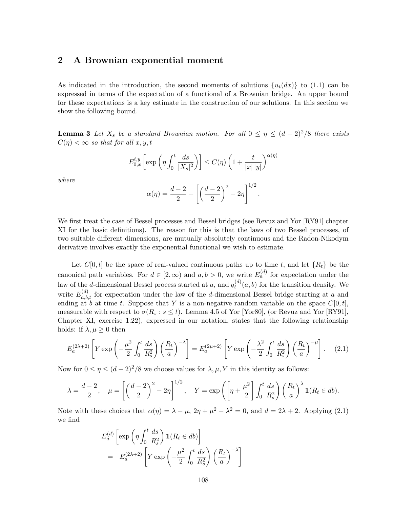# 2 A Brownian exponential moment

As indicated in the introduction, the second moments of solutions  $\{u_t(dx)\}\;$  to (1.1) can be expressed in terms of the expectation of a functional of a Brownian bridge. An upper bound for these expectations is a key estimate in the construction of our solutions. In this section we show the following bound.

**Lemma 3** Let  $X_s$  be a standard Brownian motion. For all  $0 \leq \eta \leq (d-2)^2/8$  there exists  $C(\eta) < \infty$  so that for all  $x, y, t$ 

$$
E_{0,x}^{t,y}\left[\exp\left(\eta \int_0^t \frac{ds}{|X_s|^2}\right)\right] \le C(\eta)\left(1 + \frac{t}{|x|\,|y|}\right)^{\alpha(\eta)}
$$

where

$$
\alpha(\eta) = \frac{d-2}{2} - \left[ \left( \frac{d-2}{2} \right)^2 - 2\eta \right]^{1/2}.
$$

We first treat the case of Bessel processes and Bessel bridges (see Revuz and Yor [RY91] chapter XI for the basic definitions). The reason for this is that the laws of two Bessel processes, of two suitable different dimensions, are mutually absolutely continuous and the Radon-Nikodym derivative involves exactly the exponential functional we wish to estimate.

Let  $C[0,t]$  be the space of real-valued continuous paths up to time t, and let  $\{R_t\}$  be the canonical path variables. For  $d \in [2, \infty)$  and  $a, b > 0$ , we write  $E_a^{(d)}$  for expectation under the law of the *d*-dimensional Bessel process started at *a*, and  $q_t^{(d)}$  $t^{(a)}(a, b)$  for the transition density. We write  $E_{a,b,t}^{(d)}$  for expectation under the law of the d-dimensional Bessel bridge starting at a and ending at b at time t. Suppose that Y is a non-negative random variable on the space  $C[0,t]$ , measurable with respect to  $\sigma(R_s : s \leq t)$ . Lemma 4.5 of Yor [Yor80], (or Revuz and Yor [RY91], Chapter XI, exercise 1.22), expressed in our notation, states that the following relationship holds: if  $\lambda, \mu \geq 0$  then

$$
E_a^{(2\lambda+2)}\left[Y \exp\left(-\frac{\mu^2}{2} \int_0^t \frac{ds}{R_s^2}\right) \left(\frac{R_t}{a}\right)^{-\lambda}\right] = E_a^{(2\mu+2)}\left[Y \exp\left(-\frac{\lambda^2}{2} \int_0^t \frac{ds}{R_s^2}\right) \left(\frac{R_t}{a}\right)^{-\mu}\right].
$$
 (2.1)

Now for  $0 \le \eta \le (d-2)^2/8$  we choose values for  $\lambda, \mu, Y$  in this identity as follows:

$$
\lambda = \frac{d-2}{2}, \quad \mu = \left[ \left( \frac{d-2}{2} \right)^2 - 2\eta \right]^{1/2}, \quad Y = \exp\left( \left[ \eta + \frac{\mu^2}{2} \right] \int_0^t \frac{ds}{R_s^2} \right) \left( \frac{R_t}{a} \right)^\lambda \mathbf{1}(R_t \in db).
$$

Note with these choices that  $\alpha(\eta) = \lambda - \mu$ ,  $2\eta + \mu^2 - \lambda^2 = 0$ , and  $d = 2\lambda + 2$ . Applying (2.1) we find

$$
E_a^{(d)} \left[ \exp\left(\eta \int_0^t \frac{ds}{R_s^2} \right) \mathbf{1}(R_t \in db) \right]
$$
  
=  $E_a^{(2\lambda+2)} \left[ Y \exp\left(-\frac{\mu^2}{2} \int_0^t \frac{ds}{R_s^2} \right) \left(\frac{R_t}{a}\right)^{-\lambda} \right]$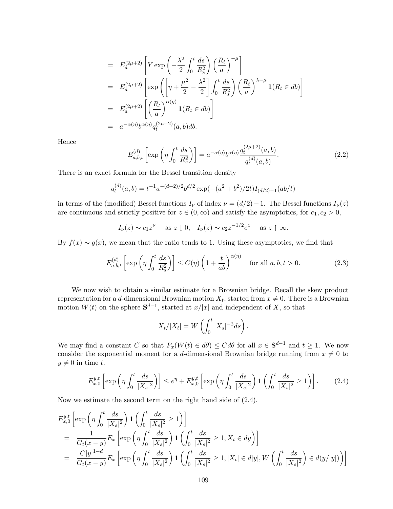$$
= E_a^{(2\mu+2)} \left[ Y \exp\left( -\frac{\lambda^2}{2} \int_0^t \frac{ds}{R_s^2} \right) \left( \frac{R_t}{a} \right)^{-\mu} \right]
$$
  
\n
$$
= E_a^{(2\mu+2)} \left[ \exp\left( \left[ \eta + \frac{\mu^2}{2} - \frac{\lambda^2}{2} \right] \int_0^t \frac{ds}{R_s^2} \right) \left( \frac{R_t}{a} \right)^{\lambda - \mu} \mathbf{1}(R_t \in db) \right]
$$
  
\n
$$
= E_a^{(2\mu+2)} \left[ \left( \frac{R_t}{a} \right)^{\alpha(\eta)} \mathbf{1}(R_t \in db) \right]
$$
  
\n
$$
= a^{-\alpha(\eta)} b^{\alpha(\eta)} q_t^{(2\mu+2)}(a, b) db.
$$

Hence

$$
E_{a,b,t}^{(d)}\left[\exp\left(\eta \int_0^t \frac{ds}{R_s^2}\right)\right] = a^{-\alpha(\eta)}b^{\alpha(\eta)}\frac{q_t^{(2\mu+2)}(a,b)}{q_t^{(d)}(a,b)}.
$$
\n(2.2)

There is an exact formula for the Bessel transition density

$$
q_t^{(d)}(a,b) = t^{-1}a^{-(d-2)/2}b^{d/2}\exp(-(a^2+b^2)/2t)I_{(d/2)-1}(ab/t)
$$

in terms of the (modified) Bessel functions  $I_{\nu}$  of index  $\nu = (d/2) - 1$ . The Bessel functions  $I_{\nu}(z)$ are continuous and strictly positive for  $z \in (0, \infty)$  and satisfy the asymptotics, for  $c_1, c_2 > 0$ ,

$$
I_{\nu}(z) \sim c_1 z^{\nu}
$$
 as  $z \downarrow 0$ ,  $I_{\nu}(z) \sim c_2 z^{-1/2} e^z$  as  $z \uparrow \infty$ .

By  $f(x) \sim g(x)$ , we mean that the ratio tends to 1. Using these asymptotics, we find that

$$
E_{a,b,t}^{(d)}\left[\exp\left(\eta \int_0^t \frac{ds}{R_s^2}\right)\right] \le C(\eta) \left(1 + \frac{t}{ab}\right)^{\alpha(\eta)} \quad \text{for all } a, b, t > 0. \tag{2.3}
$$

We now wish to obtain a similar estimate for a Brownian bridge. Recall the skew product representation for a d-dimensional Brownian motion  $X_t$ , started from  $x \neq 0$ . There is a Brownian motion  $W(t)$  on the sphere  $\mathbf{S}^{d-1}$ , started at  $x/|x|$  and independent of X, so that

$$
X_t/|X_t| = W\left(\int_0^t |X_s|^{-2}ds\right).
$$

We may find a constant C so that  $P_x(W(t) \in d\theta) \leq C d\theta$  for all  $x \in S^{d-1}$  and  $t \geq 1$ . We now consider the exponential moment for a d-dimensional Brownian bridge running from  $x \neq 0$  to  $y \neq 0$  in time t.

$$
E_{x,0}^{y,t}\left[\exp\left(\eta \int_0^t \frac{ds}{|X_s|^2}\right)\right] \le e^{\eta} + E_{x,0}^{y,t}\left[\exp\left(\eta \int_0^t \frac{ds}{|X_s|^2}\right) \mathbf{1}\left(\int_0^t \frac{ds}{|X_s|^2} \ge 1\right)\right].\tag{2.4}
$$

Now we estimate the second term on the right hand side of (2.4).

$$
E_{x,0}^{y,t} \left[ \exp \left( \eta \int_0^t \frac{ds}{|X_s|^2} \right) \mathbf{1} \left( \int_0^t \frac{ds}{|X_s|^2} \ge 1 \right) \right]
$$
  
= 
$$
\frac{1}{G_t(x-y)} E_x \left[ \exp \left( \eta \int_0^t \frac{ds}{|X_s|^2} \right) \mathbf{1} \left( \int_0^t \frac{ds}{|X_s|^2} \ge 1, X_t \in dy \right) \right]
$$
  
= 
$$
\frac{C|y|^{1-d}}{G_t(x-y)} E_x \left[ \exp \left( \eta \int_0^t \frac{ds}{|X_s|^2} \right) \mathbf{1} \left( \int_0^t \frac{ds}{|X_s|^2} \ge 1, |X_t| \in d|y|, W \left( \int_0^t \frac{ds}{|X_s|^2} \right) \in d(y/|y|) \right) \right]
$$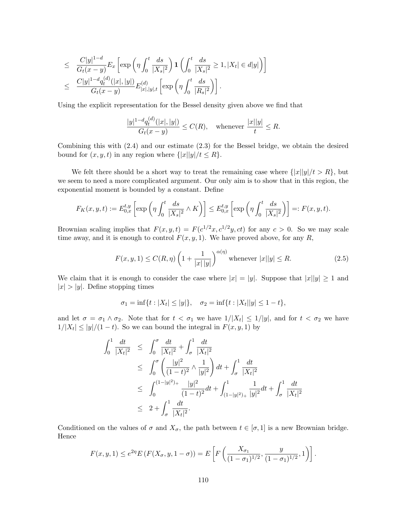$$
\leq \frac{C|y|^{1-d}}{G_t(x-y)} E_x \left[ \exp\left(\eta \int_0^t \frac{ds}{|X_s|^2}\right) \mathbf{1} \left( \int_0^t \frac{ds}{|X_s|^2} \geq 1, |X_t| \in d|y| \right) \right]
$$
  

$$
\leq \frac{C|y|^{1-d} q_t^{(d)}(|x|, |y|)}{G_t(x-y)} E_{|x|, |y|, t}^{(d)} \left[ \exp\left(\eta \int_0^t \frac{ds}{|R_s|^2}\right) \right].
$$

Using the explicit representation for the Bessel density given above we find that

$$
\frac{|y|^{1-d}q_t^{(d)}(|x|,|y|)}{G_t(x-y)} \le C(R), \quad \text{whenever } \frac{|x||y|}{t} \le R.
$$

Combining this with (2.4) and our estimate (2.3) for the Bessel bridge, we obtain the desired bound for  $(x, y, t)$  in any region where  $\{|x||y|/t \leq R\}$ .

We felt there should be a short way to treat the remaining case where  $\{|x||y|/t > R\}$ , but we seem to need a more complicated argument. Our only aim is to show that in this region, the exponential moment is bounded by a constant. Define

$$
F_K(x,y,t) := E_{0,x}^{t,y}\left[\exp\left(\eta \int_0^t \frac{ds}{|X_s|^2} \wedge K\right)\right] \le E_{0,x}^{t,y}\left[\exp\left(\eta \int_0^t \frac{ds}{|X_s|^2}\right)\right] =: F(x,y,t).
$$

Brownian scaling implies that  $F(x, y, t) = F(c^{1/2}x, c^{1/2}y, ct)$  for any  $c > 0$ . So we may scale time away, and it is enough to control  $F(x, y, 1)$ . We have proved above, for any R,

$$
F(x, y, 1) \le C(R, \eta) \left( 1 + \frac{1}{|x| |y|} \right)^{\alpha(\eta)} \text{ whenever } |x||y| \le R. \tag{2.5}
$$

We claim that it is enough to consider the case where  $|x| = |y|$ . Suppose that  $|x||y| \geq 1$  and  $|x| > |y|$ . Define stopping times

$$
\sigma_1 = \inf\{t : |X_t| \le |y|\}, \quad \sigma_2 = \inf\{t : |X_t||y| \le 1-t\},\
$$

and let  $\sigma = \sigma_1 \wedge \sigma_2$ . Note that for  $t < \sigma_1$  we have  $1/|X_t| \leq 1/|y|$ , and for  $t < \sigma_2$  we have  $1/|X_t| \le |y|/(1-t)$ . So we can bound the integral in  $F(x, y, 1)$  by

$$
\int_0^1 \frac{dt}{|X_t|^2} \leq \int_0^{\sigma} \frac{dt}{|X_t|^2} + \int_{\sigma}^1 \frac{dt}{|X_t|^2}
$$
\n
$$
\leq \int_0^{\sigma} \left( \frac{|y|^2}{(1-t)^2} \wedge \frac{1}{|y|^2} \right) dt + \int_{\sigma}^1 \frac{dt}{|X_t|^2}
$$
\n
$$
\leq \int_0^{(1-|y|^2)_+} \frac{|y|^2}{(1-t)^2} dt + \int_{(1-|y|^2)_+}^1 \frac{1}{|y|^2} dt + \int_{\sigma}^1 \frac{dt}{|X_t|^2}
$$
\n
$$
\leq 2 + \int_{\sigma}^1 \frac{dt}{|X_t|^2}.
$$

Conditioned on the values of  $\sigma$  and  $X_{\sigma}$ , the path between  $t \in [\sigma, 1]$  is a new Brownian bridge. Hence

$$
F(x, y, 1) \le e^{2\eta} E(F(X_{\sigma}, y, 1 - \sigma)) = E\left[F\left(\frac{X_{\sigma_1}}{(1 - \sigma_1)^{1/2}}, \frac{y}{(1 - \sigma_1)^{1/2}}, 1\right)\right].
$$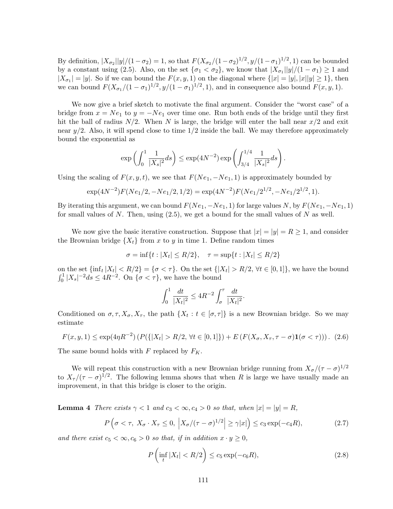By definition,  $|X_{\sigma_2}||y|/(1-\sigma_2) = 1$ , so that  $F(X_{\sigma_2}/(1-\sigma_2)^{1/2}, y/(1-\sigma_1)^{1/2}, 1)$  can be bounded by a constant using (2.5). Also, on the set  $\{\sigma_1 < \sigma_2\}$ , we know that  $|X_{\sigma_1}||y|/(1 - \sigma_1) \ge 1$  and  $|X_{\sigma_1}| = |y|$ . So if we can bound the  $F(x, y, 1)$  on the diagonal where  $\{|x| = |y|, |x||y| \ge 1\}$ , then we can bound  $F(X_{\sigma_1}/(1-\sigma_1)^{1/2}, y/(1-\sigma_1)^{1/2}, 1)$ , and in consequence also bound  $F(x, y, 1)$ .

We now give a brief sketch to motivate the final argument. Consider the "worst case" of a bridge from  $x = Ne_1$  to  $y = -Ne_1$  over time one. Run both ends of the bridge until they first hit the ball of radius  $N/2$ . When N is large, the bridge will enter the ball near  $x/2$  and exit near  $y/2$ . Also, it will spend close to time  $1/2$  inside the ball. We may therefore approximately bound the exponential as

$$
\exp\left(\int_0^1 \frac{1}{|X_s|^2} ds\right) \le \exp(4N^{-2}) \exp\left(\int_{3/4}^{1/4} \frac{1}{|X_s|^2} ds\right).
$$

Using the scaling of  $F(x, y, t)$ , we see that  $F(Ne_1, -Ne_1, 1)$  is approximately bounded by

$$
\exp(4N^{-2})F(Ne_1/2, -Ne_1/2, 1/2) = \exp(4N^{-2})F(Ne_1/2^{1/2}, -Ne_1/2^{1/2}, 1).
$$

By iterating this argument, we can bound  $F(Ne_1, -Ne_1, 1)$  for large values N, by  $F(Ne_1, -Ne_1, 1)$ for small values of N. Then, using  $(2.5)$ , we get a bound for the small values of N as well.

We now give the basic iterative construction. Suppose that  $|x| = |y| = R \ge 1$ , and consider the Brownian bridge  $\{X_t\}$  from x to y in time 1. Define random times

$$
\sigma = \inf\{t : |X_t| \le R/2\}, \quad \tau = \sup\{t : |X_t| \le R/2\}
$$

on the set  $\{\inf_t |X_t| < R/2\} = \{\sigma < \tau\}.$  On the set  $\{|X_t| > R/2, \forall t \in [0,1]\}$ , we have the bound  $\int_0^1 |X_s|^{-2} ds \le 4R^{-2}$ . On  $\{\sigma < \tau\}$ , we have the bound

$$
\int_0^1 \frac{dt}{|X_t|^2} \le 4R^{-2} \int_\sigma^\tau \frac{dt}{|X_t|^2}.
$$

Conditioned on  $\sigma, \tau, X_{\sigma}, X_{\tau}$ , the path  $\{X_t : t \in [\sigma, \tau]\}$  is a new Brownian bridge. So we may estimate

$$
F(x, y, 1) \le \exp(4\eta R^{-2}) \left( P(\{|X_t| > R/2, \forall t \in [0, 1]\}) + E\left( F(X_{\sigma}, X_{\tau}, \tau - \sigma) \mathbf{1}(\sigma < \tau) \right) \right). \tag{2.6}
$$

The same bound holds with F replaced by  $F_K$ .

We will repeat this construction with a new Brownian bridge running from  $X_{\sigma}/(\tau-\sigma)^{1/2}$ to  $X_{\tau}/(\tau - \sigma)^{1/2}$ . The following lemma shows that when R is large we have usually made an improvement, in that this bridge is closer to the origin.

**Lemma 4** There exists  $\gamma < 1$  and  $c_3 < \infty, c_4 > 0$  so that, when  $|x| = |y| = R$ ,

$$
P\left(\sigma < \tau, \ X_{\sigma} \cdot X_{\tau} \le 0, \ \left|X_{\sigma}/(\tau - \sigma)^{1/2}\right| \ge \gamma |x|\right) \le c_3 \exp(-c_4 R),\tag{2.7}
$$

and there exist  $c_5 < \infty, c_6 > 0$  so that, if in addition  $x \cdot y \ge 0$ ,

$$
P\left(\inf_{t}|X_{t}| < R/2\right) \leq c_{5}\exp(-c_{6}R),\tag{2.8}
$$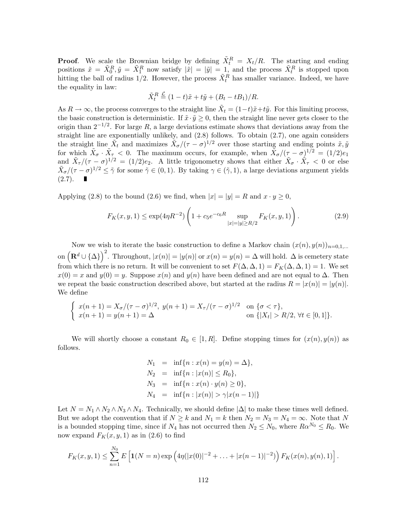**Proof.** We scale the Brownian bridge by defining  $\tilde{X}_t^R = X_t/R$ . The starting and ending positions  $\tilde{x} = \tilde{X}_0^R$ ,  $\tilde{y} = \tilde{X}_1^R$  now satisfy  $|\tilde{x}| = |\tilde{y}| = 1$ , and the process  $\tilde{X}_t^R$  is stopped upon hitting the ball of radius 1/2. However, the process  $\tilde{X}_t^R$  has smaller variance. Indeed, we have the equality in law:

$$
\tilde{X}_t^R \stackrel{\mathcal{L}}{=} (1-t)\tilde{x} + t\tilde{y} + (B_t - tB_1)/R.
$$

As  $R \to \infty$ , the process converges to the straight line  $\tilde{X}_t = (1-t)\tilde{x} + t\tilde{y}$ . For this limiting process, the basic construction is deterministic. If  $\tilde{x} \cdot \tilde{y} \geq 0$ , then the straight line never gets closer to the origin than  $2^{-1/2}$ . For large R, a large deviations estimate shows that deviations away from the straight line are exponentially unlikely, and (2.8) follows. To obtain (2.7), one again considers the straight line  $\tilde{X}_t$  and maximizes  $\tilde{X}_\sigma/(\tau-\sigma)^{1/2}$  over those starting and ending points  $\tilde{x}, \tilde{y}$ for which  $\tilde{X}_{\sigma} \cdot \tilde{X}_{\tau} < 0$ . The maximum occurs, for example, when  $\tilde{X}_{\sigma}/(\tau - \sigma)^{1/2} = (1/2)e_1$ and  $\tilde{X}_{\tau}/(\tau-\sigma)^{1/2} = (1/2)e_2$ . A little trigonometry shows that either  $\tilde{X}_{\sigma} \cdot \tilde{X}_{\tau} < 0$  or else  $\tilde{X}_{\sigma}/(\tau-\sigma)^{1/2} \leq \tilde{\gamma}$  for some  $\tilde{\gamma} \in (0,1)$ . By taking  $\gamma \in (\tilde{\gamma},1)$ , a large deviations argument yields  $(2.7).$ 

Applying (2.8) to the bound (2.6) we find, when  $|x| = |y| = R$  and  $x \cdot y \ge 0$ ,

$$
F_K(x, y, 1) \le \exp(4\eta R^{-2}) \left( 1 + c_5 e^{-c_6 R} \sup_{|x|=|y|\ge R/2} F_K(x, y, 1) \right). \tag{2.9}
$$

Now we wish to iterate the basic construction to define a Markov chain  $(x(n), y(n))_{n=0,1,\dots}$ on  $\left(\mathbf{R}^d\cup\{\Delta\}\right)^2$ . Throughout,  $|x(n)| = |y(n)|$  or  $x(n) = y(n) = \Delta$  will hold.  $\Delta$  is cemetery state from which there is no return. It will be convenient to set  $F(\Delta, \Delta, 1) = F_K(\Delta, \Delta, 1) = 1$ . We set  $x(0) = x$  and  $y(0) = y$ . Suppose  $x(n)$  and  $y(n)$  have been defined and are not equal to  $\Delta$ . Then we repeat the basic construction described above, but started at the radius  $R = |x(n)| = |y(n)|$ . We define

$$
\begin{cases}\n x(n+1) = X_{\sigma}/(\tau - \sigma)^{1/2}, \ y(n+1) = X_{\tau}/(\tau - \sigma)^{1/2} & \text{on } \{\sigma < \tau\}, \\
 x(n+1) = y(n+1) = \Delta & \text{on } \{|X_t| > R/2, \forall t \in [0,1]\}.\n\end{cases}
$$

We will shortly choose a constant  $R_0 \in [1, R]$ . Define stopping times for  $(x(n), y(n))$  as follows.

$$
N_1 = \inf\{n : x(n) = y(n) = \Delta\},
$$
  
\n
$$
N_2 = \inf\{n : |x(n)| \le R_0\},
$$
  
\n
$$
N_3 = \inf\{n : x(n) \cdot y(n) \ge 0\},
$$
  
\n
$$
N_4 = \inf\{n : |x(n)| > \gamma |x(n-1)|\}
$$

Let  $N = N_1 \wedge N_2 \wedge N_3 \wedge N_4$ . Technically, we should define  $|\Delta|$  to make these times well defined. But we adopt the convention that if  $N \geq k$  and  $N_1 = k$  then  $N_2 = N_3 = N_4 = \infty$ . Note that N is a bounded stopping time, since if  $N_4$  has not occurred then  $N_2 \le N_0$ , where  $R\alpha^{N_0} \le R_0$ . We now expand  $F_K(x, y, 1)$  as in (2.6) to find

$$
F_K(x, y, 1) \leq \sum_{n=1}^{N_0} E\left[\mathbf{1}(N=n) \exp\left(4\eta(|x(0)|^{-2} + \ldots + |x(n-1)|^{-2})\right) F_K(x(n), y(n), 1)\right].
$$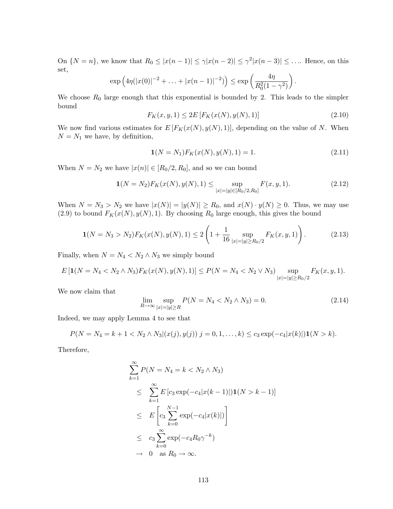On  $\{N = n\}$ , we know that  $R_0 \leq |x(n-1)| \leq \gamma |x(n-2)| \leq \gamma^2 |x(n-3)| \leq \ldots$  Hence, on this set,

$$
\exp\left(4\eta(|x(0)|^{-2}+\ldots+|x(n-1)|^{-2})\right)\leq \exp\left(\frac{4\eta}{R_0^2(1-\gamma^2)}\right).
$$

We choose  $R_0$  large enough that this exponential is bounded by 2. This leads to the simpler bound

$$
F_K(x, y, 1) \le 2E \left[ F_K(x(N), y(N), 1) \right] \tag{2.10}
$$

We now find various estimates for  $E[F_K(x(N), y(N), 1)]$ , depending on the value of N. When  $N = N_1$  we have, by definition,

$$
\mathbf{1}(N = N_1)F_K(x(N), y(N), 1) = 1. \tag{2.11}
$$

When  $N = N_2$  we have  $|x(n)| \in [R_0/2, R_0]$ , and so we can bound

$$
\mathbf{1}(N = N_2) F_K(x(N), y(N), 1) \le \sup_{|x| = |y| \in [R_0/2, R_0]} F(x, y, 1).
$$
\n(2.12)

When  $N = N_3 > N_2$  we have  $|x(N)| = |y(N)| \ge R_0$ , and  $x(N) \cdot y(N) \ge 0$ . Thus, we may use (2.9) to bound  $F_K(x(N), y(N), 1)$ . By choosing  $R_0$  large enough, this gives the bound

$$
\mathbf{1}(N = N_3 > N_2) F_K(x(N), y(N), 1) \le 2 \left( 1 + \frac{1}{16} \sup_{|x| = |y| \ge R_0/2} F_K(x, y, 1) \right). \tag{2.13}
$$

Finally, when  $N = N_4 < N_2 \wedge N_3$  we simply bound

$$
E\left[\mathbf{1}(N=N_4 < N_2 \land N_3)F_K(x(N), y(N), 1)\right] \le P(N = N_4 < N_2 \lor N_3) \sup_{|x|=|y|\ge R_0/2} F_K(x, y, 1).
$$

We now claim that

$$
\lim_{R \to \infty} \sup_{|x| = |y| \ge R} P(N = N_4 < N_2 \land N_3) = 0. \tag{2.14}
$$

Indeed, we may apply Lemma 4 to see that

$$
P(N = N_4 = k + 1 < N_2 \land N_3 | (x(j), y(j)) j = 0, 1, \ldots, k) \leq c_3 \exp(-c_4 |x(k)|) \mathbf{1}(N > k).
$$

Therefore,

$$
\sum_{k=1}^{\infty} P(N = N_4 = k < N_2 \land N_3)
$$
\n
$$
\leq \sum_{k=1}^{\infty} E\left[c_3 \exp(-c_4 |x(k-1)|)\mathbf{1}(N > k-1)\right]
$$
\n
$$
\leq E\left[c_3 \sum_{k=0}^{N-1} \exp(-c_4 |x(k)|)\right]
$$
\n
$$
\leq c_3 \sum_{k=0}^{\infty} \exp(-c_4 R_0 \gamma^{-k})
$$
\n
$$
\to 0 \text{ as } R_0 \to \infty.
$$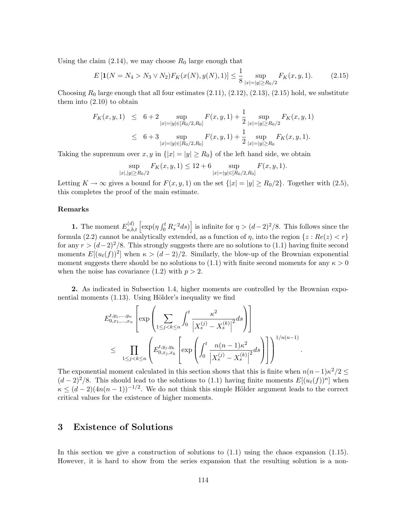Using the claim  $(2.14)$ , we may choose  $R_0$  large enough that

$$
E\left[\mathbf{1}(N=N_4>N_3\vee N_2)F_K(x(N),y(N),1)\right] \le \frac{1}{8}\sup_{|x|=|y|\ge R_0/2}F_K(x,y,1). \tag{2.15}
$$

Choosing  $R_0$  large enough that all four estimates  $(2.11), (2.12), (2.13), (2.15)$  hold, we substitute them into  $(2.10)$  to obtain

$$
F_K(x, y, 1) \leq 6 + 2 \sup_{|x|=|y| \in [R_0/2, R_0]} F(x, y, 1) + \frac{1}{2} \sup_{|x|=|y| \ge R_0/2} F_K(x, y, 1)
$$
  

$$
\leq 6 + 3 \sup_{|x|=|y| \in [R_0/2, R_0]} F(x, y, 1) + \frac{1}{2} \sup_{|x|=|y| \ge R_0} F_K(x, y, 1).
$$

Taking the supremum over  $x, y$  in  $\{|x| = |y| \ge R_0\}$  of the left hand side, we obtain

$$
\sup_{|x|,|y|\ge R_0/2} F_K(x,y,1) \le 12 + 6 \sup_{|x|=|y|\in[R_0/2,R_0]} F(x,y,1).
$$

Letting  $K \to \infty$  gives a bound for  $F(x, y, 1)$  on the set  $\{|x| = |y| \ge R_0/2\}$ . Together with  $(2.5)$ , this completes the proof of the main estimate.

#### Remarks

**1.** The moment  $E_{a,b,t}^{(d)}$   $\left[\exp(\eta \int_0^t R_s^{-2} ds)\right]$  is infinite for  $\eta > (d-2)^2/8$ . This follows since the formula (2.2) cannot be analytically extended, as a function of  $\eta$ , into the region  $\{z : Re(z) < r\}$ for any  $r > (d-2)^2/8$ . This strongly suggests there are no solutions to (1.1) having finite second moments  $E[(u_t(f))^2]$  when  $\kappa > (d-2)/2$ . Similarly, the blow-up of the Brownian exponential moment suggests there should be no solutions to (1.1) with finite second moments for any  $\kappa > 0$ when the noise has covariance  $(1.2)$  with  $p > 2$ .

2. As indicated in Subsection 1.4, higher moments are controlled by the Brownian exponential moments  $(1.13)$ . Using Hölder's inequality we find

$$
E_{0,x_1,...,x_n}^{t,y_1,...,y_n} \left[ \exp \left( \sum_{1 \le j < k \le n} \int_0^t \frac{\kappa^2}{\left| X_s^{(j)} - X_s^{(k)} \right|^2} ds \right) \right]
$$
\n
$$
\le \prod_{1 \le j < k \le n} \left( E_{0,x_j,x_k}^{t,y_j,y_k} \left[ \exp \left( \int_0^t \frac{n(n-1)\kappa^2}{\left| X_s^{(j)} - X_s^{(k)} \right|^2} ds \right) \right] \right)^{1/n(n-1)}
$$

.

The exponential moment calculated in this section shows that this is finite when  $n(n-1)\kappa^2/2 \leq$  $(d-2)^2/8$ . This should lead to the solutions to (1.1) having finite moments  $E[(u_t(f))^n]$  when  $\kappa \leq (d-2)(4n(n-1))^{-1/2}$ . We do not think this simple Hölder argument leads to the correct critical values for the existence of higher moments.

## 3 Existence of Solutions

In this section we give a construction of solutions to (1.1) using the chaos expansion (1.15). However, it is hard to show from the series expansion that the resulting solution is a non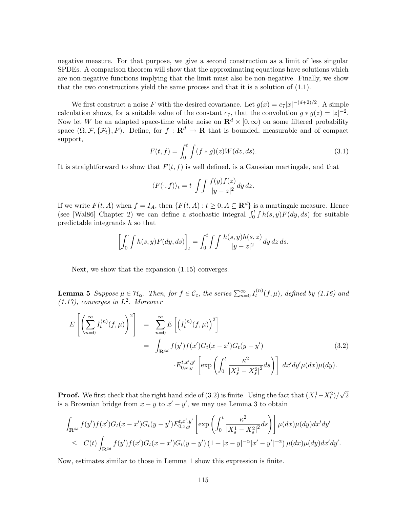negative measure. For that purpose, we give a second construction as a limit of less singular SPDEs. A comparison theorem will show that the approximating equations have solutions which are non-negative functions implying that the limit must also be non-negative. Finally, we show that the two constructions yield the same process and that it is a solution of (1.1).

We first construct a noise F with the desired covariance. Let  $g(x) = c_7|x|^{-(d+2)/2}$ . A simple calculation shows, for a suitable value of the constant  $c_7$ , that the convolution  $g * g(z) = |z|^{-2}$ . Now let W be an adapted space-time white noise on  $\mathbb{R}^d \times [0,\infty)$  on some filtered probability space  $(\Omega, \mathcal{F}, \{\mathcal{F}_t\}, P)$ . Define, for  $f : \mathbf{R}^d \to \mathbf{R}$  that is bounded, measurable and of compact support,

$$
F(t,f) = \int_0^t \int (f * g)(z)W(dz, ds). \tag{3.1}
$$

It is straightforward to show that  $F(t, f)$  is well defined, is a Gaussian martingale, and that

$$
\langle F(\cdot, f) \rangle_t = t \int \int \frac{f(y)f(z)}{|y - z|^2} dy dz.
$$

If we write  $F(t, A)$  when  $f = I_A$ , then  $\{F(t, A) : t \geq 0, A \subseteq \mathbb{R}^d\}$  is a martingale measure. Hence (see [Wal86] Chapter 2) we can define a stochastic integral  $\int_0^t \int h(s, y) F(dy, ds)$  for suitable predictable integrands  $h$  so that

$$
\left[\int_0^{\cdot} \int h(s,y) F(dy, ds)\right]_t = \int_0^t \int \int \frac{h(s,y)h(s,z)}{|y-z|^2} dy dz ds.
$$

Next, we show that the expansion (1.15) converges.

**Lemma 5** Suppose  $\mu \in \mathcal{H}_{\alpha}$ . Then, for  $f \in \mathcal{C}_c$ , the series  $\sum_{n=0}^{\infty} I_t^{(n)}$  $t_t^{(n)}(f,\mu)$ , defined by  $(1.16)$  and  $(1.17)$ , converges in  $L^2$ . Moreover

$$
E\left[\left(\sum_{n=0}^{\infty} I_t^{(n)}(f,\mu)\right)^2\right] = \sum_{n=0}^{\infty} E\left[\left(I_t^{(n)}(f,\mu)\right)^2\right]
$$
  

$$
= \int_{\mathbf{R}^{4d}} f(y')f(x')G_t(x-x')G_t(y-y')
$$
(3.2)  

$$
E_{0,x,y}^{t,x',y'}\left[\exp\left(\int_0^t \frac{\kappa^2}{|X_s^1 - X_s^2|^2}ds\right)\right] dx'dy'\mu(dx)\mu(dy).
$$

**Proof.** We first check that the right hand side of (3.2) is finite. Using the fact that  $(X_t^1 - X_t^2)/\sqrt{2}$ is a Brownian bridge from  $x - y$  to  $x' - y'$ , we may use Lemma 3 to obtain

$$
\int_{\mathbf{R}^{4d}} f(y') f(x') G_t(x - x') G_t(y - y') E_{0,x,y}^{t,x',y'} \left[ \exp \left( \int_0^t \frac{\kappa^2}{|X_s^1 - X_s^2|^2} ds \right) \right] \mu(dx) \mu(dy) dx'dy'
$$
\n
$$
\leq C(t) \int_{\mathbf{R}^{4d}} f(y') f(x') G_t(x - x') G_t(y - y') (1 + |x - y|^{-\alpha} |x' - y'|^{-\alpha}) \mu(dx) \mu(dy) dx'dy'.
$$

Now, estimates similar to those in Lemma 1 show this expression is finite.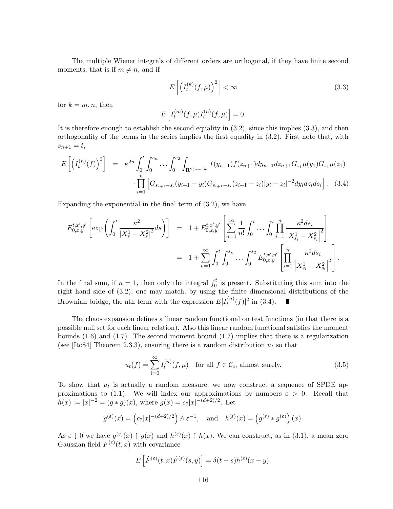The multiple Wiener integrals of different orders are orthogonal, if they have finite second moments; that is if  $m \neq n$ , and if

$$
E\left[\left(I_t^{(k)}(f,\mu)\right)^2\right] < \infty \tag{3.3}
$$

for  $k = m, n$ , then

$$
E\left[I_t^{(m)}(f,\mu)I_t^{(n)}(f,\mu)\right] = 0.
$$

It is therefore enough to establish the second equality in (3.2), since this implies (3.3), and then orthogonality of the terms in the series implies the first equality in (3.2). First note that, with  $s_{n+1} = t,$ 

$$
E\left[\left(I_t^{(n)}(f)\right)^2\right] = \kappa^{2n} \int_0^t \int_0^{s_n} \dots \int_0^{s_2} \int_{\mathbf{R}^{2(n+1)d}} f(y_{n+1}) f(z_{n+1}) dy_{n+1} dz_{n+1} G_{s_1} \mu(y_1) G_{s_1} \mu(z_1)
$$

$$
\cdot \prod_{i=1}^n \left[G_{s_{i+1}-s_i}(y_{i+1}-y_i) G_{s_{i+1}-s_i}(z_{i+1}-z_i) | y_i-z_i|^{-2} dy_i dz_i ds_i\right]. \tag{3.4}
$$

Expanding the exponential in the final term of (3.2), we have

$$
E_{0,x,y}^{t,x',y'}\left[\exp\left(\int_0^t \frac{\kappa^2}{|X_s^1 - X_s^2|^2} ds\right)\right] = 1 + E_{0,x,y}^{t,x',y'}\left[\sum_{n=1}^{\infty} \frac{1}{n!} \int_0^t \ldots \int_0^t \prod_{i=1}^n \frac{\kappa^2 ds_i}{|X_{s_i}^1 - X_{s_i}^2|^2}\right]
$$
  

$$
= 1 + \sum_{n=1}^{\infty} \int_0^t \int_0^{s_n} \ldots \int_0^{s_2} E_{0,x,y}^{t,x',y'}\left[\prod_{i=1}^n \frac{\kappa^2 ds_i}{|X_{s_i}^1 - X_{s_i}^2|^2}\right].
$$

In the final sum, if  $n = 1$ , then only the integral  $\int_0^t$  is present. Substituting this sum into the right hand side of (3.2), one may match, by using the finite dimensional distributions of the Brownian bridge, the nth term with the expression  $E[I_t^{(n)}]$  $t^{(n)}(f)]^2$  in (3.4).

The chaos expansion defines a linear random functional on test functions (in that there is a possible null set for each linear relation). Also this linear random functional satisfies the moment bounds  $(1.6)$  and  $(1.7)$ . The second moment bound  $(1.7)$  implies that there is a regularization (see [Ito84] Theorem 2.3.3), ensuring there is a random distribution  $u_t$  so that

$$
u_t(f) = \sum_{i=0}^{\infty} I_t^{(n)}(f, \mu) \quad \text{for all } f \in \mathcal{C}_c \text{, almost surely.}
$$
 (3.5)

To show that  $u_t$  is actually a random measure, we now construct a sequence of SPDE approximations to (1.1). We will index our approximations by numbers  $\varepsilon > 0$ . Recall that  $h(x) := |x|^{-2} = (g * g)(x)$ , where  $g(x) = c_7 |x|^{-(d+2)/2}$ . Let

$$
g^{(\varepsilon)}(x) = (c_7|x|^{-(d+2)/2}) \wedge \varepsilon^{-1}
$$
, and  $h^{(\varepsilon)}(x) = (g^{(\varepsilon)} * g^{(\varepsilon)}) (x)$ .

As  $\varepsilon \downarrow 0$  we have  $g^{(\varepsilon)}(x) \uparrow g(x)$  and  $h^{(\varepsilon)}(x) \uparrow h(x)$ . We can construct, as in (3.1), a mean zero Gaussian field  $F^{(\varepsilon)}(t,x)$  with covariance

$$
E\left[\dot{F}^{(\varepsilon)}(t,x)\dot{F}^{(\varepsilon)}(s,y)\right]=\delta(t-s)h^{(\varepsilon)}(x-y).
$$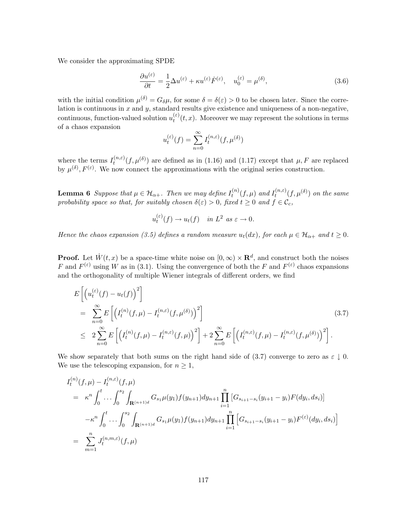We consider the approximating SPDE

$$
\frac{\partial u^{(\varepsilon)}}{\partial t} = \frac{1}{2} \Delta u^{(\varepsilon)} + \kappa u^{(\varepsilon)} \dot{F}^{(\varepsilon)}, \quad u_0^{(\varepsilon)} = \mu^{(\delta)},\tag{3.6}
$$

with the initial condition  $\mu^{(\delta)} = G_{\delta}\mu$ , for some  $\delta = \delta(\varepsilon) > 0$  to be chosen later. Since the correlation is continuous in  $x$  and  $y$ , standard results give existence and uniqueness of a non-negative, continuous, function-valued solution  $u_t^{(\varepsilon)}$  $t_t^{(e)}(t, x)$ . Moreover we may represent the solutions in terms of a chaos expansion

$$
u_t^{(\varepsilon)}(f) = \sum_{n=0}^{\infty} I_t^{(n,\varepsilon)}(f, \mu^{(\delta)})
$$

where the terms  $I_t^{(n,\varepsilon)}$  $(t^{(n,\varepsilon)}(f,\mu^{(\delta)})$  are defined as in (1.16) and (1.17) except that  $\mu$ , F are replaced by  $\mu^{(\delta)}, F^{(\varepsilon)}$ . We now connect the approximations with the original series construction.

**Lemma 6** Suppose that  $\mu \in \mathcal{H}_{\alpha+}$ . Then we may define  $I_t^{(n)}$  $t_t^{(n)}(f,\mu)$  and  $I_t^{(n,\varepsilon)}$  $t_t^{(n,\varepsilon)}(f,\mu^{(\delta)})$  on the same probability space so that, for suitably chosen  $\delta(\varepsilon) > 0$ , fixed  $t \geq 0$  and  $f \in \mathcal{C}_c$ ,

$$
u_t^{(\varepsilon)}(f) \to u_t(f) \quad \text{in } L^2 \text{ as } \varepsilon \to 0.
$$

Hence the chaos expansion (3.5) defines a random measure  $u_t(dx)$ , for each  $\mu \in \mathcal{H}_{\alpha+}$  and  $t \geq 0$ .

**Proof.** Let  $\dot{W}(t, x)$  be a space-time white noise on  $[0, \infty) \times \mathbb{R}^d$ , and construct both the noises F and  $F^{(\varepsilon)}$  using W as in (3.1). Using the convergence of both the F and  $F^{(\varepsilon)}$  chaos expansions and the orthogonality of multiple Wiener integrals of different orders, we find

$$
E\left[\left(u_t^{(\varepsilon)}(f) - u_t(f)\right)^2\right]
$$
  
\n
$$
= \sum_{n=0}^{\infty} E\left[\left(I_t^{(n)}(f,\mu) - I_t^{(n,\varepsilon)}(f,\mu^{(\delta)})\right)^2\right]
$$
  
\n
$$
\leq 2\sum_{n=0}^{\infty} E\left[\left(I_t^{(n)}(f,\mu) - I_t^{(n,\varepsilon)}(f,\mu)\right)^2\right] + 2\sum_{n=0}^{\infty} E\left[\left(I_t^{(n,\varepsilon)}(f,\mu) - I_t^{(n,\varepsilon)}(f,\mu^{(\delta)})\right)^2\right].
$$
\n(3.7)

We show separately that both sums on the right hand side of (3.7) converge to zero as  $\varepsilon \downarrow 0$ . We use the telescoping expansion, for  $n \geq 1$ ,

$$
I_t^{(n)}(f,\mu) - I_t^{(n,\varepsilon)}(f,\mu)
$$
  
\n
$$
= \kappa^n \int_0^t \cdots \int_0^{s_2} \int_{\mathbf{R}^{(n+1)d}} G_{s_1} \mu(y_1) f(y_{n+1}) dy_{n+1} \prod_{i=1}^n \left[ G_{s_{i+1}-s_i}(y_{i+1} - y_i) F(dy_i, ds_i) \right]
$$
  
\n
$$
- \kappa^n \int_0^t \cdots \int_0^{s_2} \int_{\mathbf{R}^{(n+1)d}} G_{s_1} \mu(y_1) f(y_{n+1}) dy_{n+1} \prod_{i=1}^n \left[ G_{s_{i+1}-s_i}(y_{i+1} - y_i) F^{(\varepsilon)}(dy_i, ds_i) \right]
$$
  
\n
$$
= \sum_{m=1}^n J_t^{(n,m,\varepsilon)}(f,\mu)
$$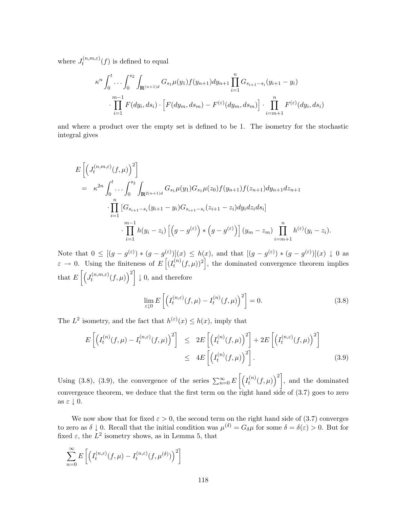where  $J_t^{(n,m,\varepsilon)}$  $(t^{(n,m,\varepsilon)}(f)$  is defined to equal

$$
\kappa^{n} \int_{0}^{t} \dots \int_{0}^{s_{2}} \int_{\mathbf{R}^{(n+1)d}} G_{s_{1}} \mu(y_{1}) f(y_{n+1}) dy_{n+1} \prod_{i=1}^{n} G_{s_{i+1}-s_{i}}(y_{i+1}-y_{i})
$$

$$
\cdot \prod_{i=1}^{m-1} F(dy_{i}, ds_{i}) \cdot \left[ F(dy_{m}, ds_{m}) - F^{(\varepsilon)}(dy_{m}, ds_{m}) \right] \cdot \prod_{i=m+1}^{n} F^{(\varepsilon)}(dy_{i}, ds_{i})
$$

and where a product over the empty set is defined to be 1. The isometry for the stochastic integral gives

$$
E\left[\left(J_t^{(n,m,\varepsilon)}(f,\mu)\right)^2\right]
$$
  
=  $\kappa^{2n} \int_0^t \cdots \int_0^{s_2} \int_{\mathbf{R}^{2(n+1)d}} G_{s_1} \mu(y_1) G_{s_1} \mu(z_0) f(y_{n+1}) f(z_{n+1}) dy_{n+1} dz_{n+1}$   

$$
\cdot \prod_{i=1}^n \left[G_{s_{i+1}-s_i}(y_{i+1}-y_i) G_{s_{i+1}-s_i}(z_{i+1}-z_i) dy_i dz_i ds_i\right]
$$
  

$$
\cdot \prod_{i=1}^{m-1} h(y_i-z_i) \left[\left(g-g^{(\varepsilon)}\right) * \left(g-g^{(\varepsilon)}\right)\right] (y_m-z_m) \prod_{i=m+1}^n h^{(\varepsilon)}(y_i-z_i).
$$

Note that  $0 \leq [(g - g^{(\varepsilon)}) * (g - g^{(\varepsilon)})](x) \leq h(x)$ , and that  $[(g - g^{(\varepsilon)}) * (g - g^{(\varepsilon)})](x) \downarrow 0$  as  $\varepsilon \to 0$ . Using the finiteness of  $E\left[ (I_t^{(n)} \right]$  $\left\{t^{(n)}(f,\mu)\right\}^2$ , the dominated convergence theorem implies that  $E\left[\left(J_t^{(n,m,\varepsilon)}\right) \right]$  $\left[t^{(n,m,\varepsilon)}(f,\mu)\right)^2$   $\downarrow$  0, and therefore

$$
\lim_{\varepsilon \downarrow 0} E\left[ \left( I_t^{(n,\varepsilon)}(f,\mu) - I_t^{(n)}(f,\mu) \right)^2 \right] = 0. \tag{3.8}
$$

The  $L^2$  isometry, and the fact that  $h^{(\varepsilon)}(x) \leq h(x)$ , imply that

$$
E\left[\left(I_t^{(n)}(f,\mu) - I_t^{(n,\varepsilon)}(f,\mu)\right)^2\right] \le 2E\left[\left(I_t^{(n)}(f,\mu)\right)^2\right] + 2E\left[\left(I_t^{(n,\varepsilon)}(f,\mu)\right)^2\right]
$$
  

$$
\le 4E\left[\left(I_t^{(n)}(f,\mu)\right)^2\right].
$$
 (3.9)

Using (3.8), (3.9), the convergence of the series  $\sum_{n=0}^{\infty} E\left[\left(I_t^{(n)}\right)\right]$  $\left[t^{(n)}(f,\mu)\right)^2$ , and the dominated convergence theorem, we deduce that the first term on the right hand side of  $(3.7)$  goes to zero as  $\varepsilon \downarrow 0$ .

We now show that for fixed  $\varepsilon > 0$ , the second term on the right hand side of (3.7) converges to zero as  $\delta \downarrow 0$ . Recall that the initial condition was  $\mu^{(\delta)} = G_{\delta}\mu$  for some  $\delta = \delta(\varepsilon) > 0$ . But for fixed  $\varepsilon$ , the  $L^2$  isometry shows, as in Lemma 5, that

$$
\sum_{n=0}^{\infty} E\left[ \left( I_t^{(n,\varepsilon)}(f,\mu) - I_t^{(n,\varepsilon)}(f,\mu^{(\delta)}) \right)^2 \right]
$$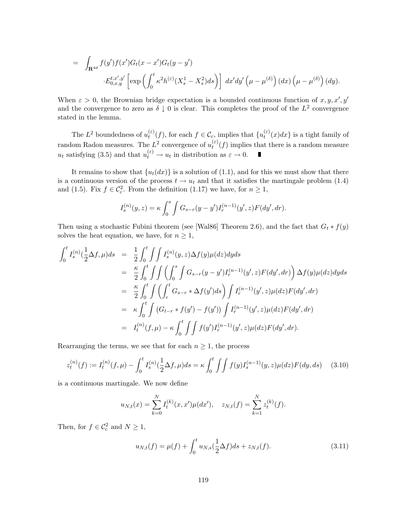$$
= \int_{\mathbf{R}^{4d}} f(y') f(x') G_t(x-x') G_t(y-y') \cdot E_{0,x,y}^{t,x',y'} \left[ \exp \left( \int_0^t \kappa^2 h^{(\varepsilon)} (X_s^1 - X_s^2) ds \right) \right] dx'dy' \left( \mu - \mu^{(\delta)} \right) (dx) \left( \mu - \mu^{(\delta)} \right) (dy).
$$

When  $\varepsilon > 0$ , the Brownian bridge expectation is a bounded continuous function of  $x, y, x', y'$ and the convergence to zero as  $\delta \downarrow 0$  is clear. This completes the proof of the  $L^2$  convergence stated in the lemma.

The  $L^2$  boundedness of  $u_t^{(\varepsilon)}$  $(t^{(\varepsilon)}(f))$ , for each  $f \in \mathcal{C}_c$ , implies that  $\{u_t^{(\varepsilon)}\}$  $t^{(0)}(x)dx$  is a tight family of random Radon measures. The  $L^2$  convergence of  $u_t^{(\varepsilon)}$  $t_t^{(e)}(f)$  implies that there is a random measure  $u_t$  satisfying (3.5) and that  $u_t^{(\varepsilon)} \to u_t$  in distribution as  $\varepsilon \to 0$ .  $\blacksquare$ 

It remains to show that  $\{u_t(dx)\}\$ is a solution of (1.1), and for this we must show that there is a continuous version of the process  $t \to u_t$  and that it satisfies the martingale problem (1.4) and (1.5). Fix  $f \in \mathcal{C}_c^2$ . From the definition (1.17) we have, for  $n \ge 1$ ,

$$
I_s^{(n)}(y,z) = \kappa \int_0^s \int G_{s-r}(y-y')I_r^{(n-1)}(y',z)F(dy',dr).
$$

Then using a stochastic Fubini theorem (see [Wal86] Theorem 2.6), and the fact that  $G_t * f(y)$ solves the heat equation, we have, for  $n \geq 1$ ,

$$
\int_{0}^{t} I_{s}^{(n)}(\frac{1}{2}\Delta f, \mu)ds = \frac{1}{2} \int_{0}^{t} \int \int I_{s}^{(n)}(y, z) \Delta f(y) \mu(dz)dyds
$$
  
\n
$$
= \frac{\kappa}{2} \int_{0}^{t} \int \int \left( \int_{0}^{s} \int G_{s-r}(y-y') I_{r}^{(n-1)}(y', z) F(dy', dr) \right) \Delta f(y) \mu(dz)dyds
$$
  
\n
$$
= \frac{\kappa}{2} \int_{0}^{t} \int \left( \int_{r}^{t} G_{s-r} * \Delta f(y')ds \right) \int I_{r}^{(n-1)}(y', z) \mu(dz) F(dy', dr)
$$
  
\n
$$
= \kappa \int_{0}^{t} \int \left( G_{t-r} * f(y') - f(y') \right) \int I_{r}^{(n-1)}(y', z) \mu(dz) F(dy', dr)
$$
  
\n
$$
= I_{t}^{(n)}(f, \mu) - \kappa \int_{0}^{t} \int \int f(y') I_{r}^{(n-1)}(y', z) \mu(dz) F(dy', dr).
$$

Rearranging the terms, we see that for each  $n \geq 1$ , the process

$$
z_t^{(n)}(f) := I_t^{(n)}(f, \mu) - \int_0^t I_s^{(n)}(\frac{1}{2}\Delta f, \mu)ds = \kappa \int_0^t \int \int f(y)I_s^{(n-1)}(y, z)\mu(dz)F(dy, ds) \tag{3.10}
$$

is a continuous martingale. We now define

$$
u_{N,t}(x) = \sum_{k=0}^{N} I_t^{(k)}(x, x')\mu(dx'), \quad z_{N,t}(f) = \sum_{k=1}^{N} z_t^{(k)}(f).
$$

Then, for  $f \in \mathcal{C}_c^2$  and  $N \ge 1$ ,

$$
u_{N,t}(f) = \mu(f) + \int_0^t u_{N,s}(\frac{1}{2}\Delta f)ds + z_{N,t}(f). \tag{3.11}
$$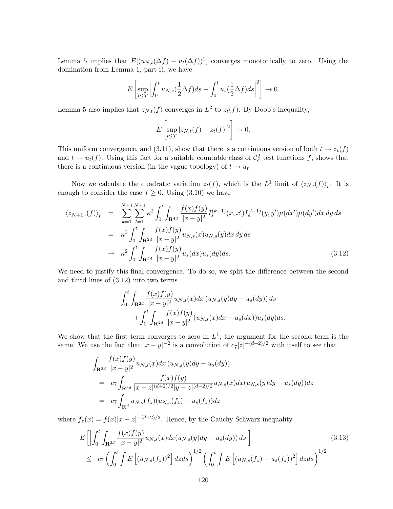Lemma 5 implies that  $E[(u_{N,t}(\Delta f) - u_t(\Delta f))^2]$  converges monotonically to zero. Using the domination from Lemma 1, part i), we have

$$
E\left[\sup_{t\leq T}\left|\int_0^t u_{N,s}(\frac{1}{2}\Delta f)ds-\int_0^t u_s(\frac{1}{2}\Delta f)ds\right|^2\right]\to 0.
$$

Lemma 5 also implies that  $z_{N,t}(f)$  converges in  $L^2$  to  $z_t(f)$ . By Doob's inequality,

$$
E\left[\sup_{t\leq T}|z_{N,t}(f)-z_t(f)|^2\right]\to 0.
$$

This uniform convergence, and (3.11), show that there is a continuous version of both  $t \to z_t(f)$ and  $t \to u_t(f)$ . Using this fact for a suitable countable class of  $\mathcal{C}_c^2$  test functions f, shows that there is a continuous version (in the vague topology) of  $t \to u_t$ .

Now we calculate the quadratic variation  $z_t(f)$ , which is the  $L^1$  limit of  $\langle z_{N,\cdot}(f) \rangle_t$ . It is enough to consider the case  $f \geq 0$ . Using (3.10) we have

$$
\langle z_{N+1,\cdot}(f) \rangle_t = \sum_{k=1}^{N+1} \sum_{l=1}^{N+1} \kappa^2 \int_0^t \int_{\mathbf{R}^{4d}} \frac{f(x)f(y)}{|x-y|^2} I_s^{(k-1)}(x,x') I_s^{(l-1)}(y,y') \mu(dx') \mu(dy') dx dy ds
$$
  
\n
$$
= \kappa^2 \int_0^t \int_{\mathbf{R}^{2d}} \frac{f(x)f(y)}{|x-y|^2} u_{N,s}(x) u_{N,s}(y) dx dy ds
$$
  
\n
$$
\rightarrow \kappa^2 \int_0^t \int_{\mathbf{R}^{2d}} \frac{f(x)f(y)}{|x-y|^2} u_s(dx) u_s(dy) ds. \tag{3.12}
$$

We need to justify this final convergence. To do so, we split the difference between the second and third lines of (3.12) into two terms

$$
\int_0^t \int_{\mathbf{R}^{2d}} \frac{f(x)f(y)}{|x - y|^2} u_{N,s}(x) dx (u_{N,s}(y)dy - u_s(dy)) ds + \int_0^t \int_{\mathbf{R}^{2d}} \frac{f(x)f(y)}{|x - y|^2} (u_{N,s}(x)dx - u_s(dx)) u_s(dy) ds.
$$

We show that the first term converges to zero in  $L^1$ ; the argument for the second term is the same. We use the fact that  $|x-y|^{-2}$  is a convolution of  $c_7|z|^{-(d+2)/2}$  with itself to see that

$$
\int_{\mathbf{R}^{2d}} \frac{f(x)f(y)}{|x - y|^2} u_{N,s}(x) dx (u_{N,s}(y)dy - u_s(dy))
$$
\n
$$
= c_7 \int_{\mathbf{R}^{3d}} \frac{f(x)f(y)}{|x - z|^{(d+2)/2}|y - z|^{(d+2)/2}} u_{N,s}(x) dx (u_{N,s}(y)dy - u_s(dy)) dz
$$
\n
$$
= c_7 \int_{\mathbf{R}^d} u_{N,s}(f_z) (u_{N,s}(f_z) - u_s(f_z)) dz
$$

where  $f_z(x) = f(x)|x - z|^{-(d+2)/2}$ . Hence, by the Cauchy-Schwarz inequality,

$$
E\left[\left|\int_{0}^{t}\int_{\mathbf{R}^{2d}}\frac{f(x)f(y)}{|x-y|^{2}}u_{N,s}(x)dx(u_{N,s}(y)dy - u_{s}(dy))ds\right|\right]
$$
\n
$$
\leq c_{7}\left(\int_{0}^{t}\int E\left[(u_{N,s}(f_{z}))^{2}\right]dzds\right)^{1/2}\left(\int_{0}^{t}\int E\left[(u_{N,s}(f_{z}) - u_{s}(f_{z}))^{2}\right]dzds\right)^{1/2}
$$
\n(3.13)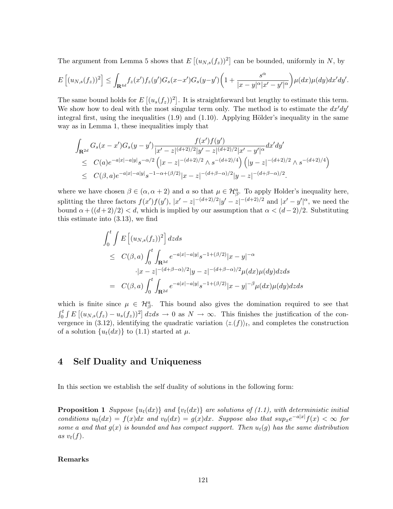The argument from Lemma 5 shows that  $E[(u_{N,s}(f_z))^2]$  can be bounded, uniformly in N, by

$$
E\left[(u_{N,s}(f_z))^2\right] \leq \int_{\mathbf{R}^{4d}} f_z(x') f_z(y') G_s(x-x') G_s(y-y') \bigg(1+\frac{s^{\alpha}}{|x-y|^{\alpha}|x'-y'|^{\alpha}}\bigg) \mu(dx) \mu(dy) dx'dy'.
$$

The same bound holds for  $E[(u_s(f_z))^2]$ . It is straightforward but lengthy to estimate this term. We show how to deal with the most singular term only. The method is to estimate the  $dx'dy'$ integral first, using the inequalities  $(1.9)$  and  $(1.10)$ . Applying Hölder's inequality in the same way as in Lemma 1, these inequalities imply that

$$
\int_{\mathbf{R}^{2d}} G_s(x - x') G_s(y - y') \frac{f(x')f(y')}{|x' - z|^{(d+2)/2}|y' - z|^{(d+2)/2}|x' - y'|^{\alpha}} dx'dy'
$$
\n
$$
\leq C(a) e^{-a|x| - a|y|} s^{-\alpha/2} \left( |x - z|^{-(d+2)/2} \wedge s^{-(d+2)/4} \right) \left( |y - z|^{-(d+2)/2} \wedge s^{-(d+2)/4} \right)
$$
\n
$$
\leq C(\beta, a) e^{-a|x| - a|y|} s^{-1 - \alpha + (\beta/2)} |x - z|^{-(d+\beta-\alpha)/2} |y - z|^{-(d+\beta-\alpha)/2}.
$$

where we have chosen  $\beta \in (\alpha, \alpha + 2)$  and a so that  $\mu \in \mathcal{H}_{\beta}^{a}$ . To apply Holder's inequality here, splitting the three factors  $f(x')f(y')$ ,  $|x'-z|^{-(d+2)/2}|y'-z|^{-(d+2)/2}$  and  $|x'-y'|^{\alpha}$ , we need the bound  $\alpha + ((d+2)/2) < d$ , which is implied by our assumption that  $\alpha < (d-2)/2$ . Substituting this estimate into (3.13), we find

$$
\int_{0}^{t} \int E\left[ (u_{N,s}(f_z))^2 \right] dz ds
$$
\n
$$
\leq C(\beta, a) \int_{0}^{t} \int_{\mathbf{R}^{3d}} e^{-a|x| - a|y|} s^{-1 + (\beta/2)} |x - y|^{-\alpha}
$$
\n
$$
\cdot |x - z|^{-(d + \beta - \alpha)/2} |y - z|^{-(d + \beta - \alpha)/2} \mu(dx) \mu(dy) dz ds
$$
\n
$$
= C(\beta, a) \int_{0}^{t} \int_{\mathbf{R}^{2d}} e^{-a|x| - a|y|} s^{-1 + (\beta/2)} |x - y|^{-\beta} \mu(dx) \mu(dy) dz ds
$$

which is finite since  $\mu \in \mathcal{H}_{\beta}^{a}$ . This bound also gives the domination required to see that  $\int_0^t \int E\left[(u_{N,s}(f_z)-u_s(f_z))^2\right]dzds \to 0$  as  $N \to \infty$ . This finishes the justification of the convergence in (3.12), identifying the quadratic variation  $\langle z(f) \rangle_t$ , and completes the construction of a solution  $\{u_t(dx)\}\$ to (1.1) started at  $\mu$ .

# 4 Self Duality and Uniqueness

In this section we establish the self duality of solutions in the following form:

**Proposition 1** Suppose  $\{u_t(dx)\}$  and  $\{v_t(dx)\}$  are solutions of (1.1), with deterministic initial conditions  $u_0(dx) = f(x)dx$  and  $v_0(dx) = g(x)dx$ . Suppose also that  $sup_x e^{-a|x|} f(x) < \infty$  for some a and that  $g(x)$  is bounded and has compact support. Then  $u_t(g)$  has the same distribution as  $v_t(f)$ .

### Remarks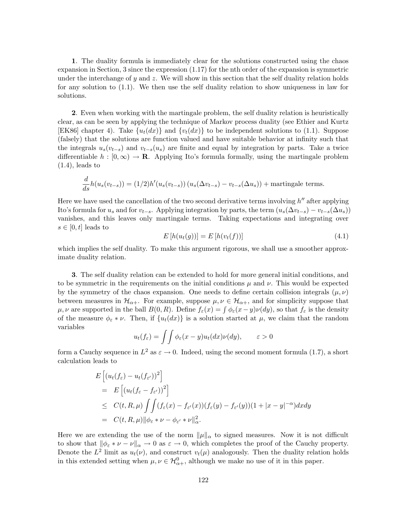1. The duality formula is immediately clear for the solutions constructed using the chaos expansion in Section, 3 since the expression (1.17) for the nth order of the expansion is symmetric under the interchange of y and  $z$ . We will show in this section that the self duality relation holds for any solution to (1.1). We then use the self duality relation to show uniqueness in law for solutions.

2. Even when working with the martingale problem, the self duality relation is heuristically clear, as can be seen by applying the technique of Markov process duality (see Ethier and Kurtz [EK86] chapter 4). Take  $\{u_t(dx)\}\$ and  $\{v_t(dx)\}\$ to be independent solutions to (1.1). Suppose (falsely) that the solutions are function valued and have suitable behavior at infinity such that the integrals  $u_s(v_{t-s})$  and  $v_{t-s}(u_s)$  are finite and equal by integration by parts. Take a twice differentiable  $h : [0, \infty) \to \mathbf{R}$ . Applying Ito's formula formally, using the martingale problem  $(1.4)$ , leads to

$$
\frac{d}{ds}h(u_s(v_{t-s})) = (1/2)h'(u_s(v_{t-s})) (u_s(\Delta v_{t-s}) - v_{t-s}(\Delta u_s)) + \text{martingale terms.}
$$

Here we have used the cancellation of the two second derivative terms involving  $h''$  after applying Ito's formula for  $u_s$  and for  $v_{t-s}$ . Applying integration by parts, the term  $(u_s(\Delta v_{t-s}) - v_{t-s}(\Delta u_s))$ vanishes, and this leaves only martingale terms. Taking expectations and integrating over  $s \in [0, t]$  leads to

$$
E[h(u_t(g))] = E[h(v_t(f))]
$$
\n
$$
(4.1)
$$

which implies the self duality. To make this argument rigorous, we shall use a smoother approximate duality relation.

3. The self duality relation can be extended to hold for more general initial conditions, and to be symmetric in the requirements on the initial conditions  $\mu$  and  $\nu$ . This would be expected by the symmetry of the chaos expansion. One needs to define certain collision integrals  $(\mu, \nu)$ between measures in  $\mathcal{H}_{\alpha+}$ . For example, suppose  $\mu, \nu \in \mathcal{H}_{\alpha+}$ , and for simplicity suppose that  $\mu, \nu$  are supported in the ball  $B(0, R)$ . Define  $f_{\varepsilon}(x) = \int \phi_{\varepsilon}(x - y) \nu(dy)$ , so that  $f_{\varepsilon}$  is the density of the measure  $\phi_{\varepsilon} * \nu$ . Then, if  $\{u_t(dx)\}\$ is a solution started at  $\mu$ , we claim that the random variables

$$
u_t(f_{\varepsilon}) = \iint \phi_{\varepsilon}(x - y)u_t(dx)\nu(dy), \qquad \varepsilon > 0
$$

form a Cauchy sequence in  $L^2$  as  $\varepsilon \to 0$ . Indeed, using the second moment formula (1.7), a short calculation leads to

$$
E\left[\left(u_t(f_{\varepsilon}) - u_t(f_{\varepsilon'})\right)^2\right]
$$
  
= 
$$
E\left[\left(u_t(f_{\varepsilon} - f_{\varepsilon'})\right)^2\right]
$$
  

$$
\leq C(t, R, \mu) \int \int (f_{\varepsilon}(x) - f_{\varepsilon'}(x))(f_{\varepsilon}(y) - f_{\varepsilon'}(y))(1 + |x - y|^{-\alpha})dxdy
$$
  
= 
$$
C(t, R, \mu) \|\phi_{\varepsilon} * \nu - \phi_{\varepsilon'} * \nu\|_{\alpha}^2.
$$

Here we are extending the use of the norm  $\|\mu\|_{\alpha}$  to signed measures. Now it is not difficult to show that  $\|\phi_{\varepsilon} * \nu - \nu\|_{\alpha} \to 0$  as  $\varepsilon \to 0$ , which completes the proof of the Cauchy property. Denote the  $L^2$  limit as  $u_t(\nu)$ , and construct  $v_t(\mu)$  analogously. Then the duality relation holds in this extended setting when  $\mu, \nu \in \mathcal{H}^0_{\alpha+}$ , although we make no use of it in this paper.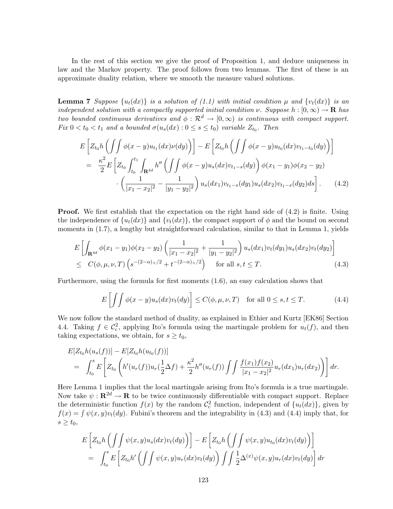In the rest of this section we give the proof of Proposition 1, and deduce uniqueness in law and the Markov property. The proof follows from two lemmas. The first of these is an approximate duality relation, where we smooth the measure valued solutions.

**Lemma 7** Suppose  $\{u_t(dx)\}\$ is a solution of (1.1) with initial condition  $\mu$  and  $\{v_t(dx)\}\$ is an independent solution with a compactly supported initial condition  $\nu$ . Suppose h :  $[0, \infty) \to \mathbf{R}$  has two bounded continuous derivatives and  $\phi: \mathcal{R}^d \to [0,\infty)$  is continuous with compact support. Fix  $0 < t_0 < t_1$  and a bounded  $\sigma(u_s(dx) : 0 \le s \le t_0)$  variable  $Z_{t_0}$ . Then

$$
E\left[Z_{t_0}h\left(\int\int\phi(x-y)u_{t_1}(dx)\nu(dy)\right)\right] - E\left[Z_{t_0}h\left(\int\int\phi(x-y)u_{t_0}(dx)v_{t_1-t_0}(dy)\right)\right]
$$
  
\n
$$
= \frac{\kappa^2}{2}E\left[Z_{t_0}\int_{t_0}^{t_1}\int_{\mathbf{R}^{4d}}h''\left(\int\int\phi(x-y)u_s(dx)v_{t_1-s}(dy)\right)\phi(x_1-y_1)\phi(x_2-y_2)\right.\left.\left.\left(\frac{1}{|x_1-x_2|^2}-\frac{1}{|y_1-y_2|^2}\right)u_s(dx_1)v_{t_1-s}(dy_1)u_s(dx_2)v_{t_1-s}(dy_2)ds\right].\right.\tag{4.2}
$$

**Proof.** We first establish that the expectation on the right hand side of  $(4.2)$  is finite. Using the independence of  $\{u_t(dx)\}\$ and  $\{v_t(dx)\}\$ , the compact support of  $\phi$  and the bound on second moments in  $(1.7)$ , a lengthy but straightforward calculation, similar to that in Lemma 1, yields

$$
E\left[\int_{\mathbf{R}^{4d}} \phi(x_1 - y_1)\phi(x_2 - y_2)\left(\frac{1}{|x_1 - x_2|^2} + \frac{1}{|y_1 - y_2|^2}\right)u_s(dx_1)v_t(dy_1)u_s(dx_2)v_t(dy_2)\right] \leq C(\phi, \mu, \nu, T)\left(s^{-(2-\alpha) + /2} + t^{-(2-\alpha) + /2}\right) \quad \text{for all } s, t \leq T. \tag{4.3}
$$

Furthermore, using the formula for first moments (1.6), an easy calculation shows that

$$
E\left[\iint \phi(x-y)u_s(dx)v_t(dy)\right] \le C(\phi,\mu,\nu,T) \quad \text{for all } 0 \le s,t \le T. \tag{4.4}
$$

We now follow the standard method of duality, as explained in Ethier and Kurtz [EK86] Section 4.4. Taking  $f \in \mathcal{C}_c^2$ , applying Ito's formula using the martingale problem for  $u_t(f)$ , and then taking expectations, we obtain, for  $s \geq t_0$ ,

$$
E[Z_{t_0}h(u_s(f))] - E[Z_{t_0}h(u_{t_0}(f))]
$$
  
= 
$$
\int_{t_0}^s E\left[Z_{t_0}\left(h'(u_r(f))u_r(\frac{1}{2}\Delta f) + \frac{\kappa^2}{2}h''(u_r(f))\int\int \frac{f(x_1)f(x_2)}{|x_1 - x_2|^2}u_r(dx_1)u_r(dx_2)\right)\right] dr.
$$

Here Lemma 1 implies that the local martingale arising from Ito's formula is a true martingale. Now take  $\psi : \mathbf{R}^{2d} \to \mathbf{R}$  to be twice continuously differentiable with compact support. Replace the deterministic function  $f(x)$  by the random  $\mathcal{C}_c^2$  function, independent of  $\{u_t(dx)\}\$ , given by  $f(x) = \int \psi(x, y)v_t(dy)$ . Fubini's theorem and the integrability in (4.3) and (4.4) imply that, for  $s \geq t_0$ ,

$$
E\left[Z_{t_0}h\left(\int\int\psi(x,y)u_s(dx)v_t(dy)\right)\right] - E\left[Z_{t_0}h\left(\int\int\psi(x,y)u_{t_0}(dx)v_t(dy)\right)\right]
$$
  
= 
$$
\int_{t_0}^s E\left[Z_{t_0}h'\left(\int\int\psi(x,y)u_r(dx)v_t(dy)\right)\int\int\frac{1}{2}\Delta^{(x)}\psi(x,y)u_r(dx)v_t(dy)\right]dr
$$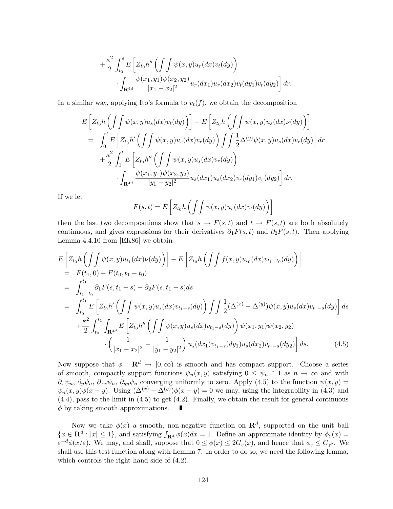$$
+\frac{\kappa^2}{2} \int_{t_0}^s E\left[Z_{t_0}h''\left(\int \int \psi(x,y)u_r(dx)v_t(dy)\right)\right] \cdot \int_{\mathbf{R}^{4d}} \frac{\psi(x_1,y_1)\psi(x_2,y_2)}{|x_1-x_2|^2} u_r(dx_1)u_r(dx_2)v_t(dy_1)v_t(dy_2)\right] dr.
$$

In a similar way, applying Ito's formula to  $v_t(f)$ , we obtain the decomposition

$$
E\left[Z_{t_0}h\left(\int\int\psi(x,y)u_s(dx)v_t(dy)\right)\right] - E\left[Z_{t_0}h\left(\int\int\psi(x,y)u_s(dx)\nu(dy)\right)\right]
$$
  
\n
$$
= \int_0^t E\left[Z_{t_0}h'\left(\int\int\psi(x,y)u_s(dx)v_r(dy)\right)\int\int\frac{1}{2}\Delta^{(y)}\psi(x,y)u_s(dx)v_r(dy)\right]dr
$$
  
\n
$$
+ \frac{\kappa^2}{2}\int_0^t E\left[Z_{t_0}h''\left(\int\int\psi(x,y)u_s(dx)v_r(dy)\right)\right]
$$
  
\n
$$
\int_{\mathbf{R}^{4d}} \frac{\psi(x_1,y_1)\psi(x_2,y_2)}{|y_1-y_2|^2}u_s(dx_1)u_s(dx_2)v_r(dy_1)v_r(dy_2)\right]dr.
$$

If we let

$$
F(s,t) = E\left[Z_{t_0}h\left(\int\int\psi(x,y)u_s(dx)v_t(dy)\right)\right]
$$

then the last two decompositions show that  $s \to F(s,t)$  and  $t \to F(s,t)$  are both absolutely continuous, and gives expressions for their derivatives  $\partial_1 F(s,t)$  and  $\partial_2 F(s,t)$ . Then applying Lemma 4.4.10 from [EK86] we obtain

$$
E\left[Z_{t_0}h\left(\int\int\psi(x,y)u_{t_1}(dx)\nu(dy)\right)\right] - E\left[Z_{t_0}h\left(\int\int f(x,y)u_{t_0}(dx)v_{t_1-t_0}(dy)\right)\right]
$$
  
\n
$$
= F(t_1,0) - F(t_0,t_1-t_0)
$$
  
\n
$$
= \int_{t_1-t_0}^{t_1} \partial_1 F(s,t_1-s) - \partial_2 F(s,t_1-s)ds
$$
  
\n
$$
= \int_{t_0}^{t_1} E\left[Z_{t_0}h'\left(\int\int \psi(x,y)u_s(dx)v_{t_1-s}(dy)\right)\int\int \frac{1}{2}(\Delta^{(x)} - \Delta^{(y)})\psi(x,y)u_s(dx)v_{t_1-s}(dy)\right]ds
$$
  
\n
$$
+ \frac{\kappa^2}{2} \int_{t_0}^{t_1} \int_{\mathbf{R}^{4d}} E\left[Z_{t_0}h''\left(\int\int \psi(x,y)u_s(dx)v_{t_1-s}(dy)\right)\psi(x_1,y_1)\psi(x_2,y_2)\right] ds.
$$
  
\n
$$
\cdot \left(\frac{1}{|x_1-x_2|^2} - \frac{1}{|y_1-y_2|^2}\right)u_s(dx_1)v_{t_1-s}(dy_1)u_s(dx_2)v_{t_1-s}(dy_2)\right] ds.
$$
 (4.5)

Now suppose that  $\phi : \mathbf{R}^d \to [0, \infty)$  is smooth and has compact support. Choose a series of smooth, compactly support functions  $\psi_n(x, y)$  satisfying  $0 \leq \psi_n \uparrow 1$  as  $n \to \infty$  and with  $\partial_x \psi_n$ ,  $\partial_y \psi_n$ ,  $\partial_{xx} \psi_n$ ,  $\partial_{yy} \psi_n$  converging uniformly to zero. Apply (4.5) to the function  $\psi(x, y) =$  $\psi_n(x, y)\phi(x - y)$ . Using  $(\Delta^{(x)} - \Delta^{(y)})\phi(x - y) = 0$  we may, using the integrability in (4.3) and (4.4), pass to the limit in (4.5) to get (4.2). Finally, we obtain the result for general continuous  $\phi$  by taking smooth approximations. П

Now we take  $\phi(x)$  a smooth, non-negative function on  $\mathbb{R}^d$ , supported on the unit ball  ${x \in \mathbf{R}^d : |x| \le 1},$  and satisfying  $\int_{\mathbf{R}^d} \phi(x) dx = 1$ . Define an approximate identity by  $\phi_{\varepsilon}(x) =$  $\varepsilon^{-d}\phi(x/\varepsilon)$ . We may, and shall, suppose that  $0 \leq \phi(x) \leq 2G_{\varepsilon}(x)$ , and hence that  $\phi_{\varepsilon} \leq G_{\varepsilon^2}$ . We shall use this test function along with Lemma 7. In order to do so, we need the following lemma, which controls the right hand side of (4.2).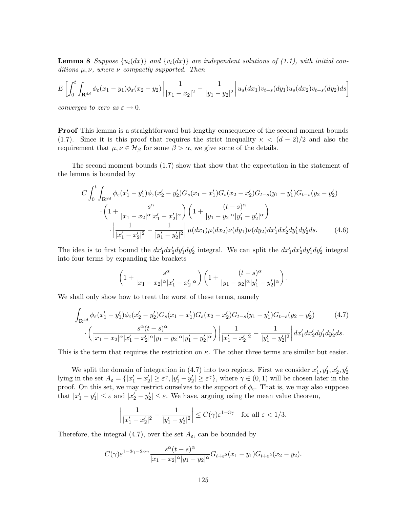**Lemma 8** Suppose  $\{u_t(dx)\}$  and  $\{v_t(dx)\}$  are independent solutions of (1.1), with initial conditions  $\mu, \nu$ , where  $\nu$  compactly supported. Then

$$
E\left[\int_0^t \int_{\mathbf{R}^{4d}} \phi_{\varepsilon}(x_1 - y_1) \phi_{\varepsilon}(x_2 - y_2) \left| \frac{1}{|x_1 - x_2|^2} - \frac{1}{|y_1 - y_2|^2} \right| u_s(dx_1) v_{t-s}(dy_1) u_s(dx_2) v_{t-s}(dy_2) ds \right]
$$

converges to zero as  $\varepsilon \to 0$ .

**Proof** This lemma is a straightforward but lengthy consequence of the second moment bounds (1.7). Since it is this proof that requires the strict inequality  $\kappa < (d-2)/2$  and also the requirement that  $\mu, \nu \in \mathcal{H}_{\beta}$  for some  $\beta > \alpha$ , we give some of the details.

The second moment bounds (1.7) show that show that the expectation in the statement of the lemma is bounded by

$$
C \int_{0}^{t} \int_{\mathbf{R}^{8d}} \phi_{\varepsilon}(x_{1}' - y_{1}') \phi_{\varepsilon}(x_{2}' - y_{2}') G_{s}(x_{1} - x_{1}') G_{s}(x_{2} - x_{2}') G_{t-s}(y_{1} - y_{1}') G_{t-s}(y_{2} - y_{2}') \n\cdot \left(1 + \frac{s^{\alpha}}{|x_{1} - x_{2}|^{\alpha}|x_{1}' - x_{2}'|^{\alpha}}\right) \left(1 + \frac{(t - s)^{\alpha}}{|y_{1} - y_{2}|^{\alpha}|y_{1}' - y_{2}'|^{\alpha}}\right) \n\cdot \left|\frac{1}{|x_{1}' - x_{2}'|^{2}} - \frac{1}{|y_{1}' - y_{2}'|^{2}}\right| \mu(dx_{1}) \mu(dx_{2}) \nu(dy_{1}) \nu(dy_{2}) dx_{1}' dx_{2}' dy_{1}' dy_{2}' ds.
$$
\n(4.6)

The idea is to first bound the  $dx'_1dx'_2dy'_1dy'_2$  integral. We can split the  $dx'_1dx'_2dy'_1dy'_2$  integral into four terms by expanding the brackets

$$
\left(1+\frac{s^{\alpha}}{|x_1-x_2|^{\alpha}|x'_1-x'_2|^{\alpha}}\right)\left(1+\frac{(t-s)^{\alpha}}{|y_1-y_2|^{\alpha}|y'_1-y'_2|^{\alpha}}\right).
$$

We shall only show how to treat the worst of these terms, namely

$$
\int_{\mathbf{R}^{4d}} \phi_{\varepsilon}(x_1' - y_1') \phi_{\varepsilon}(x_2' - y_2') G_s(x_1 - x_1') G_s(x_2 - x_2') G_{t-s}(y_1 - y_1') G_{t-s}(y_2 - y_2') \tag{4.7}
$$
\n
$$
\cdot \left( \frac{s^{\alpha}(t - s)^{\alpha}}{|x_1 - x_2|^{\alpha}|x_1' - x_2'|^{\alpha}|y_1 - y_2|^{\alpha}|y_1' - y_2'|^{\alpha}} \right) \left| \frac{1}{|x_1' - x_2'|^2} - \frac{1}{|y_1' - y_2'|^2} \right| dx_1' dx_2' dy_1' dy_2' ds.
$$

This is the term that requires the restriction on  $\kappa$ . The other three terms are similar but easier.

We split the domain of integration in (4.7) into two regions. First we consider  $x'_1, y'_1, x'_2, y'_2$ lying in the set  $A_{\varepsilon} = \{ |x'_1 - x'_2| \ge \varepsilon^\gamma, |y'_1 - y'_2| \ge \varepsilon^\gamma \},\$  where  $\gamma \in (0, 1)$  will be chosen later in the proof. On this set, we may restrict ourselves to the support of  $\phi_{\varepsilon}$ . That is, we may also suppose that  $|x'_1 - y'_1| \leq \varepsilon$  and  $|x'_2 - y'_2| \leq \varepsilon$ . We have, arguing using the mean value theorem,

$$
\left| \frac{1}{|x_1' - x_2'|^2} - \frac{1}{|y_1' - y_2'|^2} \right| \le C(\gamma) \varepsilon^{1 - 3\gamma} \quad \text{for all } \varepsilon < 1/3.
$$

Therefore, the integral (4.7), over the set  $A_{\varepsilon}$ , can be bounded by

$$
C(\gamma) \varepsilon^{1-3\gamma-2\alpha\gamma} \frac{s^{\alpha}(t-s)^{\alpha}}{|x_1-x_2|^{\alpha}|y_1-y_2|^{\alpha}} G_{t+\varepsilon^2}(x_1-y_1) G_{t+\varepsilon^2}(x_2-y_2).
$$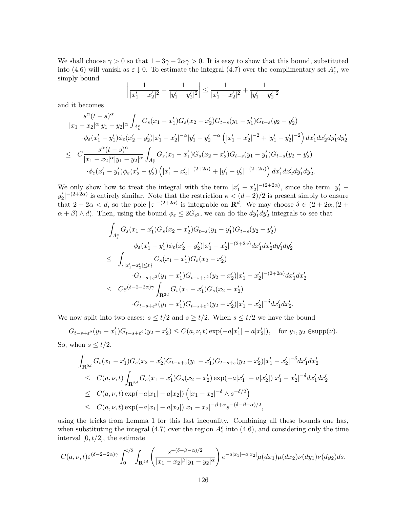We shall choose  $\gamma > 0$  so that  $1 - 3\gamma - 2\alpha\gamma > 0$ . It is easy to show that this bound, substituted into (4.6) will vanish as  $\varepsilon \downarrow 0$ . To estimate the integral (4.7) over the complimentary set  $A_{\varepsilon}^c$ , we simply bound

$$
\left| \frac{1}{|x_1' - x_2'|^2} - \frac{1}{|y_1' - y_2'|^2} \right| \le \frac{1}{|x_1' - x_2'|^2} + \frac{1}{|y_1' - y_2'|^2}
$$

and it becomes

$$
\frac{s^{\alpha}(t-s)^{\alpha}}{|x_1 - x_2|^{\alpha}|y_1 - y_2|^{\alpha}} \int_{A_{\varepsilon}^c} G_s(x_1 - x_1')G_s(x_2 - x_2')G_{t-s}(y_1 - y_1')G_{t-s}(y_2 - y_2')
$$
  
\n
$$
\cdot \phi_{\varepsilon}(x_1' - y_1')\phi_{\varepsilon}(x_2' - y_2')|x_1' - x_2'|^{-\alpha}|y_1' - y_2'|^{-\alpha}\left(|x_1' - x_2'|^{-2} + |y_1' - y_2'|^{-2}\right)dx_1'dx_2'dy_1'dy_2'
$$
  
\n
$$
\leq C \frac{s^{\alpha}(t-s)^{\alpha}}{|x_1 - x_2|^{\alpha}|y_1 - y_2|^{\alpha}} \int_{A_{\varepsilon}^c} G_s(x_1 - x_1')G_s(x_2 - x_2')G_{t-s}(y_1 - y_1')G_{t-s}(y_2 - y_2')
$$
  
\n
$$
\cdot \phi_{\varepsilon}(x_1' - y_1')\phi_{\varepsilon}(x_2' - y_2')\left(|x_1' - x_2'|^{-\left(2+2\alpha\right)} + |y_1' - y_2'|^{-\left(2+2\alpha\right)}\right)dx_1'dx_2'dy_1'dy_2'.
$$

We only show how to treat the integral with the term  $|x_1'-x_2'|^{-(2+2\alpha)}$ , since the term  $|y_1'-y_2'|^{-(2+2\alpha)}$  $|y_2'|^{-(2+2\alpha)}$  is entirely similar. Note that the restriction  $\kappa < (d-2)/2$  is present simply to ensure that  $2 + 2\alpha < d$ , so the pole  $|z|^{-(2+2\alpha)}$  is integrable on  $\mathbb{R}^d$ . We may choose  $\delta \in (2 + 2\alpha, (2 +$  $(\alpha + \beta) \wedge d)$ . Then, using the bound  $\phi_{\varepsilon} \leq 2G_{\varepsilon^2}$ , we can do the  $dy'_1 dy'_2$  integrals to see that

$$
\int_{A_{\varepsilon}^{c}} G_{s}(x_{1} - x_{1}^{\prime})G_{s}(x_{2} - x_{2}^{\prime})G_{t-s}(y_{1} - y_{1}^{\prime})G_{t-s}(y_{2} - y_{2}^{\prime})
$$
\n
$$
\cdot \phi_{\varepsilon}(x_{1}^{\prime} - y_{1}^{\prime})\phi_{\varepsilon}(x_{2}^{\prime} - y_{2}^{\prime})|x_{1}^{\prime} - x_{2}^{\prime}|^{-(2+2\alpha)}dx_{1}^{\prime}dx_{2}^{\prime}dy_{1}^{\prime}dy_{2}^{\prime}
$$
\n
$$
\leq \int_{\{|x_{1}^{\prime} - x_{2}^{\prime}| \leq \varepsilon\}} G_{s}(x_{1} - x_{1}^{\prime})G_{s}(x_{2} - x_{2}^{\prime})
$$
\n
$$
\cdot G_{t-s+\varepsilon^{2}}(y_{1} - x_{1}^{\prime})G_{t-s+\varepsilon^{2}}(y_{2} - x_{2}^{\prime})|x_{1}^{\prime} - x_{2}^{\prime}|^{-(2+2\alpha)}dx_{1}^{\prime}dx_{2}^{\prime}
$$
\n
$$
\leq C\varepsilon^{(\delta-2-2\alpha)\gamma}\int_{\mathbf{R}^{2d}} G_{s}(x_{1} - x_{1}^{\prime})G_{s}(x_{2} - x_{2}^{\prime})
$$
\n
$$
\cdot G_{t-s+\varepsilon^{2}}(y_{1} - x_{1}^{\prime})G_{t-s+\varepsilon^{2}}(y_{2} - x_{2}^{\prime})|x_{1}^{\prime} - x_{2}^{\prime}|^{-\delta}dx_{1}^{\prime}dx_{2}^{\prime}.
$$

We now split into two cases:  $s \leq t/2$  and  $s \geq t/2$ . When  $s \leq t/2$  we have the bound

 $G_{t-s+\varepsilon^2}(y_1-x_1')G_{t-s+\varepsilon^2}(y_2-x_2') \leq C(a,\nu,t)\exp(-a|x_1'|-a|x_2'|), \text{ for } y_1, y_2 \in \text{supp}(\nu).$ So, when  $s \leq t/2$ ,

$$
\int_{\mathbf{R}^{2d}} G_s(x_1 - x_1') G_s(x_2 - x_2') G_{t-s+\varepsilon}(y_1 - x_1') G_{t-s+\varepsilon}(y_2 - x_2') |x_1' - x_2'|^{-\delta} dx_1' dx_2'
$$
\n
$$
\leq C(a, \nu, t) \int_{\mathbf{R}^{2d}} G_s(x_1 - x_1') G_s(x_2 - x_2') \exp(-a|x_1'| - a|x_2'|) |x_1' - x_2'|^{-\delta} dx_1' dx_2'
$$
\n
$$
\leq C(a, \nu, t) \exp(-a|x_1| - a|x_2|) (|x_1 - x_2|^{-\delta} \wedge s^{-\delta/2})
$$
\n
$$
\leq C(a, \nu, t) \exp(-a|x_1| - a|x_2|) |x_1 - x_2|^{-\beta + \alpha} s^{-(\delta - \beta + \alpha)/2},
$$

using the tricks from Lemma 1 for this last inequality. Combining all these bounds one has, when substituting the integral (4.7) over the region  $A_{\varepsilon}^{c}$  into (4.6), and considering only the time interval  $[0, t/2]$ , the estimate

$$
C(a,\nu,t)\varepsilon^{(\delta-2-2\alpha)\gamma}\int_0^{t/2}\int_{\mathbf{R}^{4d}}\left(\frac{s^{-(\delta-\beta-\alpha)/2}}{|x_1-x_2|^\beta|y_1-y_2|^\alpha}\right)e^{-a|x_1|-a|x_2|}\mu(dx_1)\mu(dx_2)\nu(dy_1)\nu(dy_2)ds.
$$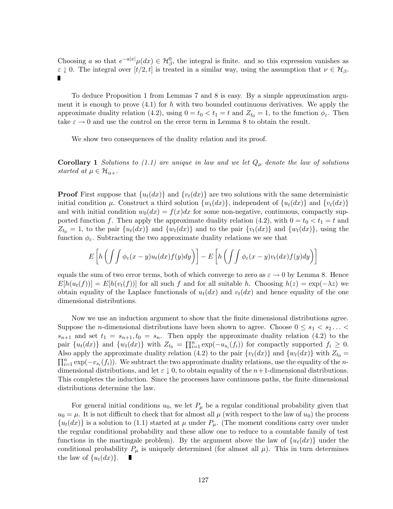Choosing a so that  $e^{-a|x|}\mu(dx) \in H^0_\beta$ , the integral is finite. and so this expression vanishes as  $\varepsilon \downarrow 0$ . The integral over  $[t/2, t]$  is treated in a similar way, using the assumption that  $\nu \in \mathcal{H}_{\beta}$ .

To deduce Proposition 1 from Lemmas 7 and 8 is easy. By a simple approximation argument it is enough to prove  $(4.1)$  for h with two bounded continuous derivatives. We apply the approximate duality relation (4.2), using  $0 = t_0 < t_1 = t$  and  $Z_{t_0} = 1$ , to the function  $\phi_{\varepsilon}$ . Then take  $\varepsilon \to 0$  and use the control on the error term in Lemma 8 to obtain the result.

We show two consequences of the duality relation and its proof.

**Corollary 1** Solutions to (1.1) are unique in law and we let  $Q_{\mu}$  denote the law of solutions started at  $\mu \in \mathcal{H}_{\alpha+}$ .

**Proof** First suppose that  $\{u_t(dx)\}\$ and  $\{v_t(dx)\}\$ are two solutions with the same deterministic initial condition  $\mu$ . Construct a third solution  $\{w_t(dx)\}\$ , independent of  $\{u_t(dx)\}\$  and  $\{v_t(dx)\}\$ and with initial condition  $w_0(dx) = f(x)dx$  for some non-negative, continuous, compactly supported function f. Then apply the approximate duality relation (4.2), with  $0 = t_0 < t_1 = t$  and  $Z_{t_0} = 1$ , to the pair  $\{u_t(dx)\}\$ and  $\{w_t(dx)\}\$ and to the pair  $\{v_t(dx)\}\$ and  $\{w_t(dx)\}\$ , using the function  $\phi_{\varepsilon}$ . Subtracting the two approximate duality relations we see that

$$
E\left[h\left(\int\int\phi_{\varepsilon}(x-y)u_t(dx)f(y)dy\right)\right]-E\left[h\left(\int\int\phi_{\varepsilon}(x-y)v_t(dx)f(y)dy\right)\right]
$$

equals the sum of two error terms, both of which converge to zero as  $\varepsilon \to 0$  by Lemma 8. Hence  $E[h(u_t(f))] = E[h(v_t(f))]$  for all such f and for all suitable h. Choosing  $h(z) = \exp(-\lambda z)$  we obtain equality of the Laplace functionals of  $u_t(dx)$  and  $v_t(dx)$  and hence equality of the one dimensional distributions.

Now we use an induction argument to show that the finite dimensional distributions agree. Suppose the *n*-dimensional distributions have been shown to agree. Choose  $0 \leq s_1 < s_2 \ldots$  $s_{n+1}$  and set  $t_1 = s_{n+1}, t_0 = s_n$ . Then apply the approximate duality relation (4.2) to the pair  $\{u_t(dx)\}\$ and  $\{w_t(dx)\}\$  with  $Z_{t_0} = \prod_{i=1}^n \exp(-u_{s_i}(f_i))$  for compactly supported  $f_i \geq 0$ . Also apply the approximate duality relation (4.2) to the pair  $\{v_t(dx)\}$  and  $\{w_t(dx)\}$  with  $Z_{t_0} = \prod_{i=1}^n \exp(-v_{s_i}(f_i))$ . We subtract the two approximate duality relations, use the equality of the *n*dimensional distributions, and let  $\varepsilon \downarrow 0$ , to obtain equality of the  $n+1$ -dimensional distributions. This completes the induction. Since the processes have continuous paths, the finite dimensional distributions determine the law.

For general initial conditions  $u_0$ , we let  $P_\mu$  be a regular conditional probability given that  $u_0 = \mu$ . It is not difficult to check that for almost all  $\mu$  (with respect to the law of  $u_0$ ) the process  $\{u_t(dx)\}\$ is a solution to (1.1) started at  $\mu$  under  $P_\mu$ . (The moment conditions carry over under the regular conditional probability and these allow one to reduce to a countable family of test functions in the martingale problem). By the argument above the law of  $\{u_t(dx)\}\$  under the conditional probability  $P_\mu$  is uniquely determined (for almost all  $\mu$ ). This in turn determines the law of  $\{u_t(dx)\}\.$ п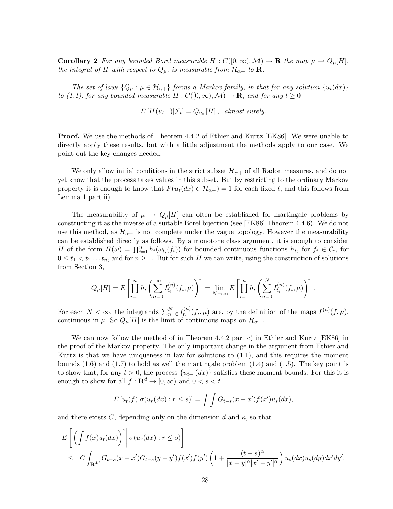**Corollary 2** For any bounded Borel measurable  $H : C([0,\infty), \mathcal{M}) \to \mathbf{R}$  the map  $\mu \to Q_{\mu}[H],$ the integral of H with respect to  $Q_{\mu}$ , is measurable from  $\mathcal{H}_{\alpha+}$  to **R**.

The set of laws  ${Q_{\mu} : \mu \in \mathcal{H}_{\alpha+}}$  forms a Markov family, in that for any solution  ${u_t(dx)}$ to (1.1), for any bounded measurable  $H: C([0,\infty), \mathcal{M}) \to \mathbf{R}$ , and for any  $t \geq 0$ 

$$
E[H(u_{t+})|\mathcal{F}_t] = Q_{u_t}[H], \text{ almost surely.}
$$

Proof. We use the methods of Theorem 4.4.2 of Ethier and Kurtz [EK86]. We were unable to directly apply these results, but with a little adjustment the methods apply to our case. We point out the key changes needed.

We only allow initial conditions in the strict subset  $\mathcal{H}_{\alpha+}$  of all Radon measures, and do not yet know that the process takes values in this subset. But by restricting to the ordinary Markov property it is enough to know that  $P(u_t(dx) \in \mathcal{H}_{\alpha+}) = 1$  for each fixed t, and this follows from Lemma 1 part ii).

The measurability of  $\mu \to Q_{\mu}[H]$  can often be established for martingale problems by constructing it as the inverse of a suitable Borel bijection (see [EK86] Theorem 4.4.6). We do not use this method, as  $\mathcal{H}_{\alpha+}$  is not complete under the vague topology. However the measurability can be established directly as follows. By a monotone class argument, it is enough to consider H of the form  $H(\omega) = \prod_{i=1}^n h_i(\omega_{t_i}(f_i))$  for bounded continuous functions  $h_i$ , for  $f_i \in \mathcal{C}_c$ , for  $0 \leq t_1 < t_2 \ldots t_n$ , and for  $n \geq 1$ . But for such H we can write, using the construction of solutions from Section 3,

$$
Q_{\mu}[H] = E\left[\prod_{i=1}^{n} h_i\left(\sum_{n=0}^{\infty} I_{t_i}^{(n)}(f_i, \mu)\right)\right] = \lim_{N \to \infty} E\left[\prod_{i=1}^{n} h_i\left(\sum_{n=0}^{N} I_{t_i}^{(n)}(f_i, \mu)\right)\right].
$$

For each  $N < \infty$ , the integrands  $\sum_{n=0}^{N} I_{t_i}^{(n)}$  $t_i^{(n)}(f_i, \mu)$  are, by the definition of the maps  $I^{(n)}(f, \mu)$ , continuous in  $\mu$ . So  $Q_{\mu}[H]$  is the limit of continuous maps on  $\mathcal{H}_{\alpha+}$ .

We can now follow the method of in Theorem 4.4.2 part c) in Ethier and Kurtz [EK86] in the proof of the Markov property. The only important change in the argument from Ethier and Kurtz is that we have uniqueness in law for solutions to (1.1), and this requires the moment bounds  $(1.6)$  and  $(1.7)$  to hold as well the martingale problem  $(1.4)$  and  $(1.5)$ . The key point is to show that, for any  $t > 0$ , the process  $\{u_{t+1}(dx)\}$  satisfies these moment bounds. For this it is enough to show for all  $f: \mathbf{R}^d \to [0, \infty)$  and  $0 < s < t$ 

$$
E[u_t(f)|\sigma(u_r(dx):r\leq s)]=\int\int G_{t-s}(x-x')f(x')u_s(dx),
$$

and there exists C, depending only on the dimension d and  $\kappa$ , so that

$$
E\left[\left(\int f(x)u_t(dx)\right)^2 \middle| \sigma(u_r(dx): r \le s)\right]
$$
  
\n
$$
\le C\int_{\mathbf{R}^{4d}} G_{t-s}(x-x')G_{t-s}(y-y')f(x')f(y')\left(1+\frac{(t-s)^{\alpha}}{|x-y|^{\alpha}|x'-y'|^{\alpha}}\right)u_s(dx)u_s(dy)dx'dy'.
$$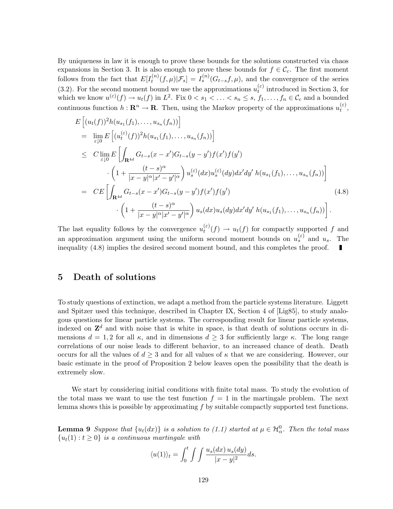By uniqueness in law it is enough to prove these bounds for the solutions constructed via chaos expansions in Section 3. It is also enough to prove these bounds for  $f \in \mathcal{C}_c$ . The first moment follows from the fact that  $E[I_t^{(n)}]$  $t_t^{(n)}(f,\mu)|\mathcal{F}_s] = I_s^{(n)}(G_{t-s}f,\mu)$ , and the convergence of the series (3.2). For the second moment bound we use the approximations  $u_t^{(\varepsilon)}$  $t_t^{(e)}$  introduced in Section 3, for which we know  $u^{(\varepsilon)}(f) \to u_t(f)$  in  $L^2$ . Fix  $0 < s_1 < \ldots < s_n \leq s$ ,  $f_1, \ldots, f_n \in \mathcal{C}_c$  and a bounded continuous function  $h: \mathbf{R}^n \to \mathbf{R}$ . Then, using the Markov property of the approximations  $u_t^{(\varepsilon)}$  $\mathcal{L}^{(z)}_t,$ 

$$
E\left[(u_t(f))^2 h(u_{s_1}(f_1),...,u_{s_n}(f_n))\right]
$$
\n
$$
= \lim_{\varepsilon \downarrow 0} E\left[(u_t^{(\varepsilon)}(f))^2 h(u_{s_1}(f_1),...,u_{s_n}(f_n))\right]
$$
\n
$$
\leq C \lim_{\varepsilon \downarrow 0} E\left[\int_{\mathbf{R}^{4d}} G_{t-s}(x-x') G_{t-s}(y-y') f(x') f(y')\right]
$$
\n
$$
\cdot \left(1 + \frac{(t-s)^{\alpha}}{|x-y|^{\alpha}|x'-y'|^{\alpha}}\right) u_s^{(\varepsilon)}(dx) u_s^{(\varepsilon)}(dy) dx'dy' h(u_{s_1}(f_1),...,u_{s_n}(f_n))\right]
$$
\n
$$
= CE\left[\int_{\mathbf{R}^{4d}} G_{t-s}(x-x') G_{t-s}(y-y') f(x') f(y')\right]
$$
\n
$$
\cdot \left(1 + \frac{(t-s)^{\alpha}}{|x-y|^{\alpha}|x'-y'|^{\alpha}}\right) u_s(dx) u_s(dy) dx'dy' h(u_{s_1}(f_1),...,u_{s_n}(f_n))\right].
$$
\n(4.8)

The last equality follows by the convergence  $u_t^{(\varepsilon)}$  $t_t^{(e)}(f) \to u_t(f)$  for compactly supported f and an approximation argument using the uniform second moment bounds on  $u_s^{(\varepsilon)}$  and  $u_s$ . The inequality (4.8) implies the desired second moment bound, and this completes the proof.  $\blacksquare$ 

## 5 Death of solutions

To study questions of extinction, we adapt a method from the particle systems literature. Liggett and Spitzer used this technique, described in Chapter IX, Section 4 of [Lig85], to study analogous questions for linear particle systems. The corresponding result for linear particle systems, indexed on  $\mathbf{Z}^d$  and with noise that is white in space, is that death of solutions occurs in dimensions  $d = 1, 2$  for all  $\kappa$ , and in dimensions  $d \geq 3$  for sufficiently large  $\kappa$ . The long range correlations of our noise leads to different behavior, to an increased chance of death. Death occurs for all the values of  $d \geq 3$  and for all values of  $\kappa$  that we are considering. However, our basic estimate in the proof of Proposition 2 below leaves open the possibility that the death is extremely slow.

We start by considering initial conditions with finite total mass. To study the evolution of the total mass we want to use the test function  $f = 1$  in the martingale problem. The next lemma shows this is possible by approximating f by suitable compactly supported test functions.

**Lemma 9** Suppose that  $\{u_t(dx)\}\$ is a solution to (1.1) started at  $\mu \in \mathcal{H}^0_\alpha$ . Then the total mass  ${u_t(1): t \geq 0}$  is a continuous martingale with

$$
\langle u(1) \rangle_t = \int_0^t \int \int \frac{u_s(dx) \, u_s(dy)}{|x - y|^2} ds.
$$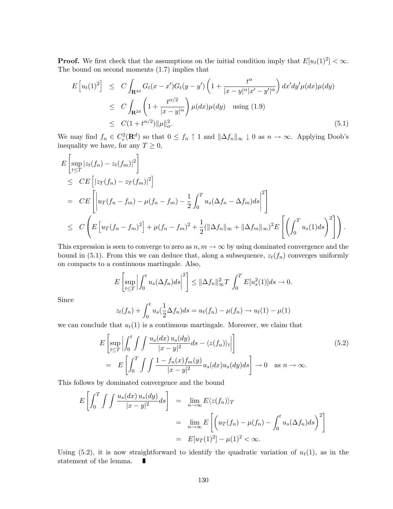**Proof.** We first check that the assumptions on the initial condition imply that  $E[u_t(1)^2] < \infty$ . The bound on second moments (1.7) implies that

$$
E\left[u_t(1)^2\right] \leq C \int_{\mathbf{R}^{4d}} G_t(x-x')G_t(y-y')\left(1+\frac{t^{\alpha}}{|x-y|^{\alpha}|x'-y'|^{\alpha}}\right)dx'dy'\mu(dx)\mu(dy)
$$
  
\n
$$
\leq C \int_{\mathbf{R}^{2d}} \left(1+\frac{t^{\alpha/2}}{|x-y|^{\alpha}}\right) \mu(dx)\mu(dy) \quad \text{using (1.9)}
$$
  
\n
$$
\leq C(1+t^{\alpha/2})\|\mu\|_{\alpha}^2. \tag{5.1}
$$

We may find  $f_n \in C_c^2(\mathbf{R}^d)$  so that  $0 \le f_n \uparrow 1$  and  $\|\Delta f_n\|_{\infty} \downarrow 0$  as  $n \to \infty$ . Applying Doob's inequality we have, for any  $T \geq 0$ ,

$$
E\left[\sup_{t\leq T}|z_t(f_n)-z_t(f_m)|^2\right]
$$
  
\n
$$
\leq CE\left[|z_T(f_n)-z_T(f_m)|^2\right]
$$
  
\n
$$
= CE\left[\left|u_T(f_n-f_m)-\mu(f_n-f_m)-\frac{1}{2}\int_0^T u_s(\Delta f_n-\Delta f_m)ds\right|^2\right]
$$
  
\n
$$
\leq C\left(E\left[u_T(f_n-f_m)^2\right]+\mu(f_n-f_m)^2+\frac{1}{2}(\|\Delta f_n\|_{\infty}+\|\Delta f_m\|_{\infty})^2E\left[\left(\int_0^T u_s(1)ds\right)^2\right]\right).
$$

This expression is seen to converge to zero as  $n, m \to \infty$  by using dominated convergence and the bound in (5.1). From this we can deduce that, along a subsequence,  $z_t(f_n)$  converges uniformly on compacts to a continuous martingale. Also,

$$
E\left[\sup_{t\leq T}\left|\int_0^t u_s(\Delta f_n)ds\right|^2\right] \leq \|\Delta f_n\|_{\infty}^2 T \int_0^T E[u_s^2(1)]ds \to 0.
$$

Since

$$
z_t(f_n) + \int_0^t u_s(\frac{1}{2}\Delta f_n)ds = u_t(f_n) - \mu(f_n) \to u_t(1) - \mu(1)
$$

we can conclude that  $u_t(1)$  is a continuous martingale. Moreover, we claim that

$$
E\left[\sup_{t\leq T} \left| \int_0^t \int \int \frac{u_s(dx) u_s(dy)}{|x-y|^2} ds - \langle z(f_n) \rangle_t \right| \right]
$$
  
= 
$$
E\left[\int_0^T \int \int \frac{1 - f_n(x)f_m(y)}{|x-y|^2} u_s(dx) u_s(dy) ds \right] \to 0 \quad \text{as } n \to \infty.
$$
 (5.2)

This follows by dominated convergence and the bound

$$
E\left[\int_0^T \int \int \frac{u_s(dx) u_s(dy)}{|x - y|^2} ds\right] = \lim_{n \to \infty} E\langle z(f_n) \rangle_T
$$
  
= 
$$
\lim_{n \to \infty} E\left[\left(u_T(f_n) - \mu(f_n) - \int_0^t u_s(\Delta f_n) ds\right)^2\right]
$$
  
= 
$$
E[u_T(1)^2] - \mu(1)^2 < \infty.
$$

Using (5.2), it is now straightforward to identify the quadratic variation of  $u_t(1)$ , as in the statement of the lemma. П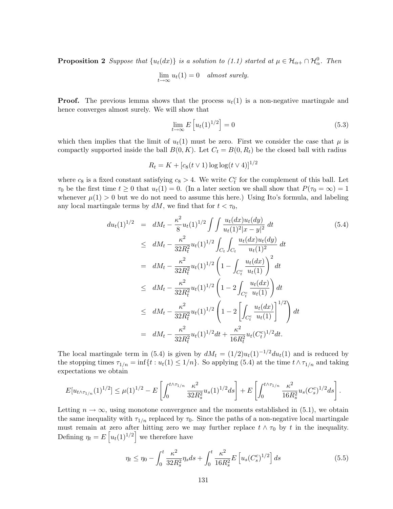**Proposition 2** Suppose that  $\{u_t(dx)\}\$ is a solution to (1.1) started at  $\mu \in \mathcal{H}_{\alpha+} \cap \mathcal{H}_{\alpha}^0$ . Then

$$
\lim_{t \to \infty} u_t(1) = 0 \quad almost \ surely.
$$

**Proof.** The previous lemma shows that the process  $u_t(1)$  is a non-negative martingale and hence converges almost surely. We will show that

$$
\lim_{t \to \infty} E\left[u_t(1)^{1/2}\right] = 0\tag{5.3}
$$

which then implies that the limit of  $u_t(1)$  must be zero. First we consider the case that  $\mu$  is compactly supported inside the ball  $B(0, K)$ . Let  $C_t = B(0, R_t)$  be the closed ball with radius

$$
R_t = K + [c_8(t \vee 1) \log \log(t \vee 4)]^{1/2}
$$

where  $c_8$  is a fixed constant satisfying  $c_8 > 4$ . We write  $C_t^c$  for the complement of this ball. Let  $\tau_0$  be the first time  $t \geq 0$  that  $u_t(1) = 0$ . (In a later section we shall show that  $P(\tau_0 = \infty) = 1$ whenever  $\mu(1) > 0$  but we do not need to assume this here.) Using Ito's formula, and labeling any local martingale terms by  $dM$ , we find that for  $t < \tau_0$ ,

$$
du_t(1)^{1/2} = dM_t - \frac{\kappa^2}{8} u_t(1)^{1/2} \int \int \frac{u_t(dx)u_t(dy)}{u_t(1)^2 |x - y|^2} dt
$$
\n
$$
\leq dM_t - \frac{\kappa^2}{32R_t^2} u_t(1)^{1/2} \int_{C_t} \int_{C_t} \frac{u_t(dx)u_t(dy)}{u_t(1)^2} dt
$$
\n
$$
= dM_t - \frac{\kappa^2}{32R_t^2} u_t(1)^{1/2} \left(1 - \int_{C_t^c} \frac{u_t(dx)}{u_t(1)}\right)^2 dt
$$
\n
$$
\leq dM_t - \frac{\kappa^2}{32R_t^2} u_t(1)^{1/2} \left(1 - 2 \int_{C_t^c} \frac{u_t(dx)}{u_t(1)}\right) dt
$$
\n
$$
\leq dM_t - \frac{\kappa^2}{32R_t^2} u_t(1)^{1/2} \left(1 - 2 \left[\int_{C_t^c} \frac{u_t(dx)}{u_t(1)}\right]^{1/2}\right) dt
$$
\n
$$
= dM_t - \frac{\kappa^2}{32R_t^2} u_t(1)^{1/2} dt + \frac{\kappa^2}{16R_t^2} u_t(C_t^c)^{1/2} dt.
$$
\n(5.4)

The local martingale term in (5.4) is given by  $dM_t = (1/2)u_t(1)^{-1/2}du_t(1)$  and is reduced by the stopping times  $\tau_{1/n} = \inf\{t : u_t(1) \leq 1/n\}$ . So applying (5.4) at the time  $t \wedge \tau_{1/n}$  and taking expectations we obtain

$$
E[u_{t\wedge\tau_{1/n}}(1)^{1/2}] \leq \mu(1)^{1/2} - E\left[\int_0^{t\wedge\tau_{1/n}} \frac{\kappa^2}{32R_s^2} u_s(1)^{1/2} ds\right] + E\left[\int_0^{t\wedge\tau_{1/n}} \frac{\kappa^2}{16R_s^2} u_s(C_s^c)^{1/2} ds\right].
$$

Letting  $n \to \infty$ , using monotone convergence and the moments established in (5.1), we obtain the same inequality with  $\tau_{1/n}$  replaced by  $\tau_0$ . Since the paths of a non-negative local martingale must remain at zero after hitting zero we may further replace  $t \wedge \tau_0$  by t in the inequality. Defining  $\eta_t = E\left[u_t(1)^{1/2}\right]$  we therefore have

$$
\eta_t \le \eta_0 - \int_0^t \frac{\kappa^2}{32R_s^2} \eta_s ds + \int_0^t \frac{\kappa^2}{16R_s^2} E\left[u_s(C_s^c)^{1/2}\right] ds \tag{5.5}
$$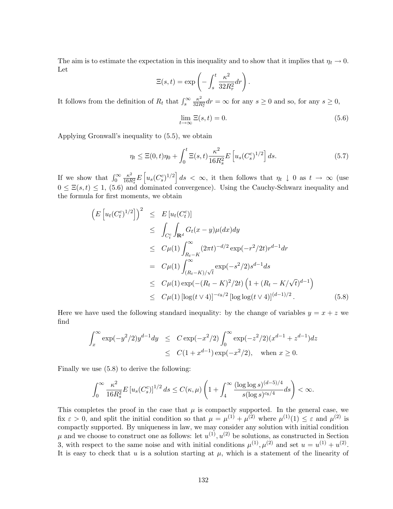The aim is to estimate the expectation in this inequality and to show that it implies that  $\eta_t \to 0$ . Let

$$
\Xi(s,t) = \exp\left(-\int_s^t \frac{\kappa^2}{32R_r^2} dr\right).
$$

It follows from the definition of  $R_t$  that  $\int_s^{\infty} \frac{\kappa^2}{32R}$  $\frac{\kappa^2}{32R_r^2}dr = \infty$  for any  $s \ge 0$  and so, for any  $s \ge 0$ ,

$$
\lim_{t \to \infty} \Xi(s, t) = 0. \tag{5.6}
$$

Applying Gronwall's inequality to (5.5), we obtain

$$
\eta_t \le \Xi(0, t)\eta_0 + \int_0^t \Xi(s, t) \frac{\kappa^2}{16R_s^2} E\left[u_s(C_s^c)^{1/2}\right] ds.
$$
\n(5.7)

If we show that  $\int_0^\infty \frac{\kappa^2}{16R}$  $\frac{\kappa^2}{16R_s^2}E\left[u_s(C_s^c)^{1/2}\right]ds < \infty$ , it then follows that  $\eta_t \downarrow 0$  as  $t \to \infty$  (use  $0 \leq \Xi(s,t) \leq 1$ , (5.6) and dominated convergence). Using the Cauchy-Schwarz inequality and the formula for first moments, we obtain

$$
\begin{split}\n\left(E\left[u_t(C_t^c)^{1/2}\right]\right)^2 &\leq E\left[u_t(C_t^c)\right] \\
&\leq \int_{C_t^c} \int_{\mathbf{R}^d} G_t(x-y) \mu(dx) dy \\
&\leq C\mu(1) \int_{R_t-K}^{\infty} (2\pi t)^{-d/2} \exp(-r^2/2t) r^{d-1} dr \\
&= C\mu(1) \int_{(R_t-K)/\sqrt{t}}^{\infty} \exp(-s^2/2) s^{d-1} ds \\
&\leq C\mu(1) \exp(-(R_t-K)^2/2t) \left(1 + (R_t - K/\sqrt{t})^{d-1}\right) \\
&\leq C\mu(1) \left[\log(t \vee 4)\right]^{-c_8/2} \left[\log\log(t \vee 4)\right]^{(d-1)/2}.\n\end{split} \tag{5.8}
$$

Here we have used the following standard inequality: by the change of variables  $y = x + z$  we find

$$
\int_x^{\infty} \exp(-y^2/2) y^{d-1} dy \le C \exp(-x^2/2) \int_0^{\infty} \exp(-z^2/2) (x^{d-1} + z^{d-1}) dz
$$
  

$$
\le C(1 + x^{d-1}) \exp(-x^2/2), \text{ when } x \ge 0.
$$

Finally we use (5.8) to derive the following:

$$
\int_0^\infty \frac{\kappa^2}{16R_s^2} E\left[u_s(C_s^c)\right]^{1/2} ds \le C(\kappa,\mu) \left(1 + \int_4^\infty \frac{(\log\log s)^{(d-5)/4}}{s(\log s)^{c_8/4}} ds\right) < \infty.
$$

This completes the proof in the case that  $\mu$  is compactly supported. In the general case, we fix  $\varepsilon > 0$ , and split the initial condition so that  $\mu = \mu^{(1)} + \mu^{(2)}$  where  $\mu^{(1)}(1) \leq \varepsilon$  and  $\mu^{(2)}$  is compactly supported. By uniqueness in law, we may consider any solution with initial condition  $\mu$  and we choose to construct one as follows: let  $u^{(1)}, u^{(2)}$  be solutions, as constructed in Section 3, with respect to the same noise and with initial conditions  $\mu^{(1)}, \mu^{(2)}$  and set  $u = u^{(1)} + u^{(2)}$ . It is easy to check that  $u$  is a solution starting at  $\mu$ , which is a statement of the linearity of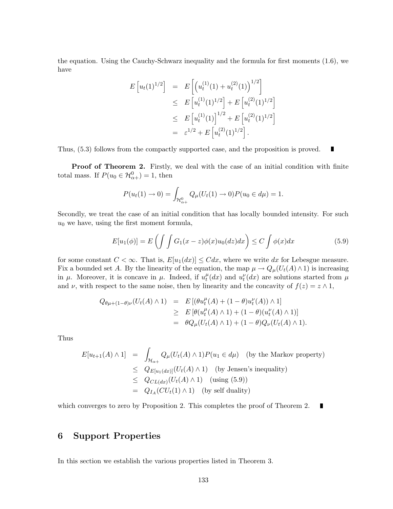the equation. Using the Cauchy-Schwarz inequality and the formula for first moments (1.6), we have

$$
E\left[u_t(1)^{1/2}\right] = E\left[\left(u_t^{(1)}(1) + u_t^{(2)}(1)\right)^{1/2}\right]
$$
  
\n
$$
\leq E\left[u_t^{(1)}(1)^{1/2}\right] + E\left[u_t^{(2)}(1)^{1/2}\right]
$$
  
\n
$$
\leq E\left[u_t^{(1)}(1)\right]^{1/2} + E\left[u_t^{(2)}(1)^{1/2}\right]
$$
  
\n
$$
= \varepsilon^{1/2} + E\left[u_t^{(2)}(1)^{1/2}\right].
$$

Thus, (5.3) follows from the compactly supported case, and the proposition is proved.  $\blacksquare$ 

**Proof of Theorem 2.** Firstly, we deal with the case of an initial condition with finite total mass. If  $P(u_0 \in \mathcal{H}_{\alpha+}^0) = 1$ , then

$$
P(u_t(1) \to 0) = \int_{\mathcal{H}_{\alpha_+}^0} Q_\mu(U_t(1) \to 0) P(u_0 \in d\mu) = 1.
$$

Secondly, we treat the case of an initial condition that has locally bounded intensity. For such  $u_0$  we have, using the first moment formula,

$$
E[u_1(\phi)] = E\left(\int \int G_1(x-z)\phi(x)u_0(dz)dx\right) \le C \int \phi(x)dx \tag{5.9}
$$

for some constant  $C < \infty$ . That is,  $E[u_1(dx)] \leq C dx$ , where we write dx for Lebesgue measure. Fix a bounded set A. By the linearity of the equation, the map  $\mu \to Q_{\mu}(U_t(A) \wedge 1)$  is increasing in  $\mu$ . Moreover, it is concave in  $\mu$ . Indeed, if  $u_t^{\mu}$  $t(t)$  and  $u_t^{\nu}(dx)$  are solutions started from  $\mu$ and  $\nu$ , with respect to the same noise, then by linearity and the concavity of  $f(z) = z \wedge 1$ ,

$$
Q_{\theta\mu+(1-\theta)\nu}(U_t(A) \wedge 1) = E[(\theta u_t^{\mu}(A) + (1-\theta)u_t^{\nu}(A)) \wedge 1] \geq E[\theta(u_t^{\mu}(A) \wedge 1) + (1-\theta)(u_t^{\nu}(A) \wedge 1)] = \theta Q_{\mu}(U_t(A) \wedge 1) + (1-\theta)Q_{\nu}(U_t(A) \wedge 1).
$$

Thus

$$
E[u_{t+1}(A) \wedge 1] = \int_{\mathcal{H}_{\alpha+}} Q_{\mu}(U_t(A) \wedge 1) P(u_1 \in d\mu) \quad \text{(by the Markov property)}
$$
  
\n
$$
\leq Q_{E[u_1(dx)]}(U_t(A) \wedge 1) \quad \text{(by Jensen's inequality)}
$$
  
\n
$$
\leq Q_{CL(dx)}(U_t(A) \wedge 1) \quad \text{(using (5.9))}
$$
  
\n
$$
= Q_{I_A}(CU_t(1) \wedge 1) \quad \text{(by self duality)}
$$

which converges to zero by Proposition 2. This completes the proof of Theorem 2. П

# 6 Support Properties

In this section we establish the various properties listed in Theorem 3.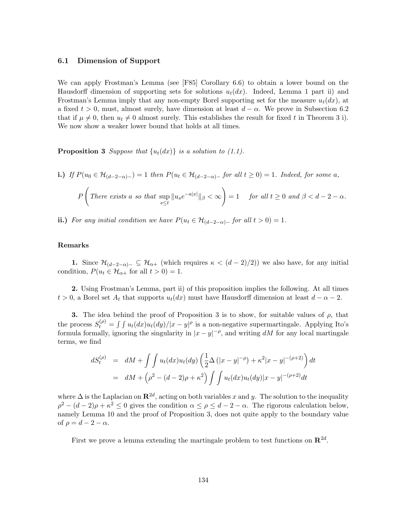### 6.1 Dimension of Support

We can apply Frostman's Lemma (see [F85] Corollary 6.6) to obtain a lower bound on the Hausdorff dimension of supporting sets for solutions  $u_t(dx)$ . Indeed, Lemma 1 part ii) and Frostman's Lemma imply that any non-empty Borel supporting set for the measure  $u_t(dx)$ , at a fixed  $t > 0$ , must, almost surely, have dimension at least  $d - \alpha$ . We prove in Subsection 6.2 that if  $\mu \neq 0$ , then  $u_t \neq 0$  almost surely. This establishes the result for fixed t in Theorem 3 i). We now show a weaker lower bound that holds at all times.

**Proposition 3** Suppose that  $\{u_t(dx)\}\$ is a solution to (1.1).

i.) If 
$$
P(u_0 \in \mathcal{H}_{(d-2-\alpha)-}) = 1
$$
 then  $P(u_t \in \mathcal{H}_{(d-2-\alpha)-}$  for all  $t \ge 0) = 1$ . Indeed, for some  $a$ ,

$$
P\left(\text{There exists a so that }\sup_{s\leq t} \|u_s e^{-a|x|}\|_{\beta} < \infty\right) = 1 \quad \text{for all } t \geq 0 \text{ and } \beta < d - 2 - \alpha.
$$

ii.) For any initial condition we have  $P(u_t \in \mathcal{H}_{(d-2-\alpha)-}$  for all  $t > 0) = 1$ .

#### Remarks

1. Since  $\mathcal{H}_{(d-2-\alpha)-} \subseteq \mathcal{H}_{\alpha+}$  (which requires  $\kappa < (d-2)/2$ ) we also have, for any initial condition,  $P(u_t \in \mathcal{H}_{\alpha+} \text{ for all } t > 0) = 1.$ 

2. Using Frostman's Lemma, part ii) of this proposition implies the following. At all times  $t > 0$ , a Borel set  $A_t$  that supports  $u_t(dx)$  must have Hausdorff dimension at least  $d - \alpha - 2$ .

3. The idea behind the proof of Proposition 3 is to show, for suitable values of  $\rho$ , that the process  $S_t^{(\rho)} = \int \int u_t(dx)u_t(dy)/|x-y|^\rho$  is a non-negative supermartingale. Applying Ito's formula formally, ignoring the singularity in  $|x-y|^{-\rho}$ , and writing dM for any local martingale terms, we find

$$
dS_t^{(\rho)} = dM + \int \int u_t(dx) u_t(dy) \left( \frac{1}{2} \Delta (|x - y|^{-\rho}) + \kappa^2 |x - y|^{-(\rho + 2)} \right) dt
$$
  
= 
$$
dM + (\rho^2 - (d - 2)\rho + \kappa^2) \int \int u_t(dx) u_t(dy) |x - y|^{-(\rho + 2)} dt
$$

where  $\Delta$  is the Laplacian on  $\mathbb{R}^{2d}$ , acting on both variables x and y. The solution to the inequality  $\rho^2 - (d-2)\rho + \kappa^2 \leq 0$  gives the condition  $\alpha \leq \rho \leq d-2-\alpha$ . The rigorous calculation below, namely Lemma 10 and the proof of Proposition 3, does not quite apply to the boundary value of  $\rho = d - 2 - \alpha$ .

First we prove a lemma extending the martingale problem to test functions on  $\mathbb{R}^{2d}$ .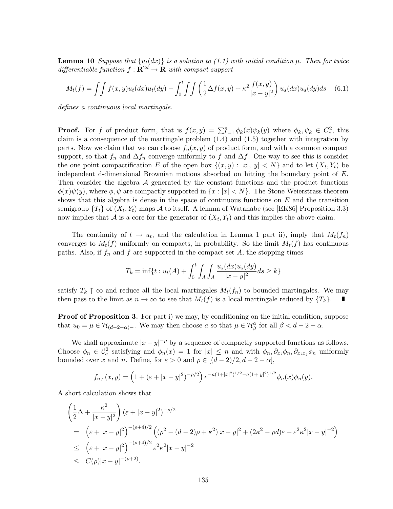**Lemma 10** Suppose that  $\{u_t(dx)\}\$ is a solution to (1.1) with initial condition  $\mu$ . Then for twice differentiable function  $f: \mathbf{R}^{2d} \to \mathbf{R}$  with compact support

$$
M_t(f) = \int \int f(x, y) u_t(dx) u_t(dy) - \int_0^t \int \int \left(\frac{1}{2} \Delta f(x, y) + \kappa^2 \frac{f(x, y)}{|x - y|^2}\right) u_s(dx) u_s(dy) ds \quad (6.1)
$$

defines a continuous local martingale.

**Proof.** For f of product form, that is  $f(x,y) = \sum_{k=1}^{n} \phi_k(x) \psi_k(y)$  where  $\phi_k, \psi_k \in C_c^2$ , this claim is a consequence of the martingale problem (1.4) and (1.5) together with integration by parts. Now we claim that we can choose  $f_n(x, y)$  of product form, and with a common compact support, so that  $f_n$  and  $\Delta f_n$  converge uniformly to f and  $\Delta f$ . One way to see this is consider the one point compactification E of the open box  $\{(x, y) : |x|, |y| < N\}$  and to let  $(X_t, Y_t)$  be independent d-dimensional Brownian motions absorbed on hitting the boundary point of  $E$ . Then consider the algebra  $A$  generated by the constant functions and the product functions  $\phi(x)\psi(y)$ , where  $\phi, \psi$  are compactly supported in  $\{x : |x| \leq N\}$ . The Stone-Weierstrass theorem shows that this algebra is dense in the space of continuous functions on  $E$  and the transition semigroup  $\{T_t\}$  of  $(X_t, Y_t)$  maps A to itself. A lemma of Watanabe (see [EK86] Proposition 3.3) now implies that A is a core for the generator of  $(X_t, Y_t)$  and this implies the above claim.

The continuity of  $t \to u_t$ , and the calculation in Lemma 1 part ii), imply that  $M_t(f_n)$ converges to  $M_t(f)$  uniformly on compacts, in probability. So the limit  $M_t(f)$  has continuous paths. Also, if  $f_n$  and  $f$  are supported in the compact set  $A$ , the stopping times

$$
T_k = \inf\{t : u_t(A) + \int_0^t \int_A \int_A \frac{u_s(dx)u_s(dy)}{|x - y|^2} ds \ge k\}
$$

satisfy  $T_k \uparrow \infty$  and reduce all the local martingales  $M_t(f_n)$  to bounded martingales. We may then pass to the limit as  $n \to \infty$  to see that  $M_t(f)$  is a local martingale reduced by  $\{T_k\}$ . then pass to the limit as  $n \to \infty$  to see that  $M_t(f)$  is a local martingale reduced by  $\{T_k\}$ .

**Proof of Proposition 3.** For part i) we may, by conditioning on the initial condition, suppose that  $u_0 = \mu \in \mathcal{H}_{(d-2-\alpha)-}$ . We may then choose a so that  $\mu \in \mathcal{H}_{\beta}^a$  for all  $\beta < d-2-\alpha$ .

We shall approximate  $|x-y|^{-\rho}$  by a sequence of compactly supported functions as follows. Choose  $\phi_n \in C_c^2$  satisfying and  $\phi_n(x) = 1$  for  $|x| \leq n$  and with  $\phi_n, \partial_{x_i} \phi_n, \partial_{x_i x_j} \phi_n$  uniformly bounded over x and n. Define, for  $\varepsilon > 0$  and  $\rho \in [(d-2)/2, d-2-\alpha]$ ,

$$
f_{n,\varepsilon}(x,y) = \left(1 + (\varepsilon + |x-y|^2)^{-\rho/2}\right) e^{-a(1+|x|^2)^{1/2} - a(1+|y|^2)^{1/2}} \phi_n(x) \phi_n(y).
$$

A short calculation shows that

$$
\begin{aligned}\n&\left(\frac{1}{2}\Delta + \frac{\kappa^2}{|x-y|^2}\right)(\varepsilon + |x-y|^2)^{-\rho/2} \\
&= \left(\varepsilon + |x-y|^2\right)^{-(\rho+4)/2} \left((\rho^2 - (d-2)\rho + \kappa^2)|x-y|^2 + (2\kappa^2 - \rho d)\varepsilon + \varepsilon^2 \kappa^2 |x-y|^{-2}\right) \\
&\leq \left(\varepsilon + |x-y|^2\right)^{-(\rho+4)/2} \varepsilon^2 \kappa^2 |x-y|^{-2} \\
&\leq C(\rho)|x-y|^{-(\rho+2)}.\n\end{aligned}
$$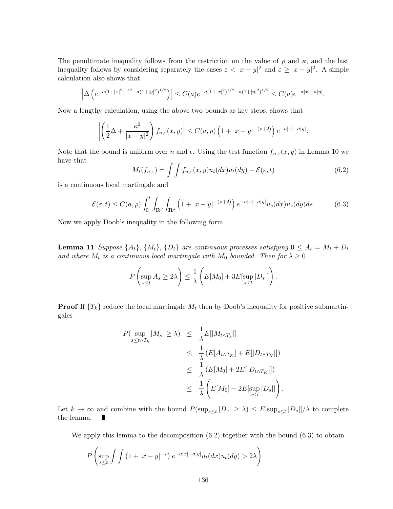The penultimate inequality follows from the restriction on the value of  $\rho$  and  $\kappa$ , and the last inequality follows by considering separately the cases  $\varepsilon < |x - y|^2$  and  $\varepsilon \ge |x - y|^2$ . A simple calculation also shows that

$$
\left|\Delta\left(e^{-a(1+|x|^2)^{1/2}-a(1+|y|^2)^{1/2}}\right)\right|\leq C(a)e^{-a(1+|x|^2)^{1/2}-a(1+|y|^2)^{1/2}}\leq C(a)e^{-a|x|-a|y|}.
$$

Now a lengthy calculation, using the above two bounds as key steps, shows that

$$
\left| \left( \frac{1}{2} \Delta + \frac{\kappa^2}{|x - y|^2} \right) f_{n,\varepsilon}(x, y) \right| \le C(a, \rho) \left( 1 + |x - y|^{-(\rho + 2)} \right) e^{-a|x| - a|y|}.
$$

Note that the bound is uniform over n and  $\epsilon$ . Using the test function  $f_{n,\epsilon}(x, y)$  in Lemma 10 we have that

$$
M_t(f_{n,\varepsilon}) = \int \int f_{n,\varepsilon}(x,y) u_t(dx) u_t(dy) - \mathcal{E}(\varepsilon,t)
$$
\n(6.2)

is a continuous local martingale and

$$
\mathcal{E}(\varepsilon, t) \le C(a, \rho) \int_0^t \int_{\mathbf{R}^d} \int_{\mathbf{R}^d} \left( 1 + |x - y|^{-(\rho + 2)} \right) e^{-a|x| - a|y|} u_s(dx) u_s(dy) ds.
$$
 (6.3)

Now we apply Doob's inequality in the following form

**Lemma 11** Suppose  $\{A_t\}$ ,  $\{M_t\}$ ,  $\{D_t\}$  are continuous processes satisfying  $0 \leq A_t = M_t + D_t$ and where  $M_t$  is a continuous local martingale with  $M_0$  bounded. Then for  $\lambda \geq 0$ 

$$
P\left(\sup_{s\leq t} A_s \geq 2\lambda\right) \leq \frac{1}{\lambda}\left(E[M_0] + 3E[\sup_{s\leq t} |D_s|]\right).
$$

**Proof** If  $\{T_k\}$  reduce the local martingale  $M_t$  then by Doob's inequality for positive submartingales

$$
P(\sup_{s \le t \wedge T_k} |M_s| \ge \lambda) \le \frac{1}{\lambda} E[|M_{t \wedge T_k}|]
$$
  
\n
$$
\le \frac{1}{\lambda} (E[A_{t \wedge T_K}] + E[|D_{t \wedge T_K}|])
$$
  
\n
$$
\le \frac{1}{\lambda} (E[M_0] + 2E[|D_{t \wedge T_K}|])
$$
  
\n
$$
\le \frac{1}{\lambda} \left( E[M_0] + 2E[\sup_{s \le t} |D_s|] \right)
$$

Let  $k \to \infty$  and combine with the bound  $P(\sup_{s\leq t} |D_s| \geq \lambda) \leq E[\sup_{s\leq t} |D_s|]/\lambda$  to complete the lemma.

We apply this lemma to the decomposition  $(6.2)$  together with the bound  $(6.3)$  to obtain

.

$$
P\left(\sup_{s\leq t}\int\int\left(1+|x-y|^{-\rho}\right)e^{-a|x|-a|y|}u_t(dx)u_t(dy)>2\lambda\right)
$$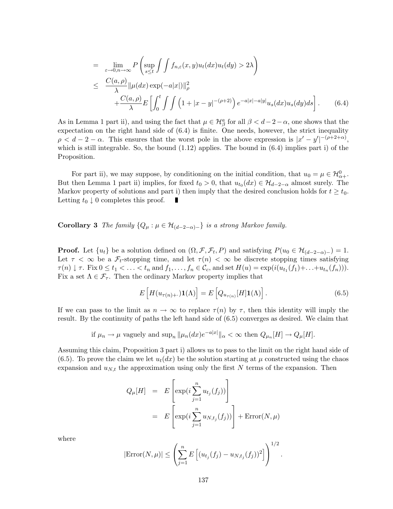$$
= \lim_{\varepsilon \to 0, n \to \infty} P\left(\sup_{s \le t} \int \int f_{n,\varepsilon}(x, y) u_t(dx) u_t(dy) > 2\lambda\right)
$$
  

$$
\le \frac{C(a, \rho)}{\lambda} ||\mu(dx) \exp(-a|x|)||_{\rho}^{2}
$$
  

$$
+ \frac{C(a, \rho)}{\lambda} E\left[\int_0^t \int \int \left(1 + |x - y|^{-(\rho+2)}\right) e^{-a|x| - a|y|} u_s(dx) u_s(dy) ds\right].
$$
 (6.4)

As in Lemma 1 part ii), and using the fact that  $\mu \in \mathcal{H}_{\beta}^{a}$  for all  $\beta < d-2-\alpha$ , one shows that the expectation on the right hand side of (6.4) is finite. One needs, however, the strict inequality  $\rho < d-2-\alpha$ . This ensures that the worst pole in the above expression is  $|x'-y'|^{-(\rho+2+\alpha)}$ , which is still integrable. So, the bound  $(1.12)$  applies. The bound in  $(6.4)$  implies part i) of the Proposition.

For part ii), we may suppose, by conditioning on the initial condition, that  $u_0 = \mu \in \mathcal{H}_{\alpha+}^0$ . But then Lemma 1 part ii) implies, for fixed  $t_0 > 0$ , that  $u_{t_0}(dx) \in \mathcal{H}_{d-2-\alpha}$  almost surely. The Markov property of solutions and part i) then imply that the desired conclusion holds for  $t \geq t_0$ . Letting  $t_0 \downarrow 0$  completes this proof.

**Corollary 3** The family  $\{Q_{\mu} : \mu \in \mathcal{H}_{(d-2-\alpha)-}\}\$ is a strong Markov family.

**Proof.** Let  $\{u_t\}$  be a solution defined on  $(\Omega, \mathcal{F}, \mathcal{F}_t, P)$  and satisfying  $P(u_0 \in \mathcal{H}_{(d-2-\alpha)-}) = 1$ . Let  $\tau < \infty$  be a  $\mathcal{F}_t$ -stopping time, and let  $\tau(n) < \infty$  be discrete stopping times satisfying  $\tau(n) \downarrow \tau$ . Fix  $0 \le t_1 < \ldots < t_n$  and  $f_1, \ldots, f_n \in \mathcal{C}_c$ , and set  $H(u) = \exp(i(u_{t_1}(f_1)+\ldots+u_{t_n}(f_n))).$ Fix a set  $\Lambda \in \mathcal{F}_{\tau}$ . Then the ordinary Markov property implies that

$$
E\left[H(u_{\tau(n)+\cdot})\mathbf{1}(\Lambda)\right] = E\left[Q_{u_{\tau(n)}}[H]\mathbf{1}(\Lambda)\right].\tag{6.5}
$$

If we can pass to the limit as  $n \to \infty$  to replace  $\tau(n)$  by  $\tau$ , then this identity will imply the result. By the continuity of paths the left hand side of (6.5) converges as desired. We claim that

if 
$$
\mu_n \to \mu
$$
 vagyely and sup<sub>n</sub>  $||\mu_n(dx)e^{-a|x|}||_{\alpha} < \infty$  then  $Q_{\mu_n}[H] \to Q_{\mu}[H]$ .

Assuming this claim, Proposition 3 part i) allows us to pass to the limit on the right hand side of (6.5). To prove the claim we let  $u_t(dx)$  be the solution starting at  $\mu$  constructed using the chaos expansion and  $u_{N,t}$  the approximation using only the first N terms of the expansion. Then

$$
Q_{\mu}[H] = E\left[\exp(i\sum_{j=1}^{n} u_{t_j}(f_j))\right]
$$
  
= 
$$
E\left[\exp(i\sum_{j=1}^{n} u_{N,t_j}(f_j))\right] + \text{Error}(N,\mu)
$$

where

$$
|\text{Error}(N,\mu)| \leq \left(\sum_{j=1}^n E\left[(u_{t_j}(f_j) - u_{N,t_j}(f_j))^2\right]\right)^{1/2}.
$$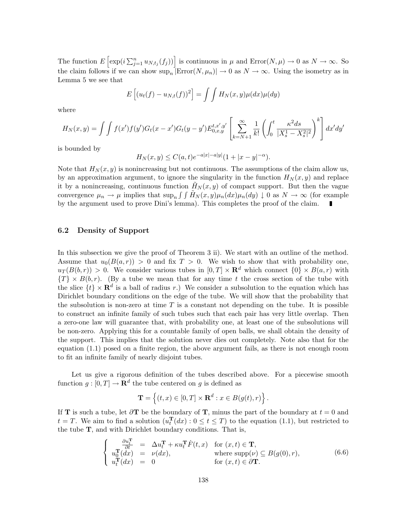The function  $E\left[\exp(i\sum_{j=1}^n u_{N,t_j}(f_j))\right]$  is continuous in  $\mu$  and  $\text{Error}(N,\mu) \to 0$  as  $N \to \infty$ . So the claim follows if we can show  $\sup_n |\text{Error}(N, \mu_n)| \to 0$  as  $N \to \infty$ . Using the isometry as in Lemma 5 we see that

$$
E\left[(u_t(f) - u_{N,t}(f))^2\right] = \int \int H_N(x,y)\mu(dx)\mu(dy)
$$

where

$$
H_N(x,y) = \int \int f(x')f(y')G_t(x-x')G_t(y-y')E_{0,x,y}^{t,x',y'} \left[ \sum_{k=N+1}^{\infty} \frac{1}{k!} \left( \int_0^t \frac{\kappa^2 ds}{|X_s^1 - X_s^2|^2} \right)^k \right] dx'dy'
$$

is bounded by

$$
H_N(x, y) \le C(a, t)e^{-a|x| - a|y|} (1 + |x - y|^{-\alpha}).
$$

Note that  $H_N(x, y)$  is nonincreasing but not continuous. The assumptions of the claim allow us, by an approximation argument, to ignore the singularity in the function  $H<sub>N</sub>(x, y)$  and replace it by a nonincreasing, continuous function  $H_N(x, y)$  of compact support. But then the vague convergence  $\mu_n \to \mu$  implies that  $\sup_n \int \int \tilde{H}_N(x, y)\mu_n(dx)\mu_n(dy) \downarrow 0$  as  $N \to \infty$  (for example by the argument used to prove Dini's lemma). This completes the proof of the claim.

### 6.2 Density of Support

In this subsection we give the proof of Theorem 3 ii). We start with an outline of the method. Assume that  $u_0(B(a, r)) > 0$  and fix  $T > 0$ . We wish to show that with probability one,  $u_T(B(b,r)) > 0$ . We consider various tubes in  $[0,T] \times \mathbb{R}^d$  which connect  $\{0\} \times B(a,r)$  with  ${T} \times B(b,r)$ . (By a tube we mean that for any time t the cross section of the tube with the slice  $\{t\} \times \mathbf{R}^d$  is a ball of radius r.) We consider a subsolution to the equation which has Dirichlet boundary conditions on the edge of the tube. We will show that the probability that the subsolution is non-zero at time T is a constant not depending on the tube. It is possible to construct an infinite family of such tubes such that each pair has very little overlap. Then a zero-one law will guarantee that, with probability one, at least one of the subsolutions will be non-zero. Applying this for a countable family of open balls, we shall obtain the density of the support. This implies that the solution never dies out completely. Note also that for the equation (1.1) posed on a finite region, the above argument fails, as there is not enough room to fit an infinite family of nearly disjoint tubes.

Let us give a rigorous definition of the tubes described above. For a piecewise smooth function  $g: [0, T] \to \mathbf{R}^d$  the tube centered on g is defined as

$$
\mathbf{T} = \left\{ (t, x) \in [0, T] \times \mathbf{R}^d : x \in B(g(t), r) \right\}.
$$

If **T** is such a tube, let  $\partial$ **T** be the boundary of **T**, minus the part of the boundary at  $t = 0$  and  $t = T$ . We aim to find a solution  $(u_t^{\mathbf{T}}(dx) : 0 \le t \le T)$  to the equation (1.1), but restricted to the tube  $T$ , and with Dirichlet boundary conditions. That is,

$$
\begin{cases}\n\frac{\partial u_t^{\mathbf{T}}}{\partial t} = \Delta u_t^{\mathbf{T}} + \kappa u_t^{\mathbf{T}} \dot{F}(t, x) & \text{for } (x, t) \in \mathbf{T}, \\
u_0^{\mathbf{T}}(dx) = \nu(dx), & \text{where } \text{supp}(\nu) \subseteq B(g(0), r), \\
u_t^{\mathbf{T}}(dx) = 0 & \text{for } (x, t) \in \partial \mathbf{T}.\n\end{cases}
$$
\n(6.6)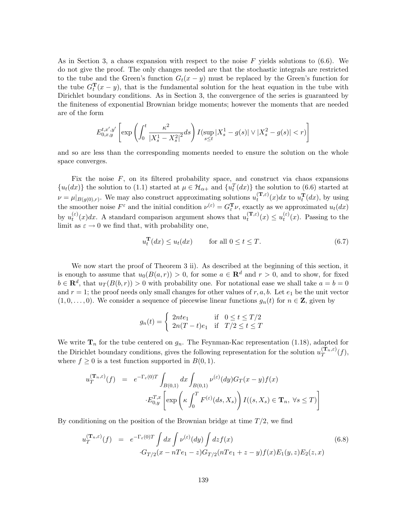As in Section 3, a chaos expansion with respect to the noise F yields solutions to  $(6.6)$ . We do not give the proof. The only changes needed are that the stochastic integrals are restricted to the tube and the Green's function  $G_t(x - y)$  must be replaced by the Green's function for the tube  $G_t^{\mathbf{T}}(x-y)$ , that is the fundamental solution for the heat equation in the tube with Dirichlet boundary conditions. As in Section 3, the convergence of the series is guaranteed by the finiteness of exponential Brownian bridge moments; however the moments that are needed are of the form

$$
E_{0,x,y}^{t,x',y'}\left[\exp\left(\int_0^t \frac{\kappa^2}{|X_s^1 - X_s^2|^2} ds\right) I(\sup_{s \le t} |X_s^1 - g(s)| \vee |X_s^2 - g(s)| < r)\right]
$$

and so are less than the corresponding moments needed to ensure the solution on the whole space converges.

Fix the noise  $F$ , on its filtered probability space, and construct via chaos expansions  ${u_t(dx)}$  the solution to (1.1) started at  $\mu \in \mathcal{H}_{\alpha+}$  and  ${u_t^T(dx)}$  the solution to (6.6) started at  $\nu = \mu|_{B(g(0),r)}$ . We may also construct approximating solutions  $u_t^{(\mathbf{T},\varepsilon)}$  $t_t^{(\mathbf{T},\varepsilon)}(x)dx$  to  $u_t^{\mathbf{T}}(dx)$ , by using the smoother noise  $F^{\varepsilon}$  and the initial condition  $\nu^{(\varepsilon)} = G_{\varepsilon}^{\mathbf{T}} \nu$ , exactly as we approximated  $u_t(dx)$ by  $u_t^{(\varepsilon)}$  $t_c^{(\varepsilon)}(x)dx$ . A standard comparison argument shows that  $u_t^{(\mathbf{T},\varepsilon)}$  $u_t^{(\mathbf{T},\varepsilon)}(x) \leq u_t^{(\varepsilon)}$  $t^{(0)}(x)$ . Passing to the limit as  $\varepsilon \to 0$  we find that, with probability one,

$$
u_t^{\mathbf{T}}(dx) \le u_t(dx) \qquad \text{for all } 0 \le t \le T. \tag{6.7}
$$

We now start the proof of Theorem 3 ii). As described at the beginning of this section, it is enough to assume that  $u_0(B(a, r)) > 0$ , for some  $a \in \mathbb{R}^d$  and  $r > 0$ , and to show, for fixed  $b \in \mathbf{R}^d$ , that  $u_T(B(b,r)) > 0$  with probability one. For notational ease we shall take  $a = b = 0$ and  $r = 1$ ; the proof needs only small changes for other values of r, a, b. Let  $e_1$  be the unit vector  $(1, 0, \ldots, 0)$ . We consider a sequence of piecewise linear functions  $g_n(t)$  for  $n \in \mathbb{Z}$ , given by

$$
g_n(t) = \begin{cases} 2nte_1 & \text{if } 0 \le t \le T/2\\ 2n(T-t)e_1 & \text{if } T/2 \le t \le T \end{cases}
$$

We write  $\mathbf{T}_n$  for the tube centered on  $g_n$ . The Feynman-Kac representation (1.18), adapted for the Dirichlet boundary conditions, gives the following representation for the solution  $u_T^{(\mathbf{T}_n,\varepsilon)}$  $T^{(1,n,\epsilon)}(f),$ where  $f \geq 0$  is a test function supported in  $B(0, 1)$ .

$$
u_T^{(\mathbf{T}_n,\varepsilon)}(f) = e^{-\Gamma_{\varepsilon}(0)T} \int_{B(0,1)} dx \int_{B(0,1)} \nu^{(\varepsilon)}(dy) G_T(x-y) f(x)
$$

$$
\cdot E_{0,y}^{T,x} \left[ \exp\left(\kappa \int_0^T F^{(\varepsilon)}(ds, X_s) \right) I((s, X_s) \in \mathbf{T}_n, \ \forall s \le T) \right]
$$

By conditioning on the position of the Brownian bridge at time  $T/2$ , we find

$$
u_T^{(\mathbf{T}_n,\varepsilon)}(f) = e^{-\Gamma_{\varepsilon}(0)T} \int dx \int \nu^{(\varepsilon)}(dy) \int dz f(x)
$$
  
 
$$
\cdot G_{T/2}(x - nTe_1 - z)G_{T/2}(nTe_1 + z - y)f(x)E_1(y,z)E_2(z,x)
$$
 (6.8)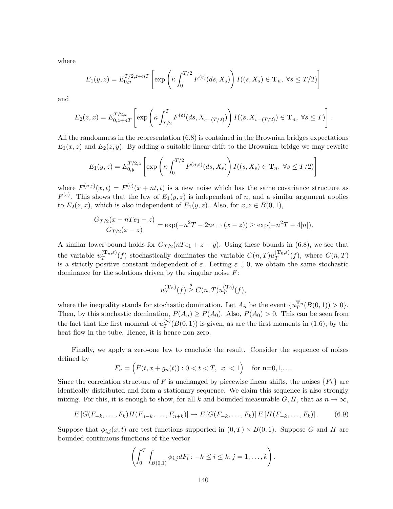where

$$
E_1(y, z) = E_{0,y}^{T/2, z+nT} \left[ \exp\left(\kappa \int_0^{T/2} F^{(\varepsilon)}(ds, X_s) \right) I((s, X_s) \in \mathbf{T}_n, \ \forall s \le T/2) \right]
$$

and

$$
E_2(z,x) = E_{0,z+nT}^{T/2,x} \left[ \exp\left(\kappa \int_{T/2}^T F^{(\varepsilon)}(ds, X_{s-(T/2)})\right) I((s, X_{s-(T/2)}) \in \mathbf{T}_n, \ \forall s \le T) \right].
$$

All the randomness in the representation (6.8) is contained in the Brownian bridges expectations  $E_1(x, z)$  and  $E_2(z, y)$ . By adding a suitable linear drift to the Brownian bridge we may rewrite

$$
E_1(y,z) = E_{0,y}^{T/2,z} \left[ \exp\left(\kappa \int_0^{T/2} F^{(n,\varepsilon)}(ds,X_s) \right) I((s,X_s) \in \mathbf{T}_n, \ \forall s \le T/2) \right]
$$

where  $F^{(n,\varepsilon)}(x,t) = F^{(\varepsilon)}(x+nt,t)$  is a new noise which has the same covariance structure as  $F^{(\varepsilon)}$ . This shows that the law of  $E_1(y, z)$  is independent of n, and a similar argument applies to  $E_2(z, x)$ , which is also independent of  $E_1(y, z)$ . Also, for  $x, z \in B(0, 1)$ ,

$$
\frac{G_{T/2}(x - nTe_1 - z)}{G_{T/2}(x - z)} = \exp(-n^2T - 2ne_1 \cdot (x - z)) \ge \exp(-n^2T - 4|n|).
$$

A similar lower bound holds for  $G_{T/2}(nTe_1 + z - y)$ . Using these bounds in (6.8), we see that the variable  $u_T^{(\mathbf{T}_n,\varepsilon)}$  $T^{(\mathbf{T}_n,\varepsilon)}(f)$  stochastically dominates the variable  $C(n,T)u_T^{(\mathbf{T}_0,\varepsilon)}$  $T^{(1,0,\varepsilon)}(f)$ , where  $C(n,T)$ is a strictly positive constant independent of  $\varepsilon$ . Letting  $\varepsilon \downarrow 0$ , we obtain the same stochastic dominance for the solutions driven by the singular noise  $F$ :

$$
u_T^{(\mathbf{T}_n)}(f) \stackrel{s}{\geq} C(n,T)u_T^{(\mathbf{T}_0)}(f),
$$

where the inequality stands for stochastic domination. Let  $A_n$  be the event  $\{u_T^{\mathbf{T}_n}(B(0,1)) > 0\}$ . Then, by this stochastic domination,  $P(A_n) \ge P(A_0)$ . Also,  $P(A_0) > 0$ . This can be seen from the fact that the first moment of  $u_T^{(n)}$  $T^{(n)}(B(0,1))$  is given, as are the first moments in (1.6), by the heat flow in the tube. Hence, it is hence non-zero.

Finally, we apply a zero-one law to conclude the result. Consider the sequence of noises defined by

$$
F_n = (F(t, x + g_n(t)) : 0 < t < T, |x| < 1)
$$
 for n=0,1,...

Since the correlation structure of F is unchanged by piecewise linear shifts, the noises  $\{F_k\}$  are identically distributed and form a stationary sequence. We claim this sequence is also strongly mixing. For this, it is enough to show, for all k and bounded measurable  $G, H$ , that as  $n \to \infty$ ,

$$
E\left[G(F_{-k},\ldots,F_k)H(F_{n-k},\ldots,F_{n+k})\right] \to E\left[G(F_{-k},\ldots,F_k)\right]E\left[H(F_{-k},\ldots,F_k)\right].\tag{6.9}
$$

Suppose that  $\phi_{i,j}(x,t)$  are test functions supported in  $(0,T) \times B(0,1)$ . Suppose G and H are bounded continuous functions of the vector

$$
\left(\int_0^T \int_{B(0,1)} \phi_{i,j} dF_i : -k \leq i \leq k, j = 1, \ldots, k\right).
$$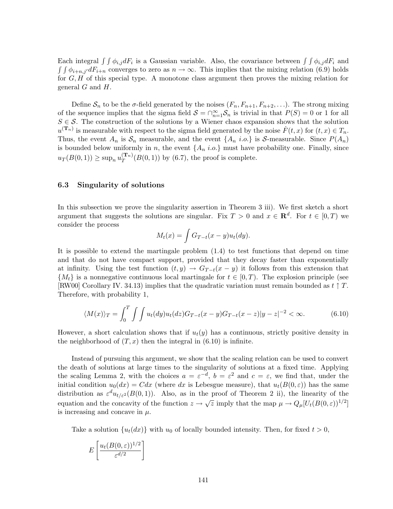Each integral  $\int \int \phi_{i,j} dF_i$  is a Gaussian variable. Also, the covariance between  $\int \int \phi_{i,j} dF_i$  and  $\int \int \phi_{i+n,j'} dF_{i+n}$  converges to zero as  $n \to \infty$ . This implies that the mixing relation (6.9) holds for  $G, H$  of this special type. A monotone class argument then proves the mixing relation for general  $G$  and  $H$ .

Define  $S_n$  to be the  $\sigma$ -field generated by the noises  $(F_n, F_{n+1}, F_{n+2}, \ldots)$ . The strong mixing of the sequence implies that the sigma field  $S = \bigcap_{n=1}^{\infty} S_n$  is trivial in that  $P(S) = 0$  or 1 for all  $S \in \mathcal{S}$ . The construction of the solutions by a Wiener chaos expansion shows that the solution  $u^{(\mathbf{T}_n)}$  is measurable with respect to the sigma field generated by the noise  $\dot{F}(t,x)$  for  $(t,x) \in T_n$ . Thus, the event  $A_n$  is  $S_n$  measurable, and the event  $\{A_n \text{ i.o.}\}\$ is S-measurable. Since  $P(A_n)$ is bounded below uniformly in n, the event  $\{A_n \text{ i.o.}\}\$  must have probability one. Finally, since  $u_T(B(0, 1)) \ge \sup_n u_T^{(\mathbf{T}_n)}$  $T^{(1 n)}(B(0, 1))$  by (6.7), the proof is complete.

#### 6.3 Singularity of solutions

In this subsection we prove the singularity assertion in Theorem 3 iii). We first sketch a short argument that suggests the solutions are singular. Fix  $T > 0$  and  $x \in \mathbb{R}^d$ . For  $t \in [0, T)$  we consider the process

$$
M_t(x) = \int G_{T-t}(x-y)u_t(dy).
$$

It is possible to extend the martingale problem (1.4) to test functions that depend on time and that do not have compact support, provided that they decay faster than exponentially at infinity. Using the test function  $(t, y) \rightarrow G_{T-t}(x - y)$  it follows from this extension that  $\{M_t\}$  is a nonnegative continuous local martingale for  $t \in [0, T)$ . The explosion principle (see [RW00] Corollary IV. 34.13) implies that the quadratic variation must remain bounded as  $t \uparrow T$ . Therefore, with probability 1,

$$
\langle M(x) \rangle_T = \int_0^T \int \int u_t(dy) u_t(dz) G_{T-t}(x-y) G_{T-t}(x-z) |y-z|^{-2} < \infty.
$$
 (6.10)

However, a short calculation shows that if  $u_t(y)$  has a continuous, strictly positive density in the neighborhood of  $(T, x)$  then the integral in  $(6.10)$  is infinite.

Instead of pursuing this argument, we show that the scaling relation can be used to convert the death of solutions at large times to the singularity of solutions at a fixed time. Applying the scaling Lemma 2, with the choices  $a = \varepsilon^{-d}$ ,  $b = \varepsilon^2$  and  $c = \varepsilon$ , we find that, under the initial condition  $u_0(dx) = Cdx$  (where dx is Lebesgue measure), that  $u_t(B(0, \varepsilon))$  has the same distribution as  $\varepsilon^d u_{t/\varepsilon^2}(B(0,1))$ . Also, as in the proof of Theorem 2 ii), the linearity of the equation and the concavity of the function  $z \to \sqrt{z}$  imply that the map  $\mu \to Q_{\mu}[U_t(B(0, \varepsilon))^{1/2}]$ is increasing and concave in  $\mu$ .

Take a solution  $\{u_t(dx)\}\$  with  $u_0$  of locally bounded intensity. Then, for fixed  $t > 0$ ,

$$
E\left[\frac{u_t(B(0,\varepsilon))^{1/2}}{\varepsilon^{d/2}}\right]
$$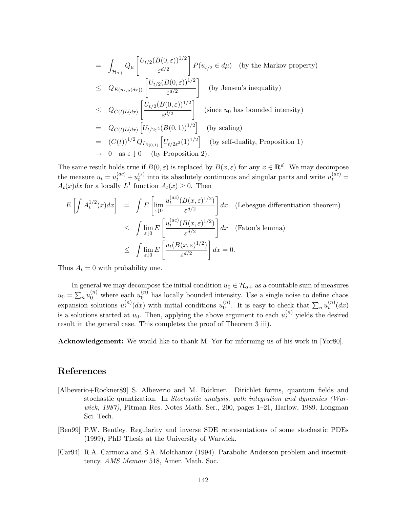$$
= \int_{\mathcal{H}_{\alpha+}} Q_{\mu} \left[ \frac{U_{t/2}(B(0,\varepsilon))^{1/2}}{\varepsilon^{d/2}} \right] P(u_{t/2} \in d\mu) \quad \text{(by the Markov property)}
$$
\n
$$
\leq Q_{E(u_{t/2}(dx))} \left[ \frac{U_{t/2}(B(0,\varepsilon))^{1/2}}{\varepsilon^{d/2}} \right] \quad \text{(by Jensen's inequality)}
$$
\n
$$
\leq Q_{C(t)L(dx)} \left[ \frac{U_{t/2}(B(0,\varepsilon))^{1/2}}{\varepsilon^{d/2}} \right] \quad \text{(since } u_0 \text{ has bounded intensity)}
$$
\n
$$
= Q_{C(t)L(dx)} \left[ U_{t/2\varepsilon^2}(B(0,1))^{1/2} \right] \quad \text{(by scaling)}
$$
\n
$$
= (C(t))^{1/2} Q_{I_{B(0,1)}} \left[ U_{t/2\varepsilon^2}(1)^{1/2} \right] \quad \text{(by self-duality, Proposition 1)}
$$
\n
$$
\to 0 \quad \text{as } \varepsilon \downarrow 0 \quad \text{(by Proposition 2)}.
$$

The same result holds true if  $B(0, \varepsilon)$  is replaced by  $B(x, \varepsilon)$  for any  $x \in \mathbf{R}^d$ . We may decompose the measure  $u_t = u_t^{(ac)} + u_t^{(s)}$  $t_t^{(s)}$  into its absolutely continuous and singular parts and write  $u_t^{(ac)} =$  $A_t(x)dx$  for a locally  $L^1$  function  $A_t(x) \geq 0$ . Then

$$
E\left[\int A_t^{1/2}(x)dx\right] = \int E\left[\lim_{\varepsilon \downarrow 0} \frac{u_t^{(ac)}(B(x,\varepsilon)^{1/2})}{\varepsilon^{d/2}}\right]dx \quad \text{(Lebesgue differentiation theorem)}
$$
  

$$
\leq \int \lim_{\varepsilon \downarrow 0} E\left[\frac{u_t^{(ac)}(B(x,\varepsilon)^{1/2})}{\varepsilon^{d/2}}\right] dx \quad \text{(Fatou's lemma)}
$$
  

$$
\leq \int \lim_{\varepsilon \downarrow 0} E\left[\frac{u_t(B(x,\varepsilon)^{1/2})}{\varepsilon^{d/2}}\right] dx = 0.
$$

Thus  $A_t = 0$  with probability one.

In general we may decompose the initial condition  $u_0 \in \mathcal{H}_{\alpha+}$  as a countable sum of measures  $u_0 = \sum_n u_0^{(n)}$  where each  $u_0^{(n)}$  has locally bounded intensity. Use a single noise to define chaos expansion solutions  $u_t^{(n)}$  $t_t^{(n)}(dx)$  with initial conditions  $u_0^{(n)}$  $\binom{n}{0}$ . It is easy to check that  $\sum_n u_t^{(n)}$  $t^{(n)}(dx)$ is a solutions started at  $u_0$ . Then, applying the above argument to each  $u_t^{(n)}$  yields the desired result in the general case. This completes the proof of Theorem 3 iii).

Acknowledgement: We would like to thank M. Yor for informing us of his work in [Yor80].

# References

- [Albeverio+Rockner89] S. Albeverio and M. Röckner. Dirichlet forms, quantum fields and stochastic quantization. In Stochastic analysis, path integration and dynamics (Warwick, 1987), Pitman Res. Notes Math. Ser., 200, pages 1–21, Harlow, 1989. Longman Sci. Tech.
- [Ben99] P.W. Bentley. Regularity and inverse SDE representations of some stochastic PDEs (1999), PhD Thesis at the University of Warwick.
- [Car94] R.A. Carmona and S.A. Molchanov (1994). Parabolic Anderson problem and intermittency, AMS Memoir 518, Amer. Math. Soc.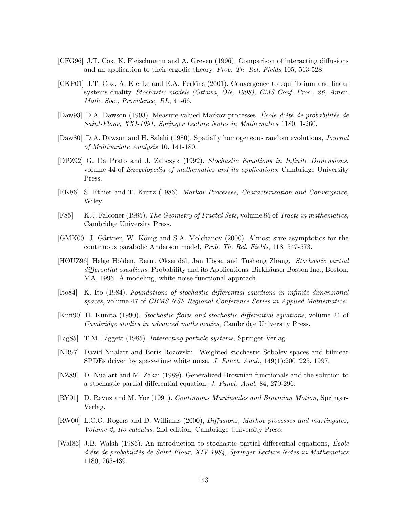- [CFG96] J.T. Cox, K. Fleischmann and A. Greven (1996). Comparison of interacting diffusions and an application to their ergodic theory, Prob. Th. Rel. Fields 105, 513-528.
- [CKP01] J.T. Cox, A. Klenke and E.A. Perkins (2001). Convergence to equilibrium and linear systems duality, Stochastic models (Ottawa, ON, 1998), CMS Conf. Proc., 26, Amer. Math. Soc., Providence, RI., 41-66.
- [Daw93] D.A. Dawson (1993). Measure-valued Markov processes. École d'été de probabilités de Saint-Flour, XXI-1991, Springer Lecture Notes in Mathematics 1180, 1-260.
- [Daw80] D.A. Dawson and H. Salehi (1980). Spatially homogeneous random evolutions, Journal of Multivariate Analysis 10, 141-180.
- [DPZ92] G. Da Prato and J. Zabczyk (1992). Stochastic Equations in Infinite Dimensions, volume 44 of Encyclopedia of mathematics and its applications, Cambridge University Press.
- [EK86] S. Ethier and T. Kurtz (1986). Markov Processes, Characterization and Convergence, Wiley.
- [F85] K.J. Falconer (1985). The Geometry of Fractal Sets, volume 85 of Tracts in mathematics, Cambridge University Press.
- [GMK00] J. Gärtner, W. König and S.A. Molchanov (2000). Almost sure asymptotics for the continuous parabolic Anderson model, Prob. Th. Rel. Fields, 118, 547-573.
- [HØUZ96] Helge Holden, Bernt Øksendal, Jan Ubøe, and Tusheng Zhang. Stochastic partial differential equations. Probability and its Applications. Birkhäuser Boston Inc., Boston, MA, 1996. A modeling, white noise functional approach.
- [Ito84] K. Ito (1984). Foundations of stochastic differential equations in infinite dimensional spaces, volume 47 of CBMS-NSF Regional Conference Series in Applied Mathematics.
- [Kun90] H. Kunita (1990). Stochastic flows and stochastic differential equations, volume 24 of Cambridge studies in advanced mathematics, Cambridge University Press.
- [Lig85] T.M. Liggett (1985). *Interacting particle systems*, Springer-Verlag.
- [NR97] David Nualart and Boris Rozovskii. Weighted stochastic Sobolev spaces and bilinear SPDEs driven by space-time white noise. J. Funct. Anal., 149(1):200–225, 1997.
- [NZ89] D. Nualart and M. Zakai (1989). Generalized Brownian functionals and the solution to a stochastic partial differential equation, J. Funct. Anal. 84, 279-296.
- [RY91] D. Revuz and M. Yor (1991). Continuous Martingales and Brownian Motion, Springer-Verlag.
- [RW00] L.C.G. Rogers and D. Williams (2000), Diffusions, Markov processes and martingales, Volume 2, Ito calculus, 2nd edition, Cambridge University Press.
- [Wal86] J.B. Walsh (1986). An introduction to stochastic partial differential equations,  $\dot{E}$ cole d'été de probabilités de Saint-Flour, XIV-1984, Springer Lecture Notes in Mathematics 1180, 265-439.